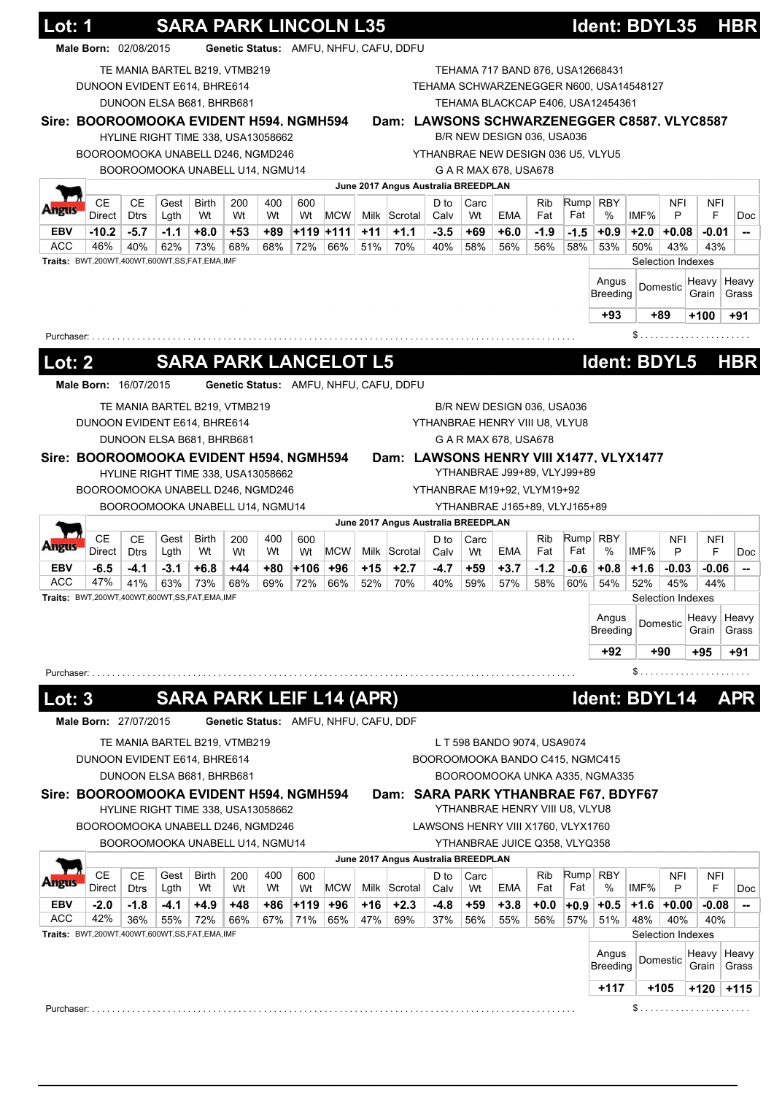| Lot: 1                                                                                                |                                         |                   |                                 |                                    |             |           | <b>SARA PARK LINCOLN L35</b> |                   |       |                                             |                |                               |                                    |                   |               | Ident: BDYL35                           |                |                          |                | <b>HBR</b>                                                                                |
|-------------------------------------------------------------------------------------------------------|-----------------------------------------|-------------------|---------------------------------|------------------------------------|-------------|-----------|------------------------------|-------------------|-------|---------------------------------------------|----------------|-------------------------------|------------------------------------|-------------------|---------------|-----------------------------------------|----------------|--------------------------|----------------|-------------------------------------------------------------------------------------------|
|                                                                                                       | Male Born: 02/08/2015                   |                   |                                 |                                    |             |           |                              |                   |       | Genetic Status: AMFU, NHFU, CAFU, DDFU      |                |                               |                                    |                   |               |                                         |                |                          |                |                                                                                           |
|                                                                                                       | DUNOON EVIDENT E614, BHRE614            |                   |                                 | TE MANIA BARTEL B219, VTMB219      |             |           |                              |                   |       |                                             |                |                               | TEHAMA 717 BAND 876, USA12668431   |                   |               | TEHAMA SCHWARZENEGGER N600, USA14548127 |                |                          |                |                                                                                           |
|                                                                                                       |                                         |                   |                                 | DUNOON ELSA B681, BHRB681          |             |           |                              |                   |       |                                             |                |                               |                                    |                   |               | TEHAMA BLACKCAP E406, USA12454361       |                |                          |                |                                                                                           |
| Sire: BOOROOMOOKA EVIDENT H594, NGMH594                                                               |                                         |                   |                                 | HYLINE RIGHT TIME 338, USA13058662 |             |           |                              |                   |       | Dam: LAWSONS SCHWARZENEGGER C8587, VLYC8587 |                |                               | B/R NEW DESIGN 036, USA036         |                   |               |                                         |                |                          |                |                                                                                           |
|                                                                                                       | BOOROOMOOKA UNABELL D246, NGMD246       |                   |                                 |                                    |             |           |                              |                   |       |                                             |                |                               | YTHANBRAE NEW DESIGN 036 U5, VLYU5 |                   |               |                                         |                |                          |                |                                                                                           |
|                                                                                                       |                                         |                   |                                 | BOOROOMOOKA UNABELL U14, NGMU14    |             |           |                              |                   |       |                                             |                |                               | G A R MAX 678, USA678              |                   |               |                                         |                |                          |                |                                                                                           |
|                                                                                                       |                                         |                   |                                 |                                    |             |           |                              |                   |       | June 2017 Angus Australia BREEDPLAN         |                |                               |                                    |                   |               |                                         |                |                          |                |                                                                                           |
| <b>Angus</b>                                                                                          | CЕ<br>Direct                            | CЕ<br><b>Dtrs</b> | Gest<br>Lgth                    | <b>Birth</b><br>Wt                 | 200<br>Wt   | 400<br>Wt | 600<br>Wt                    | <b>MCW</b>        |       | Milk Scrotal                                | D to<br>Calv   | Carc<br>Wt                    | EMA                                | <b>Rib</b><br>Fat | Fat           | Rump RBY<br>%                           | IMF%           | <b>NFI</b><br>P          | NFI<br>F       | Doc                                                                                       |
| EBV                                                                                                   | $-10.2$                                 | $-5.7$            | $-1.1$                          | $+8.0$                             | $+53$       | +89       |                              | +119 +111         | $+11$ | $+1.1$                                      | $-3.5$         | +69                           | $+6.0$                             | $-1.9$            | $-1.5$        | $+0.9$                                  | $+2.0$         | +0.08                    | $-0.01$        | --                                                                                        |
| <b>ACC</b>                                                                                            | 46%                                     | 40%               | 62%                             | 73%                                | 68%         | 68%       | 72%                          | 66%               | 51%   | 70%                                         | 40%            | 58%                           | 56%                                | 56%               | 58%           | 53%                                     | 50%            | 43%                      | 43%            |                                                                                           |
| Traits: BWT,200WT,400WT,600WT,SS,FAT,EMA,IMF                                                          |                                         |                   |                                 |                                    |             |           |                              |                   |       |                                             |                |                               |                                    |                   |               |                                         |                | Selection Indexes        |                |                                                                                           |
|                                                                                                       |                                         |                   |                                 |                                    |             |           |                              |                   |       |                                             |                |                               |                                    |                   |               | Angus<br><b>Breeding</b>                |                | Domestic                 | Heavy<br>Grain | Heavy<br>Grass                                                                            |
|                                                                                                       |                                         |                   |                                 |                                    |             |           |                              |                   |       |                                             |                |                               |                                    |                   |               | +93                                     |                | +89                      | $+100$         | +91                                                                                       |
| Purchaser: .                                                                                          |                                         |                   |                                 |                                    |             |           |                              |                   |       |                                             |                |                               |                                    |                   |               |                                         | \$             |                          |                |                                                                                           |
|                                                                                                       |                                         |                   |                                 |                                    |             |           |                              |                   |       |                                             |                |                               |                                    |                   |               |                                         |                |                          |                |                                                                                           |
| <u> Lot: 2</u>                                                                                        |                                         |                   |                                 | <b>SARA PARK LANCELOT L5</b>       |             |           |                              |                   |       |                                             |                |                               |                                    |                   |               | Ident: BDYL5                            |                |                          |                | <b>HBR</b>                                                                                |
|                                                                                                       | Male Born: 16/07/2015                   |                   |                                 |                                    |             |           |                              |                   |       | Genetic Status: AMFU, NHFU, CAFU, DDFU      |                |                               |                                    |                   |               |                                         |                |                          |                |                                                                                           |
|                                                                                                       |                                         |                   |                                 | TE MANIA BARTEL B219, VTMB219      |             |           |                              |                   |       |                                             |                |                               | B/R NEW DESIGN 036, USA036         |                   |               |                                         |                |                          |                |                                                                                           |
|                                                                                                       | DUNOON EVIDENT E614, BHRE614            |                   |                                 |                                    |             |           |                              |                   |       |                                             |                |                               | YTHANBRAE HENRY VIII U8, VLYU8     |                   |               |                                         |                |                          |                |                                                                                           |
|                                                                                                       |                                         |                   |                                 | DUNOON ELSA B681, BHRB681          |             |           |                              |                   |       |                                             |                |                               | G A R MAX 678, USA678              |                   |               |                                         |                |                          |                |                                                                                           |
|                                                                                                       | Sire: BOOROOMOOKA EVIDENT H594, NGMH594 |                   |                                 | HYLINE RIGHT TIME 338, USA13058662 |             |           |                              |                   |       | Dam: LAWSONS HENRY VIII X1477, VLYX1477     |                |                               | YTHANBRAE J99+89, VLYJ99+89        |                   |               |                                         |                |                          |                |                                                                                           |
|                                                                                                       | BOOROOMOOKA UNABELL D246, NGMD246       |                   |                                 |                                    |             |           |                              |                   |       |                                             |                |                               | YTHANBRAE M19+92, VLYM19+92        |                   |               |                                         |                |                          |                |                                                                                           |
|                                                                                                       |                                         |                   |                                 |                                    |             |           |                              |                   |       |                                             |                |                               |                                    |                   |               |                                         |                |                          |                |                                                                                           |
|                                                                                                       |                                         |                   | BOOROOMOOKA UNABELL U14, NGMU14 |                                    |             |           |                              |                   |       |                                             |                | YTHANBRAE J165+89, VLYJ165+89 |                                    |                   |               |                                         |                |                          |                |                                                                                           |
|                                                                                                       |                                         |                   |                                 |                                    |             |           |                              |                   |       | June 2017 Angus Australia BREEDPLAN         |                |                               |                                    |                   |               |                                         |                |                          |                |                                                                                           |
| wigus                                                                                                 | <b>CE</b>                               | <b>CE</b>         | Gest                            | Birth                              | 200         | 400       | 600                          |                   |       |                                             | D to           | Carc                          |                                    | Rib               |               | Rump RBY                                |                | NFI                      | NFI            |                                                                                           |
| <b>EBV</b>                                                                                            | Direct<br>$-6.5$                        | <b>Dtrs</b>       | Lgth<br>$-3.1$                  | Wt<br>$+6.8$                       | Wt<br>$+44$ | Wt<br>+80 | Wt                           | <b>MCW</b><br>+96 | $+15$ | Milk Scrotal                                | Calv<br>$-4.7$ | Wt<br>$+59$                   | EMA<br>$+3.7$                      | Fat<br>$-1.2$     | Fat           | $\%$<br>$+0.8$                          | IMF%<br>$+1.6$ | P                        | F              |                                                                                           |
| ACC                                                                                                   | 47%                                     | $-4.1$<br>41%     | 63%                             | 73%                                | 68%         | 69%       | $+106$<br>72%                | 66%               | 52%   | $+2.7$<br>70%                               | 40%            | 59%                           | 57%                                | 58%               | $-0.6$<br>60% | 54%                                     | 52%            | $-0.03$<br>45%           | $-0.06$<br>44% |                                                                                           |
|                                                                                                       |                                         |                   |                                 |                                    |             |           |                              |                   |       |                                             |                |                               |                                    |                   |               |                                         |                | Selection Indexes        |                |                                                                                           |
|                                                                                                       |                                         |                   |                                 |                                    |             |           |                              |                   |       |                                             |                |                               |                                    |                   |               | Angus                                   |                | Domestic                 | Heavy          |                                                                                           |
|                                                                                                       |                                         |                   |                                 |                                    |             |           |                              |                   |       |                                             |                |                               |                                    |                   |               | <b>Breeding</b>                         |                |                          | Grain          |                                                                                           |
|                                                                                                       |                                         |                   |                                 |                                    |             |           |                              |                   |       |                                             |                |                               |                                    |                   |               | +92                                     |                | +90                      | +95            |                                                                                           |
|                                                                                                       |                                         |                   |                                 |                                    |             |           |                              |                   |       |                                             |                |                               |                                    |                   |               |                                         | \$.            |                          |                |                                                                                           |
| <b>ot:3</b>                                                                                           |                                         |                   |                                 | <b>SARA PARK LEIF L14 (APR)</b>    |             |           |                              |                   |       |                                             |                |                               |                                    |                   |               | Ident: BDYL14                           |                |                          |                |                                                                                           |
|                                                                                                       | Male Born: 27/07/2015                   |                   |                                 |                                    |             |           |                              |                   |       | Genetic Status: AMFU, NHFU, CAFU, DDF       |                |                               |                                    |                   |               |                                         |                |                          |                |                                                                                           |
|                                                                                                       |                                         |                   |                                 | TE MANIA BARTEL B219, VTMB219      |             |           |                              |                   |       |                                             |                |                               | L T 598 BANDO 9074, USA9074        |                   |               |                                         |                |                          |                |                                                                                           |
|                                                                                                       | DUNOON EVIDENT E614, BHRE614            |                   |                                 |                                    |             |           |                              |                   |       |                                             |                |                               | BOOROOMOOKA BANDO C415, NGMC415    |                   |               |                                         |                |                          |                |                                                                                           |
|                                                                                                       |                                         |                   |                                 | DUNOON ELSA B681, BHRB681          |             |           |                              |                   |       |                                             |                |                               |                                    |                   |               | BOOROOMOOKA UNKA A335, NGMA335          |                |                          |                |                                                                                           |
|                                                                                                       |                                         |                   |                                 |                                    |             |           |                              |                   |       | Dam: SARA PARK YTHANBRAE F67, BDYF67        |                |                               |                                    |                   |               |                                         |                |                          |                |                                                                                           |
|                                                                                                       |                                         |                   |                                 | HYLINE RIGHT TIME 338, USA13058662 |             |           |                              |                   |       |                                             |                |                               | YTHANBRAE HENRY VIII U8, VLYU8     |                   |               |                                         |                |                          |                |                                                                                           |
|                                                                                                       | BOOROOMOOKA UNABELL D246, NGMD246       |                   |                                 |                                    |             |           |                              |                   |       |                                             |                |                               | LAWSONS HENRY VIII X1760, VLYX1760 |                   |               |                                         |                |                          |                |                                                                                           |
|                                                                                                       |                                         |                   |                                 | BOOROOMOOKA UNABELL U14, NGMU14    |             |           |                              |                   |       | June 2017 Angus Australia BREEDPLAN         |                |                               | YTHANBRAE JUICE Q358, VLYQ358      |                   |               |                                         |                |                          |                |                                                                                           |
|                                                                                                       | <b>CE</b>                               | CЕ                | Gest                            | Birth                              | 200         | 400       | 600                          |                   |       |                                             | D to           | Carc                          |                                    | <b>Rib</b>        |               | $Rump$ RBY                              |                | NFI                      | NFI            |                                                                                           |
| Traits: BWT,200WT,400WT,600WT,SS,FAT,EMA,IMF<br>Purchaser:<br>Sire: BOOROOMOOKA EVIDENT H594, NGMH594 | Direct                                  | <b>Dtrs</b>       | Lgth                            | Wt                                 | Wt          | Wt        | Wt                           | <b>MCW</b>        |       | Milk Scrotal                                | Calv           | Wt                            | EMA                                | Fat               | Fat           | %                                       | IMF%           | P                        | F              |                                                                                           |
| EBV                                                                                                   | $-2.0$                                  | $-1.8$            | -4.1                            | $+4.9$                             | +48         | +86       | ∣+119 ∣                      | $+96$             | +16   | $+2.3$                                      | $-4.8$         | $+59$                         | $+3.8$                             | $+0.0$            | $+0.9$        | $+0.5$                                  | $+1.6$         | $+0.00$                  | $-0.08$        |                                                                                           |
| ACC<br>Traits: BWT,200WT,400WT,600WT,SS,FAT,EMA,IMF                                                   | 42%                                     | 36%               | 55%                             | 72%                                | 66%         | 67%       | 71%                          | 65%               | 47%   | 69%                                         | 37%            | 56%                           | 55%                                | 56%               | 57%           | 51%                                     | 48%            | 40%<br>Selection Indexes | 40%            |                                                                                           |
|                                                                                                       |                                         |                   |                                 |                                    |             |           |                              |                   |       |                                             |                |                               |                                    |                   |               | Angus                                   |                |                          | Heavy          |                                                                                           |
|                                                                                                       |                                         |                   |                                 |                                    |             |           |                              |                   |       |                                             |                |                               |                                    |                   |               | <b>Breeding</b>                         |                | Domestic                 | Grain          |                                                                                           |
|                                                                                                       |                                         |                   |                                 |                                    |             |           |                              |                   |       |                                             |                |                               |                                    |                   |               | $+117$                                  |                | $+105$                   | +120           | Doc<br>--<br>Heavy<br>Grass<br>+91<br><b>APR</b><br>Doc<br>--<br>Heavy<br>Grass<br>$+115$ |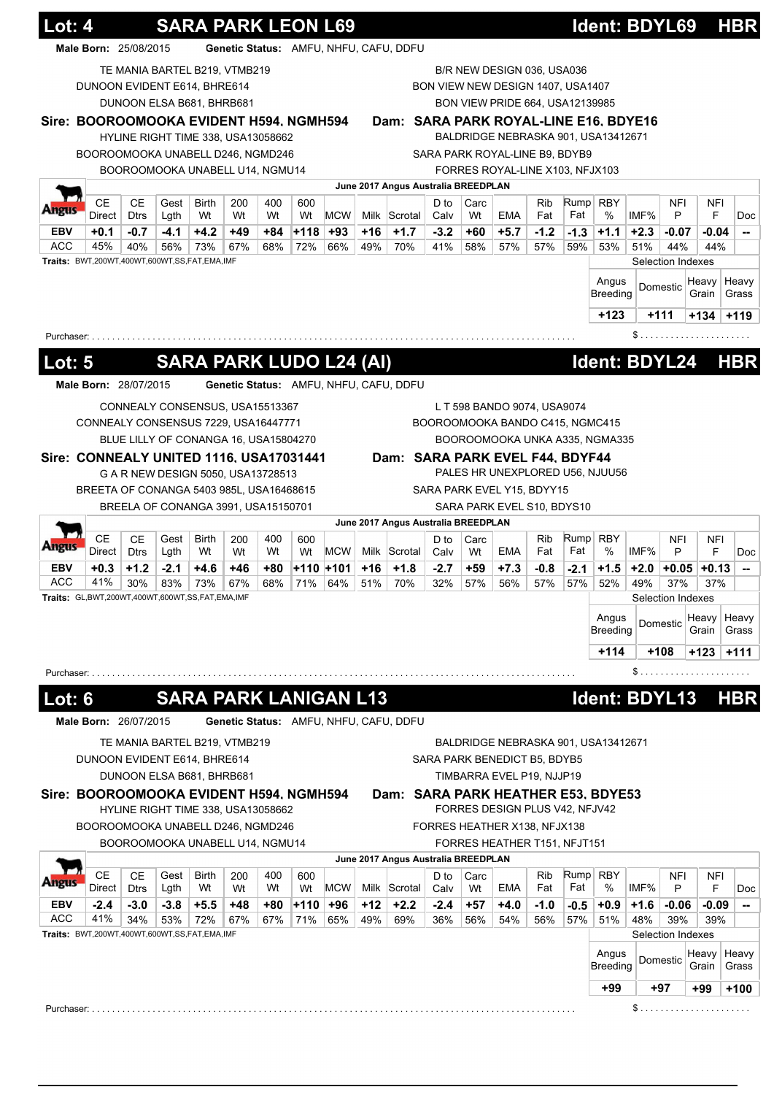|                                                    | Lot: 4                                          |                          |                                       |                                |           |           |               | <b>SARA PARK LEON L69</b> |       |                                        |                |            |                                   |                   |             | <u>ldent: BDYL69</u>                |        |                   |          | <b>HBR</b>                                              |
|----------------------------------------------------|-------------------------------------------------|--------------------------|---------------------------------------|--------------------------------|-----------|-----------|---------------|---------------------------|-------|----------------------------------------|----------------|------------|-----------------------------------|-------------------|-------------|-------------------------------------|--------|-------------------|----------|---------------------------------------------------------|
|                                                    | Male Born: 25/08/2015                           |                          |                                       |                                |           |           |               |                           |       | Genetic Status: AMFU, NHFU, CAFU, DDFU |                |            |                                   |                   |             |                                     |        |                   |          |                                                         |
|                                                    |                                                 |                          | TE MANIA BARTEL B219, VTMB219         |                                |           |           |               |                           |       |                                        |                |            | B/R NEW DESIGN 036, USA036        |                   |             |                                     |        |                   |          |                                                         |
|                                                    | DUNOON EVIDENT E614, BHRE614                    |                          |                                       |                                |           |           |               |                           |       |                                        |                |            | BON VIEW NEW DESIGN 1407, USA1407 |                   |             |                                     |        |                   |          |                                                         |
|                                                    |                                                 |                          | DUNOON ELSA B681, BHRB681             |                                |           |           |               |                           |       |                                        |                |            | BON VIEW PRIDE 664, USA12139985   |                   |             |                                     |        |                   |          |                                                         |
|                                                    | Sire: BOOROOMOOKA EVIDENT H594, NGMH594         |                          |                                       |                                |           |           |               |                           |       | Dam: SARA PARK ROYAL-LINE E16, BDYE16  |                |            |                                   |                   |             |                                     |        |                   |          |                                                         |
|                                                    |                                                 |                          | HYLINE RIGHT TIME 338, USA13058662    |                                |           |           |               |                           |       |                                        |                |            |                                   |                   |             | BALDRIDGE NEBRASKA 901, USA13412671 |        |                   |          |                                                         |
|                                                    | BOOROOMOOKA UNABELL D246, NGMD246               |                          |                                       |                                |           |           |               |                           |       |                                        |                |            | SARA PARK ROYAL-LINE B9, BDYB9    |                   |             |                                     |        |                   |          |                                                         |
|                                                    |                                                 |                          | BOOROOMOOKA UNABELL U14, NGMU14       |                                |           |           |               |                           |       |                                        |                |            | FORRES ROYAL-LINE X103, NFJX103   |                   |             |                                     |        |                   |          |                                                         |
|                                                    |                                                 |                          |                                       |                                |           |           |               |                           |       | June 2017 Angus Australia BREEDPLAN    |                |            |                                   |                   |             |                                     |        |                   |          |                                                         |
| ungus                                              | <b>CE</b><br>Direct                             | <b>CE</b><br><b>Dtrs</b> | Gest<br>Lgth                          | <b>Birth</b><br>Wt             | 200<br>Wt | 400<br>Wt | 600           | <b>MCW</b>                |       | Milk Scrotal                           | D to           | Carc<br>Wt | <b>EMA</b>                        | <b>Rib</b><br>Fat | Rump<br>Fat | <b>RBY</b><br>%                     | IMF%   | <b>NFI</b><br>P   | NFI<br>F | <b>Doc</b>                                              |
| <b>EBV</b>                                         | $+0.1$                                          | $-0.7$                   | $-4.1$                                | $+4.2$                         | +49       | +84       | Wt<br>∣+118 ∣ | +93                       | +16   | $+1.7$                                 | Calv<br>$-3.2$ | +60        | $+5.7$                            | $-1.2$            | $-1.3$      | $+1.1$                              | $+2.3$ | $-0.07$           | $-0.04$  | $\overline{\phantom{a}}$                                |
| ACC                                                | 45%                                             | 40%                      | 56%                                   | 73%                            | 67%       | 68%       | 72%           | 66%                       | 49%   | 70%                                    | 41%            | 58%        | 57%                               | 57%               | 59%         | 53%                                 | 51%    | 44%               | 44%      |                                                         |
|                                                    | Traits: BWT,200WT,400WT,600WT,SS,FAT,EMA,IMF    |                          |                                       |                                |           |           |               |                           |       |                                        |                |            |                                   |                   |             |                                     |        | Selection Indexes |          |                                                         |
|                                                    |                                                 |                          |                                       |                                |           |           |               |                           |       |                                        |                |            |                                   |                   |             | Angus                               |        |                   | Heavy    | Heavy                                                   |
|                                                    |                                                 |                          |                                       |                                |           |           |               |                           |       |                                        |                |            |                                   |                   |             | Breeding                            |        | Domestic          | Grain    | Grass                                                   |
|                                                    |                                                 |                          |                                       |                                |           |           |               |                           |       |                                        |                |            |                                   |                   |             | $+123$                              |        | $+111$            | $+134$   | $+119$                                                  |
| Purchaser: .                                       |                                                 |                          |                                       |                                |           |           |               |                           |       |                                        |                |            |                                   |                   |             |                                     |        |                   |          |                                                         |
|                                                    |                                                 |                          |                                       |                                |           |           |               |                           |       |                                        |                |            |                                   |                   |             |                                     |        |                   |          |                                                         |
| Lot: 5                                             |                                                 |                          |                                       | <b>SARA PARK LUDO L24 (AI)</b> |           |           |               |                           |       |                                        |                |            |                                   |                   |             | Ident: BDYL24                       |        |                   |          | <b>HBR</b>                                              |
|                                                    | Male Born: 28/07/2015                           |                          |                                       |                                |           |           |               |                           |       | Genetic Status: AMFU, NHFU, CAFU, DDFU |                |            |                                   |                   |             |                                     |        |                   |          |                                                         |
|                                                    |                                                 |                          | CONNEALY CONSENSUS, USA15513367       |                                |           |           |               |                           |       |                                        |                |            | L T 598 BANDO 9074, USA9074       |                   |             |                                     |        |                   |          |                                                         |
|                                                    | CONNEALY CONSENSUS 7229, USA16447771            |                          |                                       |                                |           |           |               |                           |       |                                        |                |            | BOOROOMOOKA BANDO C415, NGMC415   |                   |             |                                     |        |                   |          |                                                         |
|                                                    |                                                 |                          | BLUE LILLY OF CONANGA 16, USA15804270 |                                |           |           |               |                           |       |                                        |                |            |                                   |                   |             | BOOROOMOOKA UNKA A335, NGMA335      |        |                   |          |                                                         |
|                                                    | Sire: CONNEALY UNITED 1116, USA17031441         |                          |                                       |                                |           |           |               |                           |       | Dam: SARA PARK EVEL F44, BDYF44        |                |            |                                   |                   |             |                                     |        |                   |          |                                                         |
|                                                    |                                                 |                          | G A R NEW DESIGN 5050, USA13728513    |                                |           |           |               |                           |       |                                        |                |            |                                   |                   |             | PALES HR UNEXPLORED U56, NJUU56     |        |                   |          |                                                         |
|                                                    | BREETA OF CONANGA 5403 985L, USA16468615        |                          |                                       |                                |           |           |               |                           |       |                                        |                |            | SARA PARK EVEL Y15, BDYY15        |                   |             |                                     |        |                   |          |                                                         |
|                                                    |                                                 |                          | BREELA OF CONANGA 3991, USA15150701   |                                |           |           |               |                           |       |                                        |                |            | SARA PARK EVEL S10, BDYS10        |                   |             |                                     |        |                   |          |                                                         |
|                                                    |                                                 |                          |                                       |                                |           |           |               |                           |       | June 2017 Angus Australia BREEDPLAN    |                |            |                                   |                   |             |                                     |        |                   |          |                                                         |
|                                                    | CЕ                                              | CЕ                       | Gest                                  | Birth                          | 200       | 400       | 600           |                           |       |                                        | D to           | Carc       |                                   | Rib               | Rump        | <b>RBY</b>                          |        | <b>NFI</b>        | NFI      |                                                         |
| Angus                                              | Direct                                          | <b>Dtrs</b>              | Lgth                                  | Wt                             | Wt        | Wt        | Wt            | <b>MCW</b>                | Milk  | Scrotal                                | Calv           | Wt         | EMA                               | Fat               | Fat         | %                                   | IMF%   | P                 | F        | <b>Doc</b>                                              |
| <b>EBV</b>                                         | $+0.3$                                          | $+1.2$                   | $-2.1$                                | $+4.6$                         | +46       | +80       |               | +110 +101                 | +16   | $+1.8$                                 | $-2.7$         | $+59$      | $+7.3$                            | -0.8              | $-2.1$      | $+1.5$                              | $+2.0$ | $+0.05$           | $+0.13$  | --                                                      |
| ACC                                                | 41%                                             | 30%                      | 83%                                   | 73%                            | 67%       | 68%       | 71%           | 64%                       | 51%   | 70%                                    | 32%            | 57%        | 56%                               | 57%               | 57%         | 52%                                 | 49%    | 37%               | 37%      |                                                         |
|                                                    | Traits: GL,BWT,200WT,400WT,600WT,SS,FAT,EMA,IMF |                          |                                       |                                |           |           |               |                           |       |                                        |                |            |                                   |                   |             |                                     |        | Selection Indexes |          |                                                         |
|                                                    |                                                 |                          |                                       |                                |           |           |               |                           |       |                                        |                |            |                                   |                   |             | Angus                               |        | Domestic          | Heavy    | Heavy                                                   |
|                                                    |                                                 |                          |                                       |                                |           |           |               |                           |       |                                        |                |            |                                   |                   |             | <b>Breeding</b>                     |        |                   | Grain    | Grass                                                   |
|                                                    |                                                 |                          |                                       |                                |           |           |               |                           |       |                                        |                |            |                                   |                   |             | $+114$                              |        | $+108$            | +123     | $+111$                                                  |
|                                                    |                                                 |                          |                                       |                                |           |           |               |                           |       |                                        |                |            |                                   |                   |             |                                     |        |                   |          |                                                         |
|                                                    |                                                 |                          |                                       |                                |           |           |               |                           |       |                                        |                |            |                                   |                   |             |                                     |        |                   |          |                                                         |
|                                                    |                                                 |                          |                                       |                                |           |           |               |                           |       |                                        |                |            |                                   |                   |             |                                     |        |                   |          |                                                         |
|                                                    |                                                 |                          |                                       | <b>SARA PARK LANIGAN L13</b>   |           |           |               |                           |       |                                        |                |            |                                   |                   |             | Ident: BDYL13                       |        |                   |          |                                                         |
|                                                    | Male Born: 26/07/2015                           |                          |                                       |                                |           |           |               |                           |       | Genetic Status: AMFU, NHFU, CAFU, DDFU |                |            |                                   |                   |             |                                     |        |                   |          |                                                         |
|                                                    |                                                 |                          | TE MANIA BARTEL B219, VTMB219         |                                |           |           |               |                           |       |                                        |                |            |                                   |                   |             | BALDRIDGE NEBRASKA 901, USA13412671 |        |                   |          |                                                         |
|                                                    | DUNOON EVIDENT E614, BHRE614                    |                          |                                       |                                |           |           |               |                           |       |                                        |                |            | SARA PARK BENEDICT B5, BDYB5      |                   |             |                                     |        |                   |          |                                                         |
|                                                    |                                                 |                          | DUNOON ELSA B681, BHRB681             |                                |           |           |               |                           |       |                                        |                |            | TIMBARRA EVEL P19, NJJP19         |                   |             |                                     |        |                   |          |                                                         |
|                                                    | Sire: BOOROOMOOKA EVIDENT H594, NGMH594         |                          |                                       |                                |           |           |               |                           |       | Dam: SARA PARK HEATHER E53, BDYE53     |                |            |                                   |                   |             |                                     |        |                   |          |                                                         |
|                                                    |                                                 |                          | HYLINE RIGHT TIME 338, USA13058662    |                                |           |           |               |                           |       |                                        |                |            | FORRES DESIGN PLUS V42, NFJV42    |                   |             |                                     |        |                   |          |                                                         |
|                                                    | BOOROOMOOKA UNABELL D246, NGMD246               |                          |                                       |                                |           |           |               |                           |       |                                        |                |            | FORRES HEATHER X138, NFJX138      |                   |             |                                     |        |                   |          |                                                         |
|                                                    |                                                 |                          | BOOROOMOOKA UNABELL U14, NGMU14       |                                |           |           |               |                           |       |                                        |                |            | FORRES HEATHER T151, NFJT151      |                   |             |                                     |        |                   |          |                                                         |
|                                                    |                                                 |                          |                                       |                                |           |           |               |                           |       | June 2017 Angus Australia BREEDPLAN    |                |            |                                   |                   |             |                                     |        |                   |          |                                                         |
|                                                    | <b>CE</b>                                       | <b>CE</b>                | Gest                                  | <b>Birth</b>                   | 200       | 400       | 600           |                           |       |                                        | D to           | Carc       |                                   | <b>Rib</b>        | Rump        | <b>RBY</b>                          |        | <b>NFI</b>        | NFI      |                                                         |
|                                                    | Direct                                          | <b>Dtrs</b>              | Lgth                                  | Wt                             | Wt        | Wt        | Wt            | <b>MCW</b>                |       | Milk Scrotal                           | Calv           | Wt         | EMA                               | Fat               | Fat         | %                                   | IMF%   | P                 | F        |                                                         |
|                                                    | $-2.4$                                          | $-3.0$                   | $-3.8$                                | $+5.5$                         | +48       | +80       | ∣+110 ∣       | +96                       | $+12$ | $+2.2$                                 | $-2.4$         | $+57$      | $+4.0$                            | $-1.0$            | -0.5        | $+0.9$                              | $+1.6$ | $-0.06$           | $-0.09$  |                                                         |
|                                                    | 41%                                             | 34%                      | 53%                                   | 72%                            | 67%       | 67%       | 71%           | 65%                       | 49%   | 69%                                    | 36%            | 56%        | 54%                               | 56%               | 57%         | 51%                                 | 48%    | 39%               | 39%      |                                                         |
|                                                    | Traits: BWT,200WT,400WT,600WT,SS,FAT,EMA,IMF    |                          |                                       |                                |           |           |               |                           |       |                                        |                |            |                                   |                   |             |                                     |        | Selection Indexes |          |                                                         |
|                                                    |                                                 |                          |                                       |                                |           |           |               |                           |       |                                        |                |            |                                   |                   |             | Angus                               |        | Domestic          | Heavy    |                                                         |
|                                                    |                                                 |                          |                                       |                                |           |           |               |                           |       |                                        |                |            |                                   |                   |             | <b>Breeding</b>                     |        |                   | Grain    |                                                         |
| Purchaser: .<br><b>Lot: 6</b><br><b>EBV</b><br>ACC |                                                 |                          |                                       |                                |           |           |               |                           |       |                                        |                |            |                                   |                   |             | +99                                 |        | +97               | $+99$    | <b>HBR</b><br>Doc<br>$\sim$<br>Heavy<br>Grass<br>$+100$ |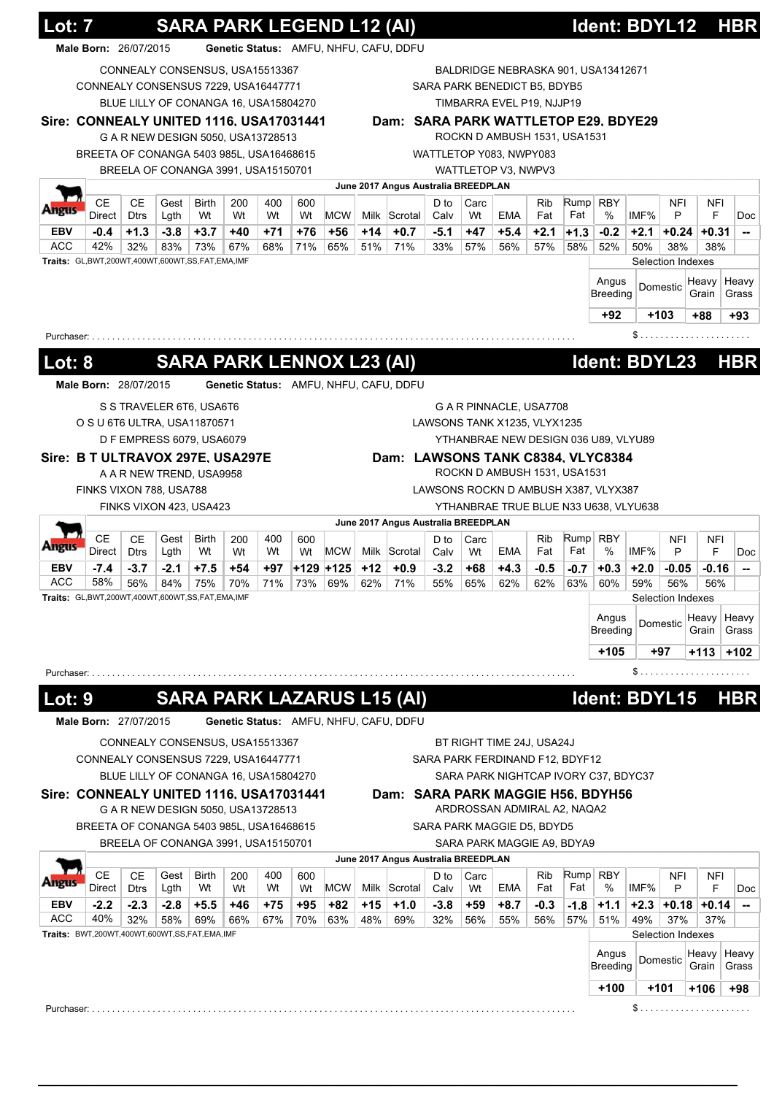| Genetic Status: AMFU, NHFU, CAFU, DDFU<br>Male Born: 26/07/2015<br>CONNEALY CONSENSUS, USA15513367<br>BALDRIDGE NEBRASKA 901, USA13412671<br>CONNEALY CONSENSUS 7229, USA16447771<br>SARA PARK BENEDICT B5, BDYB5<br>BLUE LILLY OF CONANGA 16, USA15804270<br>TIMBARRA EVEL P19, NJJP19<br>Sire: CONNEALY UNITED 1116, USA17031441<br>Dam: SARA PARK WATTLETOP E29, BDYE29<br>ROCKN D AMBUSH 1531, USA1531<br>G A R NEW DESIGN 5050, USA13728513<br>BREETA OF CONANGA 5403 985L, USA16468615<br>WATTLETOP Y083, NWPY083<br>BREELA OF CONANGA 3991, USA15150701<br>WATTLETOP V3, NWPV3<br>June 2017 Angus Australia BREEDPLAN<br>CЕ<br><b>CE</b><br>Rump RBY<br>Gest<br><b>Birth</b><br>400<br><b>Rib</b><br>NFI<br>200<br>600<br>D to<br>Carc<br>NFI<br>IMF%<br><b>MCW</b><br>Milk Scrotal<br>Fat<br>%<br>Direct<br><b>Dtrs</b><br>Lgth<br>Wt<br>Wt<br>EMA<br>Fat<br>F<br>Wt<br>Wt<br>Calv<br>Wt<br>P<br>Doc<br><b>EBV</b><br>$-0.4$<br>$+1.3$<br>$-3.8$<br>$+3.7$<br>+71<br>+76<br>+56<br>+14<br>$+0.7$<br>$-5.1$<br>$+47$<br>$+5.4$<br>$+2.1$<br>$-0.2$<br>$+2.1$<br>+40<br>$+1.3$<br>$+0.24$<br>$+0.31$<br>$\overline{\phantom{a}}$<br><b>ACC</b><br>42%<br>32%<br>83%<br>73%<br>67%<br>71%<br>65%<br>51%<br>71%<br>33%<br>57%<br>56%<br>57%<br>50%<br>68%<br>58%<br>52%<br>38%<br>38%<br>Traits: GL,BWT,200WT,400WT,600WT,SS,FAT,EMA,IMF<br>Selection Indexes<br>Angus<br>Heavy<br>Heavy<br>Domestic<br>Breeding<br>Grain<br>Grass<br>$+92$<br>$+103$<br>+88<br>+93<br>Purchaser:<br><b>SARA PARK LENNOX L23 (AI)</b><br>Ident: BDYL23<br><b>HBR</b><br><b>Lot: 8</b><br>Male Born: 28/07/2015<br>Genetic Status: AMFU, NHFU, CAFU, DDFU<br>S S TRAVELER 6T6, USA6T6<br>G A R PINNACLE, USA7708<br>O S U 6T6 ULTRA, USA11870571<br>LAWSONS TANK X1235, VLYX1235<br>D F EMPRESS 6079, USA6079<br>YTHANBRAE NEW DESIGN 036 U89, VLYU89<br>Sire: B T ULTRAVOX 297E, USA297E<br>Dam: LAWSONS TANK C8384, VLYC8384<br>ROCKN D AMBUSH 1531, USA1531<br>A A R NEW TREND, USA9958<br>FINKS VIXON 788, USA788<br>LAWSONS ROCKN D AMBUSH X387, VLYX387<br>FINKS VIXON 423, USA423<br>YTHANBRAE TRUE BLUE N33 U638, VLYU638<br>June 2017 Angus Australia BREEDPLAN<br><b>CE</b><br><b>CE</b><br>Rump<br>Carc<br><b>RBY</b><br>NFI<br>Gest<br>Birth<br>200<br>400<br>600<br>D to<br>Rib<br><b>NFI</b><br>Fat<br>%<br>IMF%<br>Direct<br><b>Dtrs</b><br>Wt<br>Wt<br>Wt<br><b>MCW</b><br>Milk Scrotal<br>EMA<br>Fat<br>P<br>F<br>Lgth<br>Wt<br>Calv<br>Wt<br>Doc<br>+129 +125<br>$+12$<br><b>EBV</b><br>$-7.4$<br>$-3.7$<br>$-2.1$<br>$+7.5$<br>$+54$<br>+97<br>$+0.9$<br>$-3.2$<br>+68<br>$+4.3$<br>$-0.5$<br>$+2.0$<br>$-0.7$<br>$+0.3$<br>-0.05<br>-0.16<br>$\overline{\phantom{a}}$<br>ACC<br>58%<br>56%<br>84%<br>75%<br>70%<br>71%<br>73%<br>69%<br>62%<br>71%<br>55%<br>65%<br>62%<br>62%<br>63%<br>60%<br>59%<br>56%<br>56%<br>Traits: GL,BWT,200WT,400WT,600WT,SS,FAT,EMA,IMF<br>Selection Indexes<br>Angus<br>Heavy<br>Domestic<br><b>Breeding</b><br>Grain<br>+105<br>+97<br>$+113$<br>$S$<br>Purchaser: $\ldots \ldots \ldots \ldots$<br><b>SARA PARK LAZARUS L15 (AI)</b><br>Ident: BDYL15<br><u> Lot: 9</u><br><b>HBR</b><br>Male Born: 27/07/2015<br>Genetic Status: AMFU, NHFU, CAFU, DDFU<br>CONNEALY CONSENSUS, USA15513367<br>BT RIGHT TIME 24J, USA24J<br>CONNEALY CONSENSUS 7229, USA16447771<br>SARA PARK FERDINAND F12, BDYF12<br>BLUE LILLY OF CONANGA 16, USA15804270<br>SARA PARK NIGHTCAP IVORY C37, BDYC37<br>Sire: CONNEALY UNITED 1116, USA17031441<br>Dam: SARA PARK MAGGIE H56, BDYH56<br>ARDROSSAN ADMIRAL A2, NAQA2<br>G A R NEW DESIGN 5050, USA13728513<br>BREETA OF CONANGA 5403 985L, USA16468615<br>SARA PARK MAGGIE D5, BDYD5<br>BREELA OF CONANGA 3991, USA15150701<br>SARA PARK MAGGIE A9, BDYA9<br>June 2017 Angus Australia BREEDPLAN<br><b>CE</b><br><b>CE</b><br>Rump<br>Gest<br>Birth<br>400<br>Carc<br><b>Rib</b><br><b>RBY</b><br>NFI<br>200<br>600<br>D to<br><b>NFI</b><br>Fat<br>IMF%<br>F<br>Direct<br><b>Dtrs</b><br>Lgth<br>Wt<br><b>MCW</b><br>Milk Scrotal<br>EMA<br>Fat<br>%<br>P<br>Wt<br>Wt<br>Wt<br>Calv<br>Wt<br>$-2.2$<br>$-2.3$<br>$-2.8$<br>$+5.5$<br>$+75$<br>$+95$<br>+82<br>$+15$<br>$+1.0$<br>$-3.8$<br>+59<br>$+8.7$<br>$-0.3$<br>$+1.1$<br>$+2.3$<br>$+0.18$<br>+46<br>$-1.8$<br>$+0.14$<br>40%<br>32%<br>58%<br>69%<br>66%<br>67%<br>70%<br>63%<br>48%<br>32%<br>56%<br>57%<br>49%<br>37%<br>69%<br>56%<br>55%<br>51%<br>37%<br>Traits: BWT,200WT,400WT,600WT,SS,FAT,EMA,IMF<br>Selection Indexes<br>Angus<br>Heavy<br>Domestic<br><b>Breeding</b><br>Grain<br>$+100$<br>$+101$<br>$+106$<br>+98 |                          | Lot: 7 |  |  |  |  | <b>SARA PARK LEGEND L12 (AI)</b> |  |  | Ident: BDYL12 |  | <b>HBR</b>                                              |
|---------------------------------------------------------------------------------------------------------------------------------------------------------------------------------------------------------------------------------------------------------------------------------------------------------------------------------------------------------------------------------------------------------------------------------------------------------------------------------------------------------------------------------------------------------------------------------------------------------------------------------------------------------------------------------------------------------------------------------------------------------------------------------------------------------------------------------------------------------------------------------------------------------------------------------------------------------------------------------------------------------------------------------------------------------------------------------------------------------------------------------------------------------------------------------------------------------------------------------------------------------------------------------------------------------------------------------------------------------------------------------------------------------------------------------------------------------------------------------------------------------------------------------------------------------------------------------------------------------------------------------------------------------------------------------------------------------------------------------------------------------------------------------------------------------------------------------------------------------------------------------------------------------------------------------------------------------------------------------------------------------------------------------------------------------------------------------------------------------------------------------------------------------------------------------------------------------------------------------------------------------------------------------------------------------------------------------------------------------------------------------------------------------------------------------------------------------------------------------------------------------------------------------------------------------------------------------------------------------------------------------------------------------------------------------------------------------------------------------------------------------------------------------------------------------------------------------------------------------------------------------------------------------------------------------------------------------------------------------------------------------------------------------------------------------------------------------------------------------------------------------------------------------------------------------------------------------------------------------------------------------------------------------------------------------------------------------------------------------------------------------------------------------------------------------------------------------------------------------------------------------------------------------------------------------------------------------------------------------------------------------------------------------------------------------------------------------------------------------------------------------------------------------------------------------------------------------------------------------------------------------------------------------------------------------------------------------------------------------------------------------------------------------------------------------------------------------------------------------------------------------------------------------------------------------------------------------------------------------------------------------------------------------------------------------------------------------------------------------------------------------------------------------------------------------------------------------------------------------------------------------------------------------------------------------------|--------------------------|--------|--|--|--|--|----------------------------------|--|--|---------------|--|---------------------------------------------------------|
|                                                                                                                                                                                                                                                                                                                                                                                                                                                                                                                                                                                                                                                                                                                                                                                                                                                                                                                                                                                                                                                                                                                                                                                                                                                                                                                                                                                                                                                                                                                                                                                                                                                                                                                                                                                                                                                                                                                                                                                                                                                                                                                                                                                                                                                                                                                                                                                                                                                                                                                                                                                                                                                                                                                                                                                                                                                                                                                                                                                                                                                                                                                                                                                                                                                                                                                                                                                                                                                                                                                                                                                                                                                                                                                                                                                                                                                                                                                                                                                                                                                                                                                                                                                                                                                                                                                                                                                                                                                                                                                                                               |                          |        |  |  |  |  |                                  |  |  |               |  |                                                         |
|                                                                                                                                                                                                                                                                                                                                                                                                                                                                                                                                                                                                                                                                                                                                                                                                                                                                                                                                                                                                                                                                                                                                                                                                                                                                                                                                                                                                                                                                                                                                                                                                                                                                                                                                                                                                                                                                                                                                                                                                                                                                                                                                                                                                                                                                                                                                                                                                                                                                                                                                                                                                                                                                                                                                                                                                                                                                                                                                                                                                                                                                                                                                                                                                                                                                                                                                                                                                                                                                                                                                                                                                                                                                                                                                                                                                                                                                                                                                                                                                                                                                                                                                                                                                                                                                                                                                                                                                                                                                                                                                                               |                          |        |  |  |  |  |                                  |  |  |               |  |                                                         |
|                                                                                                                                                                                                                                                                                                                                                                                                                                                                                                                                                                                                                                                                                                                                                                                                                                                                                                                                                                                                                                                                                                                                                                                                                                                                                                                                                                                                                                                                                                                                                                                                                                                                                                                                                                                                                                                                                                                                                                                                                                                                                                                                                                                                                                                                                                                                                                                                                                                                                                                                                                                                                                                                                                                                                                                                                                                                                                                                                                                                                                                                                                                                                                                                                                                                                                                                                                                                                                                                                                                                                                                                                                                                                                                                                                                                                                                                                                                                                                                                                                                                                                                                                                                                                                                                                                                                                                                                                                                                                                                                                               |                          |        |  |  |  |  |                                  |  |  |               |  |                                                         |
|                                                                                                                                                                                                                                                                                                                                                                                                                                                                                                                                                                                                                                                                                                                                                                                                                                                                                                                                                                                                                                                                                                                                                                                                                                                                                                                                                                                                                                                                                                                                                                                                                                                                                                                                                                                                                                                                                                                                                                                                                                                                                                                                                                                                                                                                                                                                                                                                                                                                                                                                                                                                                                                                                                                                                                                                                                                                                                                                                                                                                                                                                                                                                                                                                                                                                                                                                                                                                                                                                                                                                                                                                                                                                                                                                                                                                                                                                                                                                                                                                                                                                                                                                                                                                                                                                                                                                                                                                                                                                                                                                               |                          |        |  |  |  |  |                                  |  |  |               |  |                                                         |
|                                                                                                                                                                                                                                                                                                                                                                                                                                                                                                                                                                                                                                                                                                                                                                                                                                                                                                                                                                                                                                                                                                                                                                                                                                                                                                                                                                                                                                                                                                                                                                                                                                                                                                                                                                                                                                                                                                                                                                                                                                                                                                                                                                                                                                                                                                                                                                                                                                                                                                                                                                                                                                                                                                                                                                                                                                                                                                                                                                                                                                                                                                                                                                                                                                                                                                                                                                                                                                                                                                                                                                                                                                                                                                                                                                                                                                                                                                                                                                                                                                                                                                                                                                                                                                                                                                                                                                                                                                                                                                                                                               |                          |        |  |  |  |  |                                  |  |  |               |  |                                                         |
|                                                                                                                                                                                                                                                                                                                                                                                                                                                                                                                                                                                                                                                                                                                                                                                                                                                                                                                                                                                                                                                                                                                                                                                                                                                                                                                                                                                                                                                                                                                                                                                                                                                                                                                                                                                                                                                                                                                                                                                                                                                                                                                                                                                                                                                                                                                                                                                                                                                                                                                                                                                                                                                                                                                                                                                                                                                                                                                                                                                                                                                                                                                                                                                                                                                                                                                                                                                                                                                                                                                                                                                                                                                                                                                                                                                                                                                                                                                                                                                                                                                                                                                                                                                                                                                                                                                                                                                                                                                                                                                                                               |                          |        |  |  |  |  |                                  |  |  |               |  |                                                         |
|                                                                                                                                                                                                                                                                                                                                                                                                                                                                                                                                                                                                                                                                                                                                                                                                                                                                                                                                                                                                                                                                                                                                                                                                                                                                                                                                                                                                                                                                                                                                                                                                                                                                                                                                                                                                                                                                                                                                                                                                                                                                                                                                                                                                                                                                                                                                                                                                                                                                                                                                                                                                                                                                                                                                                                                                                                                                                                                                                                                                                                                                                                                                                                                                                                                                                                                                                                                                                                                                                                                                                                                                                                                                                                                                                                                                                                                                                                                                                                                                                                                                                                                                                                                                                                                                                                                                                                                                                                                                                                                                                               |                          |        |  |  |  |  |                                  |  |  |               |  |                                                         |
|                                                                                                                                                                                                                                                                                                                                                                                                                                                                                                                                                                                                                                                                                                                                                                                                                                                                                                                                                                                                                                                                                                                                                                                                                                                                                                                                                                                                                                                                                                                                                                                                                                                                                                                                                                                                                                                                                                                                                                                                                                                                                                                                                                                                                                                                                                                                                                                                                                                                                                                                                                                                                                                                                                                                                                                                                                                                                                                                                                                                                                                                                                                                                                                                                                                                                                                                                                                                                                                                                                                                                                                                                                                                                                                                                                                                                                                                                                                                                                                                                                                                                                                                                                                                                                                                                                                                                                                                                                                                                                                                                               |                          |        |  |  |  |  |                                  |  |  |               |  |                                                         |
|                                                                                                                                                                                                                                                                                                                                                                                                                                                                                                                                                                                                                                                                                                                                                                                                                                                                                                                                                                                                                                                                                                                                                                                                                                                                                                                                                                                                                                                                                                                                                                                                                                                                                                                                                                                                                                                                                                                                                                                                                                                                                                                                                                                                                                                                                                                                                                                                                                                                                                                                                                                                                                                                                                                                                                                                                                                                                                                                                                                                                                                                                                                                                                                                                                                                                                                                                                                                                                                                                                                                                                                                                                                                                                                                                                                                                                                                                                                                                                                                                                                                                                                                                                                                                                                                                                                                                                                                                                                                                                                                                               |                          |        |  |  |  |  |                                  |  |  |               |  |                                                         |
|                                                                                                                                                                                                                                                                                                                                                                                                                                                                                                                                                                                                                                                                                                                                                                                                                                                                                                                                                                                                                                                                                                                                                                                                                                                                                                                                                                                                                                                                                                                                                                                                                                                                                                                                                                                                                                                                                                                                                                                                                                                                                                                                                                                                                                                                                                                                                                                                                                                                                                                                                                                                                                                                                                                                                                                                                                                                                                                                                                                                                                                                                                                                                                                                                                                                                                                                                                                                                                                                                                                                                                                                                                                                                                                                                                                                                                                                                                                                                                                                                                                                                                                                                                                                                                                                                                                                                                                                                                                                                                                                                               |                          |        |  |  |  |  |                                  |  |  |               |  |                                                         |
|                                                                                                                                                                                                                                                                                                                                                                                                                                                                                                                                                                                                                                                                                                                                                                                                                                                                                                                                                                                                                                                                                                                                                                                                                                                                                                                                                                                                                                                                                                                                                                                                                                                                                                                                                                                                                                                                                                                                                                                                                                                                                                                                                                                                                                                                                                                                                                                                                                                                                                                                                                                                                                                                                                                                                                                                                                                                                                                                                                                                                                                                                                                                                                                                                                                                                                                                                                                                                                                                                                                                                                                                                                                                                                                                                                                                                                                                                                                                                                                                                                                                                                                                                                                                                                                                                                                                                                                                                                                                                                                                                               |                          |        |  |  |  |  |                                  |  |  |               |  |                                                         |
|                                                                                                                                                                                                                                                                                                                                                                                                                                                                                                                                                                                                                                                                                                                                                                                                                                                                                                                                                                                                                                                                                                                                                                                                                                                                                                                                                                                                                                                                                                                                                                                                                                                                                                                                                                                                                                                                                                                                                                                                                                                                                                                                                                                                                                                                                                                                                                                                                                                                                                                                                                                                                                                                                                                                                                                                                                                                                                                                                                                                                                                                                                                                                                                                                                                                                                                                                                                                                                                                                                                                                                                                                                                                                                                                                                                                                                                                                                                                                                                                                                                                                                                                                                                                                                                                                                                                                                                                                                                                                                                                                               |                          |        |  |  |  |  |                                  |  |  |               |  |                                                         |
|                                                                                                                                                                                                                                                                                                                                                                                                                                                                                                                                                                                                                                                                                                                                                                                                                                                                                                                                                                                                                                                                                                                                                                                                                                                                                                                                                                                                                                                                                                                                                                                                                                                                                                                                                                                                                                                                                                                                                                                                                                                                                                                                                                                                                                                                                                                                                                                                                                                                                                                                                                                                                                                                                                                                                                                                                                                                                                                                                                                                                                                                                                                                                                                                                                                                                                                                                                                                                                                                                                                                                                                                                                                                                                                                                                                                                                                                                                                                                                                                                                                                                                                                                                                                                                                                                                                                                                                                                                                                                                                                                               |                          |        |  |  |  |  |                                  |  |  |               |  |                                                         |
|                                                                                                                                                                                                                                                                                                                                                                                                                                                                                                                                                                                                                                                                                                                                                                                                                                                                                                                                                                                                                                                                                                                                                                                                                                                                                                                                                                                                                                                                                                                                                                                                                                                                                                                                                                                                                                                                                                                                                                                                                                                                                                                                                                                                                                                                                                                                                                                                                                                                                                                                                                                                                                                                                                                                                                                                                                                                                                                                                                                                                                                                                                                                                                                                                                                                                                                                                                                                                                                                                                                                                                                                                                                                                                                                                                                                                                                                                                                                                                                                                                                                                                                                                                                                                                                                                                                                                                                                                                                                                                                                                               |                          |        |  |  |  |  |                                  |  |  |               |  |                                                         |
|                                                                                                                                                                                                                                                                                                                                                                                                                                                                                                                                                                                                                                                                                                                                                                                                                                                                                                                                                                                                                                                                                                                                                                                                                                                                                                                                                                                                                                                                                                                                                                                                                                                                                                                                                                                                                                                                                                                                                                                                                                                                                                                                                                                                                                                                                                                                                                                                                                                                                                                                                                                                                                                                                                                                                                                                                                                                                                                                                                                                                                                                                                                                                                                                                                                                                                                                                                                                                                                                                                                                                                                                                                                                                                                                                                                                                                                                                                                                                                                                                                                                                                                                                                                                                                                                                                                                                                                                                                                                                                                                                               |                          |        |  |  |  |  |                                  |  |  |               |  |                                                         |
|                                                                                                                                                                                                                                                                                                                                                                                                                                                                                                                                                                                                                                                                                                                                                                                                                                                                                                                                                                                                                                                                                                                                                                                                                                                                                                                                                                                                                                                                                                                                                                                                                                                                                                                                                                                                                                                                                                                                                                                                                                                                                                                                                                                                                                                                                                                                                                                                                                                                                                                                                                                                                                                                                                                                                                                                                                                                                                                                                                                                                                                                                                                                                                                                                                                                                                                                                                                                                                                                                                                                                                                                                                                                                                                                                                                                                                                                                                                                                                                                                                                                                                                                                                                                                                                                                                                                                                                                                                                                                                                                                               |                          |        |  |  |  |  |                                  |  |  |               |  |                                                         |
|                                                                                                                                                                                                                                                                                                                                                                                                                                                                                                                                                                                                                                                                                                                                                                                                                                                                                                                                                                                                                                                                                                                                                                                                                                                                                                                                                                                                                                                                                                                                                                                                                                                                                                                                                                                                                                                                                                                                                                                                                                                                                                                                                                                                                                                                                                                                                                                                                                                                                                                                                                                                                                                                                                                                                                                                                                                                                                                                                                                                                                                                                                                                                                                                                                                                                                                                                                                                                                                                                                                                                                                                                                                                                                                                                                                                                                                                                                                                                                                                                                                                                                                                                                                                                                                                                                                                                                                                                                                                                                                                                               |                          |        |  |  |  |  |                                  |  |  |               |  |                                                         |
|                                                                                                                                                                                                                                                                                                                                                                                                                                                                                                                                                                                                                                                                                                                                                                                                                                                                                                                                                                                                                                                                                                                                                                                                                                                                                                                                                                                                                                                                                                                                                                                                                                                                                                                                                                                                                                                                                                                                                                                                                                                                                                                                                                                                                                                                                                                                                                                                                                                                                                                                                                                                                                                                                                                                                                                                                                                                                                                                                                                                                                                                                                                                                                                                                                                                                                                                                                                                                                                                                                                                                                                                                                                                                                                                                                                                                                                                                                                                                                                                                                                                                                                                                                                                                                                                                                                                                                                                                                                                                                                                                               |                          |        |  |  |  |  |                                  |  |  |               |  |                                                         |
|                                                                                                                                                                                                                                                                                                                                                                                                                                                                                                                                                                                                                                                                                                                                                                                                                                                                                                                                                                                                                                                                                                                                                                                                                                                                                                                                                                                                                                                                                                                                                                                                                                                                                                                                                                                                                                                                                                                                                                                                                                                                                                                                                                                                                                                                                                                                                                                                                                                                                                                                                                                                                                                                                                                                                                                                                                                                                                                                                                                                                                                                                                                                                                                                                                                                                                                                                                                                                                                                                                                                                                                                                                                                                                                                                                                                                                                                                                                                                                                                                                                                                                                                                                                                                                                                                                                                                                                                                                                                                                                                                               |                          |        |  |  |  |  |                                  |  |  |               |  |                                                         |
|                                                                                                                                                                                                                                                                                                                                                                                                                                                                                                                                                                                                                                                                                                                                                                                                                                                                                                                                                                                                                                                                                                                                                                                                                                                                                                                                                                                                                                                                                                                                                                                                                                                                                                                                                                                                                                                                                                                                                                                                                                                                                                                                                                                                                                                                                                                                                                                                                                                                                                                                                                                                                                                                                                                                                                                                                                                                                                                                                                                                                                                                                                                                                                                                                                                                                                                                                                                                                                                                                                                                                                                                                                                                                                                                                                                                                                                                                                                                                                                                                                                                                                                                                                                                                                                                                                                                                                                                                                                                                                                                                               |                          |        |  |  |  |  |                                  |  |  |               |  |                                                         |
|                                                                                                                                                                                                                                                                                                                                                                                                                                                                                                                                                                                                                                                                                                                                                                                                                                                                                                                                                                                                                                                                                                                                                                                                                                                                                                                                                                                                                                                                                                                                                                                                                                                                                                                                                                                                                                                                                                                                                                                                                                                                                                                                                                                                                                                                                                                                                                                                                                                                                                                                                                                                                                                                                                                                                                                                                                                                                                                                                                                                                                                                                                                                                                                                                                                                                                                                                                                                                                                                                                                                                                                                                                                                                                                                                                                                                                                                                                                                                                                                                                                                                                                                                                                                                                                                                                                                                                                                                                                                                                                                                               |                          |        |  |  |  |  |                                  |  |  |               |  |                                                         |
|                                                                                                                                                                                                                                                                                                                                                                                                                                                                                                                                                                                                                                                                                                                                                                                                                                                                                                                                                                                                                                                                                                                                                                                                                                                                                                                                                                                                                                                                                                                                                                                                                                                                                                                                                                                                                                                                                                                                                                                                                                                                                                                                                                                                                                                                                                                                                                                                                                                                                                                                                                                                                                                                                                                                                                                                                                                                                                                                                                                                                                                                                                                                                                                                                                                                                                                                                                                                                                                                                                                                                                                                                                                                                                                                                                                                                                                                                                                                                                                                                                                                                                                                                                                                                                                                                                                                                                                                                                                                                                                                                               |                          |        |  |  |  |  |                                  |  |  |               |  |                                                         |
|                                                                                                                                                                                                                                                                                                                                                                                                                                                                                                                                                                                                                                                                                                                                                                                                                                                                                                                                                                                                                                                                                                                                                                                                                                                                                                                                                                                                                                                                                                                                                                                                                                                                                                                                                                                                                                                                                                                                                                                                                                                                                                                                                                                                                                                                                                                                                                                                                                                                                                                                                                                                                                                                                                                                                                                                                                                                                                                                                                                                                                                                                                                                                                                                                                                                                                                                                                                                                                                                                                                                                                                                                                                                                                                                                                                                                                                                                                                                                                                                                                                                                                                                                                                                                                                                                                                                                                                                                                                                                                                                                               |                          |        |  |  |  |  |                                  |  |  |               |  |                                                         |
|                                                                                                                                                                                                                                                                                                                                                                                                                                                                                                                                                                                                                                                                                                                                                                                                                                                                                                                                                                                                                                                                                                                                                                                                                                                                                                                                                                                                                                                                                                                                                                                                                                                                                                                                                                                                                                                                                                                                                                                                                                                                                                                                                                                                                                                                                                                                                                                                                                                                                                                                                                                                                                                                                                                                                                                                                                                                                                                                                                                                                                                                                                                                                                                                                                                                                                                                                                                                                                                                                                                                                                                                                                                                                                                                                                                                                                                                                                                                                                                                                                                                                                                                                                                                                                                                                                                                                                                                                                                                                                                                                               |                          |        |  |  |  |  |                                  |  |  |               |  |                                                         |
|                                                                                                                                                                                                                                                                                                                                                                                                                                                                                                                                                                                                                                                                                                                                                                                                                                                                                                                                                                                                                                                                                                                                                                                                                                                                                                                                                                                                                                                                                                                                                                                                                                                                                                                                                                                                                                                                                                                                                                                                                                                                                                                                                                                                                                                                                                                                                                                                                                                                                                                                                                                                                                                                                                                                                                                                                                                                                                                                                                                                                                                                                                                                                                                                                                                                                                                                                                                                                                                                                                                                                                                                                                                                                                                                                                                                                                                                                                                                                                                                                                                                                                                                                                                                                                                                                                                                                                                                                                                                                                                                                               |                          |        |  |  |  |  |                                  |  |  |               |  |                                                         |
|                                                                                                                                                                                                                                                                                                                                                                                                                                                                                                                                                                                                                                                                                                                                                                                                                                                                                                                                                                                                                                                                                                                                                                                                                                                                                                                                                                                                                                                                                                                                                                                                                                                                                                                                                                                                                                                                                                                                                                                                                                                                                                                                                                                                                                                                                                                                                                                                                                                                                                                                                                                                                                                                                                                                                                                                                                                                                                                                                                                                                                                                                                                                                                                                                                                                                                                                                                                                                                                                                                                                                                                                                                                                                                                                                                                                                                                                                                                                                                                                                                                                                                                                                                                                                                                                                                                                                                                                                                                                                                                                                               |                          |        |  |  |  |  |                                  |  |  |               |  |                                                         |
|                                                                                                                                                                                                                                                                                                                                                                                                                                                                                                                                                                                                                                                                                                                                                                                                                                                                                                                                                                                                                                                                                                                                                                                                                                                                                                                                                                                                                                                                                                                                                                                                                                                                                                                                                                                                                                                                                                                                                                                                                                                                                                                                                                                                                                                                                                                                                                                                                                                                                                                                                                                                                                                                                                                                                                                                                                                                                                                                                                                                                                                                                                                                                                                                                                                                                                                                                                                                                                                                                                                                                                                                                                                                                                                                                                                                                                                                                                                                                                                                                                                                                                                                                                                                                                                                                                                                                                                                                                                                                                                                                               |                          |        |  |  |  |  |                                  |  |  |               |  |                                                         |
|                                                                                                                                                                                                                                                                                                                                                                                                                                                                                                                                                                                                                                                                                                                                                                                                                                                                                                                                                                                                                                                                                                                                                                                                                                                                                                                                                                                                                                                                                                                                                                                                                                                                                                                                                                                                                                                                                                                                                                                                                                                                                                                                                                                                                                                                                                                                                                                                                                                                                                                                                                                                                                                                                                                                                                                                                                                                                                                                                                                                                                                                                                                                                                                                                                                                                                                                                                                                                                                                                                                                                                                                                                                                                                                                                                                                                                                                                                                                                                                                                                                                                                                                                                                                                                                                                                                                                                                                                                                                                                                                                               |                          |        |  |  |  |  |                                  |  |  |               |  |                                                         |
|                                                                                                                                                                                                                                                                                                                                                                                                                                                                                                                                                                                                                                                                                                                                                                                                                                                                                                                                                                                                                                                                                                                                                                                                                                                                                                                                                                                                                                                                                                                                                                                                                                                                                                                                                                                                                                                                                                                                                                                                                                                                                                                                                                                                                                                                                                                                                                                                                                                                                                                                                                                                                                                                                                                                                                                                                                                                                                                                                                                                                                                                                                                                                                                                                                                                                                                                                                                                                                                                                                                                                                                                                                                                                                                                                                                                                                                                                                                                                                                                                                                                                                                                                                                                                                                                                                                                                                                                                                                                                                                                                               |                          |        |  |  |  |  |                                  |  |  |               |  |                                                         |
|                                                                                                                                                                                                                                                                                                                                                                                                                                                                                                                                                                                                                                                                                                                                                                                                                                                                                                                                                                                                                                                                                                                                                                                                                                                                                                                                                                                                                                                                                                                                                                                                                                                                                                                                                                                                                                                                                                                                                                                                                                                                                                                                                                                                                                                                                                                                                                                                                                                                                                                                                                                                                                                                                                                                                                                                                                                                                                                                                                                                                                                                                                                                                                                                                                                                                                                                                                                                                                                                                                                                                                                                                                                                                                                                                                                                                                                                                                                                                                                                                                                                                                                                                                                                                                                                                                                                                                                                                                                                                                                                                               |                          |        |  |  |  |  |                                  |  |  |               |  |                                                         |
|                                                                                                                                                                                                                                                                                                                                                                                                                                                                                                                                                                                                                                                                                                                                                                                                                                                                                                                                                                                                                                                                                                                                                                                                                                                                                                                                                                                                                                                                                                                                                                                                                                                                                                                                                                                                                                                                                                                                                                                                                                                                                                                                                                                                                                                                                                                                                                                                                                                                                                                                                                                                                                                                                                                                                                                                                                                                                                                                                                                                                                                                                                                                                                                                                                                                                                                                                                                                                                                                                                                                                                                                                                                                                                                                                                                                                                                                                                                                                                                                                                                                                                                                                                                                                                                                                                                                                                                                                                                                                                                                                               |                          |        |  |  |  |  |                                  |  |  |               |  |                                                         |
|                                                                                                                                                                                                                                                                                                                                                                                                                                                                                                                                                                                                                                                                                                                                                                                                                                                                                                                                                                                                                                                                                                                                                                                                                                                                                                                                                                                                                                                                                                                                                                                                                                                                                                                                                                                                                                                                                                                                                                                                                                                                                                                                                                                                                                                                                                                                                                                                                                                                                                                                                                                                                                                                                                                                                                                                                                                                                                                                                                                                                                                                                                                                                                                                                                                                                                                                                                                                                                                                                                                                                                                                                                                                                                                                                                                                                                                                                                                                                                                                                                                                                                                                                                                                                                                                                                                                                                                                                                                                                                                                                               |                          |        |  |  |  |  |                                  |  |  |               |  |                                                         |
|                                                                                                                                                                                                                                                                                                                                                                                                                                                                                                                                                                                                                                                                                                                                                                                                                                                                                                                                                                                                                                                                                                                                                                                                                                                                                                                                                                                                                                                                                                                                                                                                                                                                                                                                                                                                                                                                                                                                                                                                                                                                                                                                                                                                                                                                                                                                                                                                                                                                                                                                                                                                                                                                                                                                                                                                                                                                                                                                                                                                                                                                                                                                                                                                                                                                                                                                                                                                                                                                                                                                                                                                                                                                                                                                                                                                                                                                                                                                                                                                                                                                                                                                                                                                                                                                                                                                                                                                                                                                                                                                                               |                          |        |  |  |  |  |                                  |  |  |               |  |                                                         |
|                                                                                                                                                                                                                                                                                                                                                                                                                                                                                                                                                                                                                                                                                                                                                                                                                                                                                                                                                                                                                                                                                                                                                                                                                                                                                                                                                                                                                                                                                                                                                                                                                                                                                                                                                                                                                                                                                                                                                                                                                                                                                                                                                                                                                                                                                                                                                                                                                                                                                                                                                                                                                                                                                                                                                                                                                                                                                                                                                                                                                                                                                                                                                                                                                                                                                                                                                                                                                                                                                                                                                                                                                                                                                                                                                                                                                                                                                                                                                                                                                                                                                                                                                                                                                                                                                                                                                                                                                                                                                                                                                               |                          |        |  |  |  |  |                                  |  |  |               |  |                                                         |
|                                                                                                                                                                                                                                                                                                                                                                                                                                                                                                                                                                                                                                                                                                                                                                                                                                                                                                                                                                                                                                                                                                                                                                                                                                                                                                                                                                                                                                                                                                                                                                                                                                                                                                                                                                                                                                                                                                                                                                                                                                                                                                                                                                                                                                                                                                                                                                                                                                                                                                                                                                                                                                                                                                                                                                                                                                                                                                                                                                                                                                                                                                                                                                                                                                                                                                                                                                                                                                                                                                                                                                                                                                                                                                                                                                                                                                                                                                                                                                                                                                                                                                                                                                                                                                                                                                                                                                                                                                                                                                                                                               |                          |        |  |  |  |  |                                  |  |  |               |  |                                                         |
|                                                                                                                                                                                                                                                                                                                                                                                                                                                                                                                                                                                                                                                                                                                                                                                                                                                                                                                                                                                                                                                                                                                                                                                                                                                                                                                                                                                                                                                                                                                                                                                                                                                                                                                                                                                                                                                                                                                                                                                                                                                                                                                                                                                                                                                                                                                                                                                                                                                                                                                                                                                                                                                                                                                                                                                                                                                                                                                                                                                                                                                                                                                                                                                                                                                                                                                                                                                                                                                                                                                                                                                                                                                                                                                                                                                                                                                                                                                                                                                                                                                                                                                                                                                                                                                                                                                                                                                                                                                                                                                                                               |                          |        |  |  |  |  |                                  |  |  |               |  |                                                         |
|                                                                                                                                                                                                                                                                                                                                                                                                                                                                                                                                                                                                                                                                                                                                                                                                                                                                                                                                                                                                                                                                                                                                                                                                                                                                                                                                                                                                                                                                                                                                                                                                                                                                                                                                                                                                                                                                                                                                                                                                                                                                                                                                                                                                                                                                                                                                                                                                                                                                                                                                                                                                                                                                                                                                                                                                                                                                                                                                                                                                                                                                                                                                                                                                                                                                                                                                                                                                                                                                                                                                                                                                                                                                                                                                                                                                                                                                                                                                                                                                                                                                                                                                                                                                                                                                                                                                                                                                                                                                                                                                                               |                          |        |  |  |  |  |                                  |  |  |               |  |                                                         |
|                                                                                                                                                                                                                                                                                                                                                                                                                                                                                                                                                                                                                                                                                                                                                                                                                                                                                                                                                                                                                                                                                                                                                                                                                                                                                                                                                                                                                                                                                                                                                                                                                                                                                                                                                                                                                                                                                                                                                                                                                                                                                                                                                                                                                                                                                                                                                                                                                                                                                                                                                                                                                                                                                                                                                                                                                                                                                                                                                                                                                                                                                                                                                                                                                                                                                                                                                                                                                                                                                                                                                                                                                                                                                                                                                                                                                                                                                                                                                                                                                                                                                                                                                                                                                                                                                                                                                                                                                                                                                                                                                               |                          |        |  |  |  |  |                                  |  |  |               |  |                                                         |
|                                                                                                                                                                                                                                                                                                                                                                                                                                                                                                                                                                                                                                                                                                                                                                                                                                                                                                                                                                                                                                                                                                                                                                                                                                                                                                                                                                                                                                                                                                                                                                                                                                                                                                                                                                                                                                                                                                                                                                                                                                                                                                                                                                                                                                                                                                                                                                                                                                                                                                                                                                                                                                                                                                                                                                                                                                                                                                                                                                                                                                                                                                                                                                                                                                                                                                                                                                                                                                                                                                                                                                                                                                                                                                                                                                                                                                                                                                                                                                                                                                                                                                                                                                                                                                                                                                                                                                                                                                                                                                                                                               |                          |        |  |  |  |  |                                  |  |  |               |  |                                                         |
|                                                                                                                                                                                                                                                                                                                                                                                                                                                                                                                                                                                                                                                                                                                                                                                                                                                                                                                                                                                                                                                                                                                                                                                                                                                                                                                                                                                                                                                                                                                                                                                                                                                                                                                                                                                                                                                                                                                                                                                                                                                                                                                                                                                                                                                                                                                                                                                                                                                                                                                                                                                                                                                                                                                                                                                                                                                                                                                                                                                                                                                                                                                                                                                                                                                                                                                                                                                                                                                                                                                                                                                                                                                                                                                                                                                                                                                                                                                                                                                                                                                                                                                                                                                                                                                                                                                                                                                                                                                                                                                                                               |                          |        |  |  |  |  |                                  |  |  |               |  |                                                         |
|                                                                                                                                                                                                                                                                                                                                                                                                                                                                                                                                                                                                                                                                                                                                                                                                                                                                                                                                                                                                                                                                                                                                                                                                                                                                                                                                                                                                                                                                                                                                                                                                                                                                                                                                                                                                                                                                                                                                                                                                                                                                                                                                                                                                                                                                                                                                                                                                                                                                                                                                                                                                                                                                                                                                                                                                                                                                                                                                                                                                                                                                                                                                                                                                                                                                                                                                                                                                                                                                                                                                                                                                                                                                                                                                                                                                                                                                                                                                                                                                                                                                                                                                                                                                                                                                                                                                                                                                                                                                                                                                                               |                          |        |  |  |  |  |                                  |  |  |               |  |                                                         |
|                                                                                                                                                                                                                                                                                                                                                                                                                                                                                                                                                                                                                                                                                                                                                                                                                                                                                                                                                                                                                                                                                                                                                                                                                                                                                                                                                                                                                                                                                                                                                                                                                                                                                                                                                                                                                                                                                                                                                                                                                                                                                                                                                                                                                                                                                                                                                                                                                                                                                                                                                                                                                                                                                                                                                                                                                                                                                                                                                                                                                                                                                                                                                                                                                                                                                                                                                                                                                                                                                                                                                                                                                                                                                                                                                                                                                                                                                                                                                                                                                                                                                                                                                                                                                                                                                                                                                                                                                                                                                                                                                               |                          |        |  |  |  |  |                                  |  |  |               |  |                                                         |
|                                                                                                                                                                                                                                                                                                                                                                                                                                                                                                                                                                                                                                                                                                                                                                                                                                                                                                                                                                                                                                                                                                                                                                                                                                                                                                                                                                                                                                                                                                                                                                                                                                                                                                                                                                                                                                                                                                                                                                                                                                                                                                                                                                                                                                                                                                                                                                                                                                                                                                                                                                                                                                                                                                                                                                                                                                                                                                                                                                                                                                                                                                                                                                                                                                                                                                                                                                                                                                                                                                                                                                                                                                                                                                                                                                                                                                                                                                                                                                                                                                                                                                                                                                                                                                                                                                                                                                                                                                                                                                                                                               |                          |        |  |  |  |  |                                  |  |  |               |  |                                                         |
|                                                                                                                                                                                                                                                                                                                                                                                                                                                                                                                                                                                                                                                                                                                                                                                                                                                                                                                                                                                                                                                                                                                                                                                                                                                                                                                                                                                                                                                                                                                                                                                                                                                                                                                                                                                                                                                                                                                                                                                                                                                                                                                                                                                                                                                                                                                                                                                                                                                                                                                                                                                                                                                                                                                                                                                                                                                                                                                                                                                                                                                                                                                                                                                                                                                                                                                                                                                                                                                                                                                                                                                                                                                                                                                                                                                                                                                                                                                                                                                                                                                                                                                                                                                                                                                                                                                                                                                                                                                                                                                                                               |                          |        |  |  |  |  |                                  |  |  |               |  |                                                         |
|                                                                                                                                                                                                                                                                                                                                                                                                                                                                                                                                                                                                                                                                                                                                                                                                                                                                                                                                                                                                                                                                                                                                                                                                                                                                                                                                                                                                                                                                                                                                                                                                                                                                                                                                                                                                                                                                                                                                                                                                                                                                                                                                                                                                                                                                                                                                                                                                                                                                                                                                                                                                                                                                                                                                                                                                                                                                                                                                                                                                                                                                                                                                                                                                                                                                                                                                                                                                                                                                                                                                                                                                                                                                                                                                                                                                                                                                                                                                                                                                                                                                                                                                                                                                                                                                                                                                                                                                                                                                                                                                                               |                          |        |  |  |  |  |                                  |  |  |               |  |                                                         |
|                                                                                                                                                                                                                                                                                                                                                                                                                                                                                                                                                                                                                                                                                                                                                                                                                                                                                                                                                                                                                                                                                                                                                                                                                                                                                                                                                                                                                                                                                                                                                                                                                                                                                                                                                                                                                                                                                                                                                                                                                                                                                                                                                                                                                                                                                                                                                                                                                                                                                                                                                                                                                                                                                                                                                                                                                                                                                                                                                                                                                                                                                                                                                                                                                                                                                                                                                                                                                                                                                                                                                                                                                                                                                                                                                                                                                                                                                                                                                                                                                                                                                                                                                                                                                                                                                                                                                                                                                                                                                                                                                               |                          |        |  |  |  |  |                                  |  |  |               |  |                                                         |
|                                                                                                                                                                                                                                                                                                                                                                                                                                                                                                                                                                                                                                                                                                                                                                                                                                                                                                                                                                                                                                                                                                                                                                                                                                                                                                                                                                                                                                                                                                                                                                                                                                                                                                                                                                                                                                                                                                                                                                                                                                                                                                                                                                                                                                                                                                                                                                                                                                                                                                                                                                                                                                                                                                                                                                                                                                                                                                                                                                                                                                                                                                                                                                                                                                                                                                                                                                                                                                                                                                                                                                                                                                                                                                                                                                                                                                                                                                                                                                                                                                                                                                                                                                                                                                                                                                                                                                                                                                                                                                                                                               |                          |        |  |  |  |  |                                  |  |  |               |  |                                                         |
|                                                                                                                                                                                                                                                                                                                                                                                                                                                                                                                                                                                                                                                                                                                                                                                                                                                                                                                                                                                                                                                                                                                                                                                                                                                                                                                                                                                                                                                                                                                                                                                                                                                                                                                                                                                                                                                                                                                                                                                                                                                                                                                                                                                                                                                                                                                                                                                                                                                                                                                                                                                                                                                                                                                                                                                                                                                                                                                                                                                                                                                                                                                                                                                                                                                                                                                                                                                                                                                                                                                                                                                                                                                                                                                                                                                                                                                                                                                                                                                                                                                                                                                                                                                                                                                                                                                                                                                                                                                                                                                                                               |                          |        |  |  |  |  |                                  |  |  |               |  |                                                         |
|                                                                                                                                                                                                                                                                                                                                                                                                                                                                                                                                                                                                                                                                                                                                                                                                                                                                                                                                                                                                                                                                                                                                                                                                                                                                                                                                                                                                                                                                                                                                                                                                                                                                                                                                                                                                                                                                                                                                                                                                                                                                                                                                                                                                                                                                                                                                                                                                                                                                                                                                                                                                                                                                                                                                                                                                                                                                                                                                                                                                                                                                                                                                                                                                                                                                                                                                                                                                                                                                                                                                                                                                                                                                                                                                                                                                                                                                                                                                                                                                                                                                                                                                                                                                                                                                                                                                                                                                                                                                                                                                                               |                          |        |  |  |  |  |                                  |  |  |               |  |                                                         |
|                                                                                                                                                                                                                                                                                                                                                                                                                                                                                                                                                                                                                                                                                                                                                                                                                                                                                                                                                                                                                                                                                                                                                                                                                                                                                                                                                                                                                                                                                                                                                                                                                                                                                                                                                                                                                                                                                                                                                                                                                                                                                                                                                                                                                                                                                                                                                                                                                                                                                                                                                                                                                                                                                                                                                                                                                                                                                                                                                                                                                                                                                                                                                                                                                                                                                                                                                                                                                                                                                                                                                                                                                                                                                                                                                                                                                                                                                                                                                                                                                                                                                                                                                                                                                                                                                                                                                                                                                                                                                                                                                               |                          |        |  |  |  |  |                                  |  |  |               |  |                                                         |
|                                                                                                                                                                                                                                                                                                                                                                                                                                                                                                                                                                                                                                                                                                                                                                                                                                                                                                                                                                                                                                                                                                                                                                                                                                                                                                                                                                                                                                                                                                                                                                                                                                                                                                                                                                                                                                                                                                                                                                                                                                                                                                                                                                                                                                                                                                                                                                                                                                                                                                                                                                                                                                                                                                                                                                                                                                                                                                                                                                                                                                                                                                                                                                                                                                                                                                                                                                                                                                                                                                                                                                                                                                                                                                                                                                                                                                                                                                                                                                                                                                                                                                                                                                                                                                                                                                                                                                                                                                                                                                                                                               |                          |        |  |  |  |  |                                  |  |  |               |  |                                                         |
|                                                                                                                                                                                                                                                                                                                                                                                                                                                                                                                                                                                                                                                                                                                                                                                                                                                                                                                                                                                                                                                                                                                                                                                                                                                                                                                                                                                                                                                                                                                                                                                                                                                                                                                                                                                                                                                                                                                                                                                                                                                                                                                                                                                                                                                                                                                                                                                                                                                                                                                                                                                                                                                                                                                                                                                                                                                                                                                                                                                                                                                                                                                                                                                                                                                                                                                                                                                                                                                                                                                                                                                                                                                                                                                                                                                                                                                                                                                                                                                                                                                                                                                                                                                                                                                                                                                                                                                                                                                                                                                                                               |                          |        |  |  |  |  |                                  |  |  |               |  |                                                         |
|                                                                                                                                                                                                                                                                                                                                                                                                                                                                                                                                                                                                                                                                                                                                                                                                                                                                                                                                                                                                                                                                                                                                                                                                                                                                                                                                                                                                                                                                                                                                                                                                                                                                                                                                                                                                                                                                                                                                                                                                                                                                                                                                                                                                                                                                                                                                                                                                                                                                                                                                                                                                                                                                                                                                                                                                                                                                                                                                                                                                                                                                                                                                                                                                                                                                                                                                                                                                                                                                                                                                                                                                                                                                                                                                                                                                                                                                                                                                                                                                                                                                                                                                                                                                                                                                                                                                                                                                                                                                                                                                                               |                          |        |  |  |  |  |                                  |  |  |               |  |                                                         |
|                                                                                                                                                                                                                                                                                                                                                                                                                                                                                                                                                                                                                                                                                                                                                                                                                                                                                                                                                                                                                                                                                                                                                                                                                                                                                                                                                                                                                                                                                                                                                                                                                                                                                                                                                                                                                                                                                                                                                                                                                                                                                                                                                                                                                                                                                                                                                                                                                                                                                                                                                                                                                                                                                                                                                                                                                                                                                                                                                                                                                                                                                                                                                                                                                                                                                                                                                                                                                                                                                                                                                                                                                                                                                                                                                                                                                                                                                                                                                                                                                                                                                                                                                                                                                                                                                                                                                                                                                                                                                                                                                               |                          |        |  |  |  |  |                                  |  |  |               |  |                                                         |
|                                                                                                                                                                                                                                                                                                                                                                                                                                                                                                                                                                                                                                                                                                                                                                                                                                                                                                                                                                                                                                                                                                                                                                                                                                                                                                                                                                                                                                                                                                                                                                                                                                                                                                                                                                                                                                                                                                                                                                                                                                                                                                                                                                                                                                                                                                                                                                                                                                                                                                                                                                                                                                                                                                                                                                                                                                                                                                                                                                                                                                                                                                                                                                                                                                                                                                                                                                                                                                                                                                                                                                                                                                                                                                                                                                                                                                                                                                                                                                                                                                                                                                                                                                                                                                                                                                                                                                                                                                                                                                                                                               |                          |        |  |  |  |  |                                  |  |  |               |  |                                                         |
|                                                                                                                                                                                                                                                                                                                                                                                                                                                                                                                                                                                                                                                                                                                                                                                                                                                                                                                                                                                                                                                                                                                                                                                                                                                                                                                                                                                                                                                                                                                                                                                                                                                                                                                                                                                                                                                                                                                                                                                                                                                                                                                                                                                                                                                                                                                                                                                                                                                                                                                                                                                                                                                                                                                                                                                                                                                                                                                                                                                                                                                                                                                                                                                                                                                                                                                                                                                                                                                                                                                                                                                                                                                                                                                                                                                                                                                                                                                                                                                                                                                                                                                                                                                                                                                                                                                                                                                                                                                                                                                                                               | <b>EBV</b><br><b>ACC</b> |        |  |  |  |  |                                  |  |  |               |  | Heavy<br>Grass<br>$+102$<br>Doc<br>--<br>Heavy<br>Grass |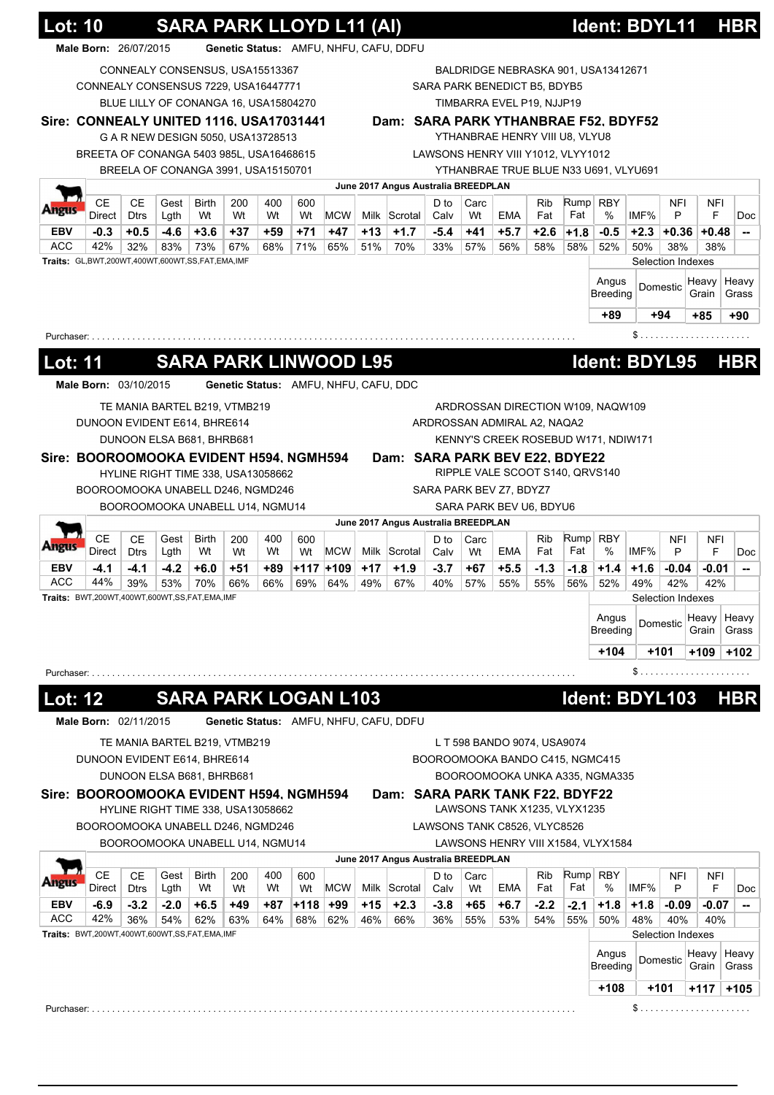|                                                                      |                                                     |               |               |                                       |            | SARA PARK LLOYD L11 (AI) |              |              |            |                                        |             |            |                                    |               |               |                                       |               |                          |                |                                                                                              |
|----------------------------------------------------------------------|-----------------------------------------------------|---------------|---------------|---------------------------------------|------------|--------------------------|--------------|--------------|------------|----------------------------------------|-------------|------------|------------------------------------|---------------|---------------|---------------------------------------|---------------|--------------------------|----------------|----------------------------------------------------------------------------------------------|
|                                                                      | Male Born: 26/07/2015                               |               |               |                                       |            |                          |              |              |            | Genetic Status: AMFU, NHFU, CAFU, DDFU |             |            |                                    |               |               |                                       |               |                          |                |                                                                                              |
|                                                                      |                                                     |               |               | CONNEALY CONSENSUS, USA15513367       |            |                          |              |              |            |                                        |             |            |                                    |               |               | BALDRIDGE NEBRASKA 901, USA13412671   |               |                          |                |                                                                                              |
|                                                                      | CONNEALY CONSENSUS 7229, USA16447771                |               |               |                                       |            |                          |              |              |            |                                        |             |            | SARA PARK BENEDICT B5, BDYB5       |               |               |                                       |               |                          |                |                                                                                              |
|                                                                      |                                                     |               |               | BLUE LILLY OF CONANGA 16, USA15804270 |            |                          |              |              |            |                                        |             |            | TIMBARRA EVEL P19, NJJP19          |               |               |                                       |               |                          |                |                                                                                              |
|                                                                      | Sire: CONNEALY UNITED 1116, USA17031441             |               |               |                                       |            |                          |              |              |            |                                        |             |            |                                    |               |               | Dam: SARA PARK YTHANBRAE F52, BDYF52  |               |                          |                |                                                                                              |
|                                                                      |                                                     |               |               | G A R NEW DESIGN 5050, USA13728513    |            |                          |              |              |            |                                        |             |            | YTHANBRAE HENRY VIII U8, VLYU8     |               |               |                                       |               |                          |                |                                                                                              |
|                                                                      | BREETA OF CONANGA 5403 985L, USA16468615            |               |               |                                       |            |                          |              |              |            |                                        |             |            | LAWSONS HENRY VIII Y1012, VLYY1012 |               |               |                                       |               |                          |                |                                                                                              |
|                                                                      |                                                     |               |               | BREELA OF CONANGA 3991, USA15150701   |            |                          |              |              |            |                                        |             |            |                                    |               |               | YTHANBRAE TRUE BLUE N33 U691, VLYU691 |               |                          |                |                                                                                              |
|                                                                      |                                                     |               |               |                                       |            |                          |              |              |            | June 2017 Angus Australia BREEDPLAN    |             |            |                                    |               |               |                                       |               |                          |                |                                                                                              |
| ware                                                                 | <b>CE</b>                                           | <b>CE</b>     | Gest          | <b>Birth</b>                          | 200        | 400                      | 600          |              |            |                                        | D to        | Carc       |                                    | <b>Rib</b>    |               | Rump RBY                              |               | <b>NFI</b>               | NFI            |                                                                                              |
|                                                                      | Direct                                              | <b>Dtrs</b>   | Lgth          | Wt                                    | Wt         | Wt                       | Wt           | <b>MCW</b>   |            | Milk Scrotal<br>$+1.7$                 | Calv        | Wt         | EMA                                | Fat           | Fat           | %                                     | IMF%          | P                        | F              | Doc                                                                                          |
| <b>EBV</b><br><b>ACC</b>                                             | $-0.3$<br>42%                                       | $+0.5$<br>32% | $-4.6$<br>83% | $+3.6$<br>73%                         | +37<br>67% | +59<br>68%               | $+71$<br>71% | $+47$<br>65% | +13<br>51% | 70%                                    | -5.4<br>33% | +41<br>57% | $+5.7$<br>56%                      | $+2.6$<br>58% | $+1.8$<br>58% | $-0.5$<br>52%                         | $+2.3$<br>50% | $+0.36$<br>38%           | $+0.48$<br>38% | --                                                                                           |
|                                                                      | Traits: GL,BWT,200WT,400WT,600WT,SS,FAT,EMA,IMF     |               |               |                                       |            |                          |              |              |            |                                        |             |            |                                    |               |               |                                       |               | Selection Indexes        |                |                                                                                              |
|                                                                      |                                                     |               |               |                                       |            |                          |              |              |            |                                        |             |            |                                    |               |               | Angus                                 |               |                          | Heavy          | Heavy                                                                                        |
|                                                                      |                                                     |               |               |                                       |            |                          |              |              |            |                                        |             |            |                                    |               |               | <b>Breeding</b>                       |               | Domestic                 | Grain          | Grass                                                                                        |
|                                                                      |                                                     |               |               |                                       |            |                          |              |              |            |                                        |             |            |                                    |               |               | $+89$                                 |               | $+94$                    | $+85$          | $+90$                                                                                        |
|                                                                      |                                                     |               |               |                                       |            |                          |              |              |            |                                        |             |            |                                    |               |               |                                       |               |                          |                |                                                                                              |
|                                                                      | Purchaser:                                          |               |               |                                       |            |                          |              |              |            |                                        |             |            |                                    |               |               |                                       |               |                          |                |                                                                                              |
| Lot: 11                                                              |                                                     |               |               | <b>SARA PARK LINWOOD L95</b>          |            |                          |              |              |            |                                        |             |            |                                    |               |               | Ident: BDYL95                         |               |                          |                | <b>HBR</b>                                                                                   |
|                                                                      |                                                     |               |               |                                       |            |                          |              |              |            |                                        |             |            |                                    |               |               |                                       |               |                          |                |                                                                                              |
|                                                                      | Male Born: 03/10/2015                               |               |               |                                       |            |                          |              |              |            | Genetic Status: AMFU, NHFU, CAFU, DDC  |             |            |                                    |               |               |                                       |               |                          |                |                                                                                              |
|                                                                      |                                                     |               |               | TE MANIA BARTEL B219, VTMB219         |            |                          |              |              |            |                                        |             |            |                                    |               |               | ARDROSSAN DIRECTION W109, NAQW109     |               |                          |                |                                                                                              |
|                                                                      | DUNOON EVIDENT E614, BHRE614                        |               |               |                                       |            |                          |              |              |            |                                        |             |            | ARDROSSAN ADMIRAL A2, NAQA2        |               |               |                                       |               |                          |                |                                                                                              |
|                                                                      |                                                     |               |               | DUNOON ELSA B681, BHRB681             |            |                          |              |              |            |                                        |             |            |                                    |               |               | KENNY'S CREEK ROSEBUD W171, NDIW171   |               |                          |                |                                                                                              |
|                                                                      | Sire: BOOROOMOOKA EVIDENT H594, NGMH594             |               |               |                                       |            |                          |              |              |            | Dam: SARA PARK BEV E22, BDYE22         |             |            |                                    |               |               |                                       |               |                          |                |                                                                                              |
|                                                                      |                                                     |               |               | HYLINE RIGHT TIME 338, USA13058662    |            |                          |              |              |            |                                        |             |            | RIPPLE VALE SCOOT S140, QRVS140    |               |               |                                       |               |                          |                |                                                                                              |
|                                                                      | BOOROOMOOKA UNABELL D246, NGMD246                   |               |               |                                       |            |                          |              |              |            |                                        |             |            | SARA PARK BEV Z7, BDYZ7            |               |               |                                       |               |                          |                |                                                                                              |
|                                                                      |                                                     |               |               | BOOROOMOOKA UNABELL U14, NGMU14       |            |                          |              |              |            |                                        |             |            | SARA PARK BEV U6, BDYU6            |               |               |                                       |               |                          |                |                                                                                              |
|                                                                      |                                                     |               |               |                                       |            |                          |              |              |            | June 2017 Angus Australia BREEDPLAN    |             |            |                                    |               |               |                                       |               |                          |                |                                                                                              |
|                                                                      |                                                     |               |               |                                       |            | 400                      | 600          |              |            |                                        | D to        | Carc       |                                    | Rib           |               | Rump   RBY                            |               | <b>NFI</b>               | NFI            |                                                                                              |
|                                                                      | <b>CE</b>                                           | <b>CE</b>     | Gest          | Birth                                 | 200        |                          |              |              |            |                                        |             |            |                                    |               |               |                                       |               |                          |                |                                                                                              |
|                                                                      | Direct                                              | <b>Dtrs</b>   | Lgth          | Wt                                    | Wt         | Wt                       | Wt           | <b>MCW</b>   |            | Milk Scrotal                           | Calv        | Wt         | EMA                                | Fat           | Fat           | $\%$                                  | IMF%          | P                        | F              |                                                                                              |
|                                                                      | $-4.1$                                              | -4.1          | $-4.2$        | $+6.0$                                | +51        | +89                      |              | +117 +109    | $+17$      | $+1.9$                                 | $-3.7$      | +67        | $+5.5$                             | $-1.3$        | $-1.8$        | $+1.4$                                | $+1.6$        | $-0.04$                  | $-0.01$        |                                                                                              |
|                                                                      | 44%<br>Traits: BWT,200WT,400WT,600WT,SS,FAT,EMA,IMF | 39%           | 53%           | 70%                                   | 66%        | 66%                      | 69%          | 64%          | 49%        | 67%                                    | 40%         | 57%        | 55%                                | 55%           | 56%           | 52%                                   | 49%           | 42%<br>Selection Indexes | 42%            |                                                                                              |
|                                                                      |                                                     |               |               |                                       |            |                          |              |              |            |                                        |             |            |                                    |               |               |                                       |               |                          |                |                                                                                              |
|                                                                      |                                                     |               |               |                                       |            |                          |              |              |            |                                        |             |            |                                    |               |               | Angus<br><b>Breeding</b>              |               | Domestic                 | Heavy<br>Grain |                                                                                              |
|                                                                      |                                                     |               |               |                                       |            |                          |              |              |            |                                        |             |            |                                    |               |               |                                       |               |                          |                |                                                                                              |
|                                                                      |                                                     |               |               |                                       |            |                          |              |              |            |                                        |             |            |                                    |               |               | $+104$                                |               | +101                     | +109           |                                                                                              |
|                                                                      |                                                     |               |               |                                       |            |                          |              |              |            |                                        |             |            |                                    |               |               |                                       |               |                          |                |                                                                                              |
|                                                                      |                                                     |               |               |                                       |            |                          |              |              |            |                                        |             |            |                                    |               |               |                                       |               |                          |                |                                                                                              |
|                                                                      |                                                     |               |               | <b>SARA PARK LOGAN L103</b>           |            |                          |              |              |            |                                        |             |            |                                    |               |               | Ident: BDYL103                        |               |                          |                |                                                                                              |
|                                                                      | Male Born: 02/11/2015                               |               |               |                                       |            |                          |              |              |            | Genetic Status: AMFU, NHFU, CAFU, DDFU |             |            |                                    |               |               |                                       |               |                          |                |                                                                                              |
|                                                                      |                                                     |               |               | TE MANIA BARTEL B219, VTMB219         |            |                          |              |              |            |                                        |             |            | L T 598 BANDO 9074, USA9074        |               |               |                                       |               |                          |                |                                                                                              |
|                                                                      | DUNOON EVIDENT E614, BHRE614                        |               |               |                                       |            |                          |              |              |            |                                        |             |            | BOOROOMOOKA BANDO C415, NGMC415    |               |               |                                       |               |                          |                |                                                                                              |
|                                                                      |                                                     |               |               | DUNOON ELSA B681, BHRB681             |            |                          |              |              |            |                                        |             |            |                                    |               |               | BOOROOMOOKA UNKA A335, NGMA335        |               |                          |                |                                                                                              |
| EBV                                                                  |                                                     |               |               |                                       |            |                          |              |              |            |                                        |             |            |                                    |               |               |                                       |               |                          |                |                                                                                              |
|                                                                      | Sire: BOOROOMOOKA EVIDENT H594, NGMH594             |               |               | HYLINE RIGHT TIME 338, USA13058662    |            |                          |              |              |            | Dam: SARA PARK TANK F22, BDYF22        |             |            | LAWSONS TANK X1235, VLYX1235       |               |               |                                       |               |                          |                |                                                                                              |
|                                                                      | BOOROOMOOKA UNABELL D246, NGMD246                   |               |               |                                       |            |                          |              |              |            |                                        |             |            | LAWSONS TANK C8526, VLYC8526       |               |               |                                       |               |                          |                |                                                                                              |
|                                                                      |                                                     |               |               | BOOROOMOOKA UNABELL U14, NGMU14       |            |                          |              |              |            |                                        |             |            |                                    |               |               | LAWSONS HENRY VIII X1584, VLYX1584    |               |                          |                |                                                                                              |
|                                                                      |                                                     |               |               |                                       |            |                          |              |              |            | June 2017 Angus Australia BREEDPLAN    |             |            |                                    |               |               |                                       |               |                          |                |                                                                                              |
|                                                                      | <b>CE</b>                                           | <b>CE</b>     | Gest          | <b>Birth</b>                          |            | 400                      | 600          |              |            |                                        | D to        | Carc       |                                    | <b>Rib</b>    |               |                                       |               |                          | <b>NFI</b>     |                                                                                              |
|                                                                      | Direct                                              | <b>Dtrs</b>   | Lgth          | Wt                                    | 200<br>Wt  | Wt                       | Wt           | <b>MCW</b>   |            | Milk Scrotal                           | Calv        | Wt         | EMA                                | Fat           | Fat           | Rump   RBY<br>%                       | IMF%          | NFI<br>P                 | F              |                                                                                              |
|                                                                      | -6.9                                                | $-3.2$        | $-2.0$        | $+6.5$                                | +49        | +87                      | $+118$       | +99          | +15        | $+2.3$                                 | $-3.8$      | +65        | $+6.7$                             | $-2.2$        | $-2.1$        | $+1.8$                                | $+1.8$        | $-0.09$                  | $-0.07$        |                                                                                              |
|                                                                      | 42%                                                 | 36%           | 54%           | 62%                                   | 63%        | 64%                      | 68%          | 62%          | 46%        | 66%                                    | 36%         | 55%        | 53%                                | 54%           | 55%           | 50%                                   | 48%           | 40%                      | 40%            |                                                                                              |
|                                                                      | Traits: BWT,200WT,400WT,600WT,SS,FAT,EMA,IMF        |               |               |                                       |            |                          |              |              |            |                                        |             |            |                                    |               |               |                                       |               | Selection Indexes        |                |                                                                                              |
|                                                                      |                                                     |               |               |                                       |            |                          |              |              |            |                                        |             |            |                                    |               |               | Angus                                 |               |                          | Heavy          |                                                                                              |
| ungus<br>ACC<br>Purchaser: .<br><u> Lot: 12</u><br><b>EBV</b><br>ACC |                                                     |               |               |                                       |            |                          |              |              |            |                                        |             |            |                                    |               |               | <b>Breeding</b>                       |               | Domestic                 | Grain          |                                                                                              |
|                                                                      |                                                     |               |               |                                       |            |                          |              |              |            |                                        |             |            |                                    |               |               | $+108$                                |               | +101                     | +117           | Doc<br>--<br>Heavy<br>Grass<br>$+102$<br><b>HBR</b><br>Doc<br>--<br>Heavy<br>Grass<br>$+105$ |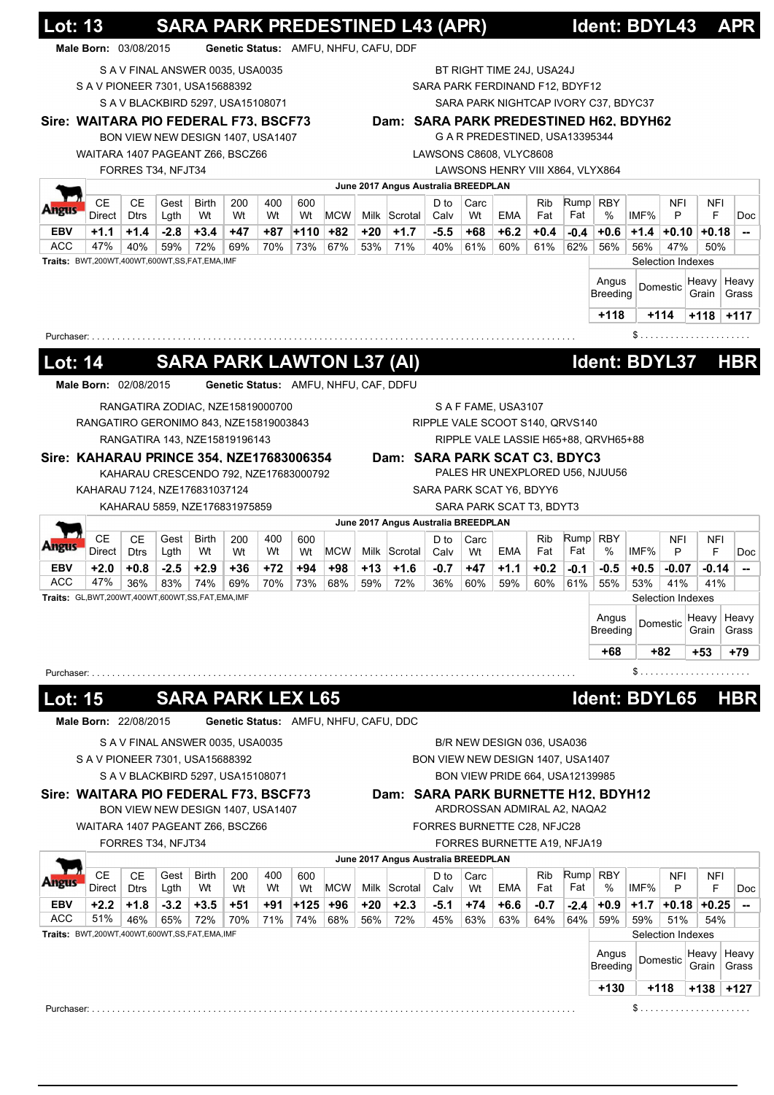|                                                     | <b>Lot: 13</b>        |                   |                    |                                                                       |              |            |               |              |              |                                        | <b>SARA PARK PREDESTINED L43 (APR)</b> |              |                                   |               |               | Ident: BDYL43                        |               |                       |           | <b>APR</b>                                            |
|-----------------------------------------------------|-----------------------|-------------------|--------------------|-----------------------------------------------------------------------|--------------|------------|---------------|--------------|--------------|----------------------------------------|----------------------------------------|--------------|-----------------------------------|---------------|---------------|--------------------------------------|---------------|-----------------------|-----------|-------------------------------------------------------|
|                                                     | Male Born: 03/08/2015 |                   |                    |                                                                       |              |            |               |              |              | Genetic Status: AMFU, NHFU, CAFU, DDF  |                                        |              |                                   |               |               |                                      |               |                       |           |                                                       |
|                                                     |                       |                   |                    | S A V FINAL ANSWER 0035, USA0035                                      |              |            |               |              |              |                                        |                                        |              | BT RIGHT TIME 24J, USA24J         |               |               |                                      |               |                       |           |                                                       |
|                                                     |                       |                   |                    | S A V PIONEER 7301, USA15688392                                       |              |            |               |              |              |                                        |                                        |              | SARA PARK FERDINAND F12, BDYF12   |               |               |                                      |               |                       |           |                                                       |
|                                                     |                       |                   |                    | S A V BLACKBIRD 5297, USA15108071                                     |              |            |               |              |              |                                        |                                        |              |                                   |               |               | SARA PARK NIGHTCAP IVORY C37, BDYC37 |               |                       |           |                                                       |
|                                                     |                       |                   |                    | Sire: WAITARA PIO FEDERAL F73, BSCF73                                 |              |            |               |              |              | Dam: SARA PARK PREDESTINED H62, BDYH62 |                                        |              | G A R PREDESTINED, USA13395344    |               |               |                                      |               |                       |           |                                                       |
|                                                     |                       |                   |                    | BON VIEW NEW DESIGN 1407, USA1407<br>WAITARA 1407 PAGEANT Z66, BSCZ66 |              |            |               |              |              |                                        |                                        |              | LAWSONS C8608, VLYC8608           |               |               |                                      |               |                       |           |                                                       |
|                                                     |                       |                   | FORRES T34, NFJT34 |                                                                       |              |            |               |              |              |                                        |                                        |              | LAWSONS HENRY VIII X864, VLYX864  |               |               |                                      |               |                       |           |                                                       |
|                                                     |                       |                   |                    |                                                                       |              |            |               |              |              | June 2017 Angus Australia BREEDPLAN    |                                        |              |                                   |               |               |                                      |               |                       |           |                                                       |
| ungus                                               | СE                    | CЕ                | Gest               | <b>Birth</b>                                                          | 200          | 400        | 600           |              |              |                                        | D to                                   | Carc         |                                   | Rib           |               | $Rump$ RBY                           |               | NFI                   | NFI       |                                                       |
|                                                     | Direct                | <b>Dtrs</b>       | Lgth               | Wt                                                                    | Wt           | Wt         | Wt            | <b>MCW</b>   |              | Milk Scrotal                           | Calv                                   | Wt           | <b>EMA</b>                        | Fat           | Fat           | %                                    | IMF%          | P                     | F         |                                                       |
| EBV<br>ACC                                          | $+1.1$<br>47%         | $+1.4$<br>40%     | $-2.8$<br>59%      | $+3.4$<br>72%                                                         | $+47$<br>69% | +87<br>70% | $+110$<br>73% | $+82$<br>67% | $+20$<br>53% | $+1.7$<br>71%                          | $-5.5$<br>40%                          | $+68$<br>61% | $+6.2$<br>60%                     | $+0.4$<br>61% | $-0.4$<br>62% | $+0.6$<br>56%                        | $+1.4$<br>56% | $+0.10 + 0.18$<br>47% | 50%       |                                                       |
|                                                     |                       |                   |                    | Traits: BWT,200WT,400WT,600WT,SS,FAT,EMA,IMF                          |              |            |               |              |              |                                        |                                        |              |                                   |               |               |                                      |               | Selection Indexes     |           |                                                       |
|                                                     |                       |                   |                    |                                                                       |              |            |               |              |              |                                        |                                        |              |                                   |               |               | Angus                                |               |                       | Heavy     | Heavy                                                 |
|                                                     |                       |                   |                    |                                                                       |              |            |               |              |              |                                        |                                        |              |                                   |               |               | <b>Breeding</b>                      |               | Domestic              | Grain     | Grass                                                 |
|                                                     |                       |                   |                    |                                                                       |              |            |               |              |              |                                        |                                        |              |                                   |               |               | $+118$                               |               | $+114$                | +118 +117 |                                                       |
| Purchaser: .                                        |                       |                   |                    |                                                                       |              |            |               |              |              |                                        |                                        |              |                                   |               |               |                                      | \$            |                       |           |                                                       |
|                                                     |                       |                   |                    |                                                                       |              |            |               |              |              |                                        |                                        |              |                                   |               |               |                                      |               |                       |           |                                                       |
| <u> Lot: 14</u>                                     |                       |                   |                    | <b>SARA PARK LAWTON L37 (AI)</b>                                      |              |            |               |              |              |                                        |                                        |              |                                   |               |               | Ident: BDYL37                        |               |                       |           | <b>HBR</b>                                            |
|                                                     | Male Born: 02/08/2015 |                   |                    |                                                                       |              |            |               |              |              | Genetic Status: AMFU, NHFU, CAF, DDFU  |                                        |              |                                   |               |               |                                      |               |                       |           |                                                       |
|                                                     |                       |                   |                    | RANGATIRA ZODIAC, NZE15819000700                                      |              |            |               |              |              |                                        |                                        |              | S A F FAME, USA3107               |               |               |                                      |               |                       |           |                                                       |
|                                                     |                       |                   |                    | RANGATIRO GERONIMO 843, NZE15819003843                                |              |            |               |              |              |                                        |                                        |              | RIPPLE VALE SCOOT S140, QRVS140   |               |               |                                      |               |                       |           |                                                       |
|                                                     |                       |                   |                    | RANGATIRA 143, NZE15819196143                                         |              |            |               |              |              |                                        |                                        |              |                                   |               |               | RIPPLE VALE LASSIE H65+88, QRVH65+88 |               |                       |           |                                                       |
|                                                     |                       |                   |                    | Sire: KAHARAU PRINCE 354, NZE17683006354                              |              |            |               |              |              | Dam: SARA PARK SCAT C3, BDYC3          |                                        |              |                                   |               |               |                                      |               |                       |           |                                                       |
|                                                     |                       |                   |                    | KAHARAU CRESCENDO 792, NZE17683000792                                 |              |            |               |              |              |                                        |                                        |              |                                   |               |               | PALES HR UNEXPLORED U56, NJUU56      |               |                       |           |                                                       |
|                                                     |                       |                   |                    | KAHARAU 7124, NZE176831037124                                         |              |            |               |              |              |                                        |                                        |              | SARA PARK SCAT Y6, BDYY6          |               |               |                                      |               |                       |           |                                                       |
|                                                     |                       |                   |                    | KAHARAU 5859, NZE176831975859                                         |              |            |               |              |              |                                        |                                        |              | SARA PARK SCAT T3, BDYT3          |               |               |                                      |               |                       |           |                                                       |
|                                                     |                       |                   |                    |                                                                       |              |            |               |              |              | June 2017 Angus Australia BREEDPLAN    |                                        |              |                                   |               |               |                                      |               |                       |           |                                                       |
|                                                     | <b>CE</b>             | СE<br><b>Dtrs</b> | Gest<br>Lgth       | Birth<br>Wt                                                           | 200<br>Wt    | 400<br>Wt  | 600<br>Wt     | <b>MCW</b>   |              | Milk Scrotal                           | D to<br>Calv                           | Carc<br>Wt   | EMA                               | Rib<br>Fat    | Fat           | $Rump$ RBY<br>%                      | IMF%          | NFI<br>P              | NFI<br>F  |                                                       |
|                                                     |                       |                   |                    |                                                                       |              | +72        | +94           | $+98$        | $+13$        | $+1.6$                                 | $-0.7$                                 | +47          | $+1.1$                            | $+0.2$        | $-0.1$        | $-0.5$                               | $+0.5$        | $-0.07$               | $-0.14$   |                                                       |
|                                                     | Direct                |                   |                    |                                                                       |              |            |               |              |              |                                        |                                        |              |                                   |               |               |                                      |               |                       |           |                                                       |
|                                                     | $+2.0$<br>47%         | $+0.8$<br>36%     | $-2.5$<br>83%      | $+2.9$<br>74%                                                         | $+36$<br>69% | 70%        | 73%           | 68%          | 59%          | 72%                                    | 36%                                    | 60%          | 59%                               | 60%           | 61%           | 55%                                  | 53%           | 41%                   | 41%       |                                                       |
|                                                     |                       |                   |                    | Traits: GL,BWT,200WT,400WT,600WT,SS,FAT,EMA,IMF                       |              |            |               |              |              |                                        |                                        |              |                                   |               |               |                                      |               | Selection Indexes     |           |                                                       |
|                                                     |                       |                   |                    |                                                                       |              |            |               |              |              |                                        |                                        |              |                                   |               |               | Angus                                |               |                       | Heavy     |                                                       |
|                                                     |                       |                   |                    |                                                                       |              |            |               |              |              |                                        |                                        |              |                                   |               |               | Breeding                             |               | Domestic              | Grain     |                                                       |
|                                                     |                       |                   |                    |                                                                       |              |            |               |              |              |                                        |                                        |              |                                   |               |               | +68                                  |               | +82                   | $+53$     |                                                       |
|                                                     |                       |                   |                    |                                                                       |              |            |               |              |              |                                        |                                        |              |                                   |               |               |                                      | \$            |                       |           |                                                       |
|                                                     |                       |                   |                    |                                                                       |              |            |               |              |              |                                        |                                        |              |                                   |               |               |                                      |               |                       |           |                                                       |
|                                                     |                       |                   |                    | <b>SARA PARK LEX L65</b>                                              |              |            |               |              |              |                                        |                                        |              |                                   |               |               | Ident: BDYL65                        |               |                       |           |                                                       |
|                                                     | Male Born: 22/08/2015 |                   |                    |                                                                       |              |            |               |              |              | Genetic Status: AMFU, NHFU, CAFU, DDC  |                                        |              |                                   |               |               |                                      |               |                       |           |                                                       |
|                                                     |                       |                   |                    | S A V FINAL ANSWER 0035, USA0035                                      |              |            |               |              |              |                                        |                                        |              | B/R NEW DESIGN 036, USA036        |               |               |                                      |               |                       |           |                                                       |
|                                                     |                       |                   |                    | S A V PIONEER 7301, USA15688392                                       |              |            |               |              |              |                                        |                                        |              | BON VIEW NEW DESIGN 1407, USA1407 |               |               |                                      |               |                       |           |                                                       |
|                                                     |                       |                   |                    | SAV BLACKBIRD 5297, USA15108071                                       |              |            |               |              |              |                                        |                                        |              | BON VIEW PRIDE 664, USA12139985   |               |               |                                      |               |                       |           |                                                       |
|                                                     |                       |                   |                    | Sire: WAITARA PIO FEDERAL F73, BSCF73                                 |              |            |               |              |              | Dam: SARA PARK BURNETTE H12, BDYH12    |                                        |              |                                   |               |               |                                      |               |                       |           |                                                       |
|                                                     |                       |                   |                    | BON VIEW NEW DESIGN 1407, USA1407                                     |              |            |               |              |              |                                        |                                        |              | ARDROSSAN ADMIRAL A2, NAQA2       |               |               |                                      |               |                       |           |                                                       |
|                                                     |                       |                   |                    | WAITARA 1407 PAGEANT Z66, BSCZ66                                      |              |            |               |              |              |                                        |                                        |              | FORRES BURNETTE C28, NFJC28       |               |               |                                      |               |                       |           |                                                       |
|                                                     |                       |                   | FORRES T34, NFJT34 |                                                                       |              |            |               |              |              |                                        |                                        |              | FORRES BURNETTE A19, NFJA19       |               |               |                                      |               |                       |           |                                                       |
|                                                     |                       |                   |                    |                                                                       |              |            |               |              |              | June 2017 Angus Australia BREEDPLAN    |                                        |              |                                   |               |               |                                      |               |                       |           |                                                       |
|                                                     | <b>CE</b>             | СE                | Gest               | Birth                                                                 | 200          | 400        | 600           |              |              |                                        | D to                                   | Carc         |                                   | Rib           |               | $Rump$ RBY                           |               | NFI                   | NFI       |                                                       |
|                                                     | Direct                | <b>Dtrs</b>       | Lgth               | Wt                                                                    | Wt           | Wt         | Wt            | <b>MCW</b>   |              | Milk Scrotal                           | Calv                                   | Wt           | EMA                               | Fat           | Fat           | %                                    | IMF%          | P                     | F         |                                                       |
|                                                     | $+2.2$<br>51%         | $+1.8$<br>46%     | $-3.2$<br>65%      | $+3.5$<br>72%                                                         | +51<br>70%   | +91<br>71% | $+125$<br>74% | $+96$<br>68% | +20<br>56%   | $+2.3$<br>72%                          | $-5.1$<br>45%                          | $+74$<br>63% | $+6.6$<br>63%                     | $-0.7$<br>64% | $-2.4$<br>64% | $+0.9$<br>59%                        | $+1.7$<br>59% | $+0.18$ +0.25<br>51%  | 54%       |                                                       |
|                                                     |                       |                   |                    | Traits: BWT,200WT,400WT,600WT,SS,FAT,EMA,IMF                          |              |            |               |              |              |                                        |                                        |              |                                   |               |               |                                      |               | Selection Indexes     |           |                                                       |
|                                                     |                       |                   |                    |                                                                       |              |            |               |              |              |                                        |                                        |              |                                   |               |               | Angus                                |               |                       | Heavy     |                                                       |
|                                                     |                       |                   |                    |                                                                       |              |            |               |              |              |                                        |                                        |              |                                   |               |               | Breeding                             |               | Domestic              | Grain     |                                                       |
| EBV<br>ACC<br>Purchaser: .<br>Lot: 15<br>EBV<br>ACC |                       |                   |                    |                                                                       |              |            |               |              |              |                                        |                                        |              |                                   |               |               | $+130$                               |               | $+118$                | +138 +127 | Heavy<br>Grass<br>+79<br><b>HBR</b><br>Heavy<br>Grass |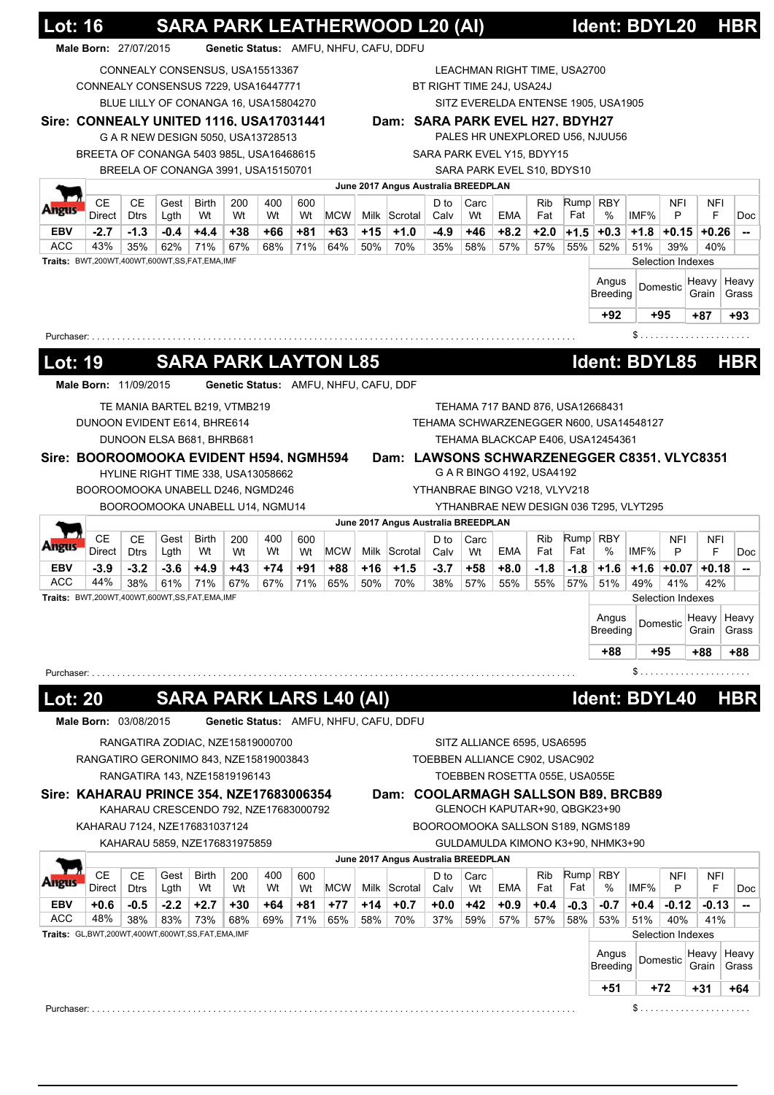|                                                     |                                                     | Male Born: 27/07/2015 |              |                                       |           |           |           |                                       |       | Genetic Status: AMFU, NHFU, CAFU, DDFU |              |            |                                |                               |        |                                             |        |                   |                    |                                                                                        |
|-----------------------------------------------------|-----------------------------------------------------|-----------------------|--------------|---------------------------------------|-----------|-----------|-----------|---------------------------------------|-------|----------------------------------------|--------------|------------|--------------------------------|-------------------------------|--------|---------------------------------------------|--------|-------------------|--------------------|----------------------------------------------------------------------------------------|
|                                                     |                                                     |                       |              |                                       |           |           |           |                                       |       |                                        |              |            |                                |                               |        |                                             |        |                   |                    |                                                                                        |
|                                                     |                                                     |                       |              | CONNEALY CONSENSUS, USA15513367       |           |           |           |                                       |       |                                        |              |            | LEACHMAN RIGHT TIME, USA2700   |                               |        |                                             |        |                   |                    |                                                                                        |
|                                                     | CONNEALY CONSENSUS 7229, USA16447771                |                       |              | BLUE LILLY OF CONANGA 16, USA15804270 |           |           |           |                                       |       |                                        |              |            | BT RIGHT TIME 24J, USA24J      |                               |        | SITZ EVERELDA ENTENSE 1905, USA1905         |        |                   |                    |                                                                                        |
|                                                     | Sire: CONNEALY UNITED 1116, USA17031441             |                       |              |                                       |           |           |           |                                       |       | Dam: SARA PARK EVEL H27, BDYH27        |              |            |                                |                               |        |                                             |        |                   |                    |                                                                                        |
|                                                     |                                                     |                       |              | G A R NEW DESIGN 5050, USA13728513    |           |           |           |                                       |       |                                        |              |            |                                |                               |        | PALES HR UNEXPLORED U56, NJUU56             |        |                   |                    |                                                                                        |
|                                                     | BREETA OF CONANGA 5403 985L, USA16468615            |                       |              |                                       |           |           |           |                                       |       |                                        |              |            | SARA PARK EVEL Y15, BDYY15     |                               |        |                                             |        |                   |                    |                                                                                        |
|                                                     |                                                     |                       |              | BREELA OF CONANGA 3991, USA15150701   |           |           |           |                                       |       |                                        |              |            | SARA PARK EVEL S10, BDYS10     |                               |        |                                             |        |                   |                    |                                                                                        |
|                                                     |                                                     |                       |              |                                       |           |           |           |                                       |       | June 2017 Angus Australia BREEDPLAN    |              |            |                                |                               |        |                                             |        |                   |                    |                                                                                        |
|                                                     | <b>CE</b>                                           | CЕ                    | Gest         | <b>Birth</b>                          | 200       | 400       | 600       |                                       |       |                                        | D to         | Carc       |                                | <b>Rib</b>                    | Rump   | <b>RBY</b>                                  |        | <b>NFI</b>        | <b>NFI</b>         |                                                                                        |
| monic                                               | Direct                                              | <b>Dtrs</b>           | Lgth         | Wt                                    | Wt        | Wt        | Wt        | <b>MCW</b>                            |       | Milk Scrotal                           | Calv         | Wt         | <b>EMA</b>                     | Fat                           | Fat    | %                                           | IMF%   | P                 | F                  | Doc                                                                                    |
| <b>EBV</b>                                          | $-2.7$                                              | $-1.3$                | $-0.4$       | $+4.4$                                | $+38$     | +66       | +81       | $+63$                                 | $+15$ | $+1.0$                                 | $-4.9$       | +46        | $+8.2$                         | $+2.0$                        | $+1.5$ | $+0.3$                                      |        |                   | $+1.8$ +0.15 +0.26 | --                                                                                     |
| <b>ACC</b>                                          | 43%<br>Traits: BWT,200WT,400WT,600WT,SS,FAT,EMA,IMF | 35%                   | 62%          | 71%                                   | 67%       | 68%       | 71%       | 64%                                   | 50%   | 70%                                    | 35%          | 58%        | 57%                            | 57%                           | 55%    | 52%                                         | 51%    | 39%               | 40%                |                                                                                        |
|                                                     |                                                     |                       |              |                                       |           |           |           |                                       |       |                                        |              |            |                                |                               |        |                                             |        | Selection Indexes |                    |                                                                                        |
|                                                     |                                                     |                       |              |                                       |           |           |           |                                       |       |                                        |              |            |                                |                               |        | Angus<br><b>Breeding</b>                    |        | Domestic          | Heavy<br>Grain     | Heavy<br>Grass                                                                         |
|                                                     |                                                     |                       |              |                                       |           |           |           |                                       |       |                                        |              |            |                                |                               |        |                                             |        |                   |                    |                                                                                        |
|                                                     |                                                     |                       |              |                                       |           |           |           |                                       |       |                                        |              |            |                                |                               |        | +92                                         |        | +95               | $+87$              | +93                                                                                    |
|                                                     | Purchaser: $\ldots \ldots \ldots$                   |                       |              |                                       |           |           |           |                                       |       |                                        |              |            |                                |                               |        |                                             |        |                   | \$                 |                                                                                        |
| <u> Lot: 19</u>                                     |                                                     |                       |              | <b>SARA PARK LAYTON L85</b>           |           |           |           |                                       |       |                                        |              |            |                                |                               |        | Ident: BDYL85                               |        |                   |                    | <b>HBR</b>                                                                             |
|                                                     | Male Born: 11/09/2015                               |                       |              |                                       |           |           |           | Genetic Status: AMFU, NHFU, CAFU, DDF |       |                                        |              |            |                                |                               |        |                                             |        |                   |                    |                                                                                        |
|                                                     |                                                     |                       |              |                                       |           |           |           |                                       |       |                                        |              |            |                                |                               |        |                                             |        |                   |                    |                                                                                        |
|                                                     |                                                     |                       |              | TE MANIA BARTEL B219, VTMB219         |           |           |           |                                       |       |                                        |              |            |                                |                               |        | TEHAMA 717 BAND 876, USA12668431            |        |                   |                    |                                                                                        |
|                                                     | DUNOON EVIDENT E614, BHRE614                        |                       |              |                                       |           |           |           |                                       |       |                                        |              |            |                                |                               |        | TEHAMA SCHWARZENEGGER N600, USA14548127     |        |                   |                    |                                                                                        |
|                                                     |                                                     |                       |              | DUNOON ELSA B681, BHRB681             |           |           |           |                                       |       |                                        |              |            |                                |                               |        | TEHAMA BLACKCAP E406, USA12454361           |        |                   |                    |                                                                                        |
|                                                     | Sire: BOOROOMOOKA EVIDENT H594, NGMH594             |                       |              |                                       |           |           |           |                                       |       |                                        |              |            |                                |                               |        | Dam: LAWSONS SCHWARZENEGGER C8351, VLYC8351 |        |                   |                    |                                                                                        |
|                                                     |                                                     |                       |              | HYLINE RIGHT TIME 338, USA13058662    |           |           |           |                                       |       |                                        |              |            | G A R BINGO 4192, USA4192      |                               |        |                                             |        |                   |                    |                                                                                        |
|                                                     |                                                     |                       |              |                                       |           |           |           |                                       |       |                                        |              |            |                                |                               |        |                                             |        |                   |                    |                                                                                        |
|                                                     | BOOROOMOOKA UNABELL D246, NGMD246                   |                       |              |                                       |           |           |           |                                       |       |                                        |              |            |                                | YTHANBRAE BINGO V218, VLYV218 |        |                                             |        |                   |                    |                                                                                        |
|                                                     |                                                     |                       |              | BOOROOMOOKA UNABELL U14, NGMU14       |           |           |           |                                       |       |                                        |              |            |                                |                               |        | YTHANBRAE NEW DESIGN 036 T295, VLYT295      |        |                   |                    |                                                                                        |
|                                                     |                                                     |                       |              |                                       |           |           |           |                                       |       | June 2017 Angus Australia BREEDPLAN    |              |            |                                |                               |        |                                             |        |                   |                    |                                                                                        |
|                                                     | СE<br>Direct                                        | CЕ<br><b>Dtrs</b>     | Gest<br>Lgth | Birth<br>Wt                           | 200<br>Wt | 400<br>Wt | 600<br>Wt | <b>MCW</b>                            |       | Milk Scrotal                           | D to<br>Calv | Carc<br>Wt | EMA                            | Rib<br>Fat                    | Fat    | Rump RBY<br>$\%$                            | IMF%   | <b>NFI</b><br>P   | NFI<br>F           |                                                                                        |
|                                                     | $-3.9$                                              | $-3.2$                | $-3.6$       | $+4.9$                                | +43       | $+74$     | +91       | +88                                   | $+16$ | $+1.5$                                 | $-3.7$       | +58        | $+8.0$                         | $-1.8$                        | $-1.8$ | $+1.6$                                      | $+1.6$ | $+0.07$           | +0.18              |                                                                                        |
|                                                     | 44%                                                 | 38%                   | 61%          | 71%                                   | 67%       | 67%       | 71%       | 65%                                   | 50%   | 70%                                    | 38%          | 57%        | 55%                            | 55%                           | 57%    | 51%                                         | 49%    | 41%               | 42%                |                                                                                        |
|                                                     | Traits: BWT,200WT,400WT,600WT,SS,FAT,EMA,IMF        |                       |              |                                       |           |           |           |                                       |       |                                        |              |            |                                |                               |        |                                             |        | Selection Indexes |                    |                                                                                        |
|                                                     |                                                     |                       |              |                                       |           |           |           |                                       |       |                                        |              |            |                                |                               |        | Angus                                       |        | Domestic          | Heavy              |                                                                                        |
|                                                     |                                                     |                       |              |                                       |           |           |           |                                       |       |                                        |              |            |                                |                               |        | <b>Breeding</b>                             |        |                   | Grain              |                                                                                        |
|                                                     |                                                     |                       |              |                                       |           |           |           |                                       |       |                                        |              |            |                                |                               |        | +88                                         |        | +95               | +88                |                                                                                        |
|                                                     |                                                     |                       |              |                                       |           |           |           |                                       |       |                                        |              |            |                                |                               |        |                                             | $\S$   |                   | .                  |                                                                                        |
|                                                     |                                                     |                       |              |                                       |           |           |           |                                       |       |                                        |              |            |                                |                               |        |                                             |        |                   |                    |                                                                                        |
|                                                     |                                                     |                       |              | <b>SARA PARK LARS L40 (AI)</b>        |           |           |           |                                       |       |                                        |              |            |                                |                               |        | Ident: BDYL40                               |        |                   |                    |                                                                                        |
|                                                     | Male Born: 03/08/2015                               |                       |              |                                       |           |           |           |                                       |       | Genetic Status: AMFU, NHFU, CAFU, DDFU |              |            |                                |                               |        |                                             |        |                   |                    |                                                                                        |
|                                                     |                                                     |                       |              | RANGATIRA ZODIAC, NZE15819000700      |           |           |           |                                       |       |                                        |              |            | SITZ ALLIANCE 6595, USA6595    |                               |        |                                             |        |                   |                    |                                                                                        |
|                                                     | RANGATIRO GERONIMO 843, NZE15819003843              |                       |              |                                       |           |           |           |                                       |       |                                        |              |            | TOEBBEN ALLIANCE C902, USAC902 |                               |        |                                             |        |                   |                    |                                                                                        |
|                                                     |                                                     |                       |              | RANGATIRA 143, NZE15819196143         |           |           |           |                                       |       |                                        |              |            | TOEBBEN ROSETTA 055E, USA055E  |                               |        |                                             |        |                   |                    |                                                                                        |
| ungus<br>EBV<br>ACC<br>Purchaser:<br><b>Lot: 20</b> | Sire: KAHARAU PRINCE 354, NZE17683006354            |                       |              |                                       |           |           |           |                                       |       |                                        |              |            |                                |                               |        | Dam: COOLARMAGH SALLSON B89, BRCB89         |        |                   |                    |                                                                                        |
|                                                     |                                                     |                       |              | KAHARAU CRESCENDO 792, NZE17683000792 |           |           |           |                                       |       |                                        |              |            | GLENOCH KAPUTAR+90, QBGK23+90  |                               |        |                                             |        |                   |                    |                                                                                        |
|                                                     | KAHARAU 7124, NZE176831037124                       |                       |              |                                       |           |           |           |                                       |       |                                        |              |            |                                |                               |        | BOOROOMOOKA SALLSON S189, NGMS189           |        |                   |                    |                                                                                        |
|                                                     |                                                     |                       |              | KAHARAU 5859, NZE176831975859         |           |           |           |                                       |       |                                        |              |            |                                |                               |        | GULDAMULDA KIMONO K3+90, NHMK3+90           |        |                   |                    |                                                                                        |
|                                                     |                                                     |                       |              |                                       |           |           |           |                                       |       | June 2017 Angus Australia BREEDPLAN    |              |            |                                |                               |        |                                             |        |                   |                    |                                                                                        |
|                                                     | <b>CE</b>                                           | <b>CE</b>             | Gest         | Birth                                 | 200       | 400       | 600       |                                       |       |                                        | D to         | Carc       |                                | Rib                           | Rump   | <b>RBY</b>                                  |        | NFI               | NFI                |                                                                                        |
|                                                     | Direct                                              | <b>Dtrs</b>           | Lgth         | Wt                                    | Wt        | Wt        | Wt        | <b>MCW</b>                            |       | Milk Scrotal                           | Calv         | Wt         | EMA                            | Fat                           | Fat    | %                                           | IMF%   | P                 | F                  |                                                                                        |
|                                                     | $+0.6$                                              | -0.5                  | $-2.2$       | $+2.7$                                | +30       | +64       | +81       | $+77$                                 | +14   | $+0.7$                                 | $+0.0$       | $+42$      | $+0.9$                         | $+0.4$                        | $-0.3$ | -0.7                                        | $+0.4$ | $-0.12$           | $-0.13$            |                                                                                        |
|                                                     | 48%                                                 | 38%                   | 83%          | 73%                                   | 68%       | 69%       | 71%       | 65%                                   | 58%   | 70%                                    | 37%          | 59%        | 57%                            | 57%                           | 58%    | 53%                                         | 51%    | 40%               | 41%                |                                                                                        |
| EBV<br>ACC                                          | Traits: GL,BWT,200WT,400WT,600WT,SS,FAT,EMA,IMF     |                       |              |                                       |           |           |           |                                       |       |                                        |              |            |                                |                               |        |                                             |        | Selection Indexes |                    |                                                                                        |
|                                                     |                                                     |                       |              |                                       |           |           |           |                                       |       |                                        |              |            |                                |                               |        | Angus                                       |        | Domestic          | Heavy              |                                                                                        |
|                                                     |                                                     |                       |              |                                       |           |           |           |                                       |       |                                        |              |            |                                |                               |        | <b>Breeding</b><br>+51                      |        | +72               | Grain<br>+31       | Doc<br>--<br>Heavy<br>Grass<br>+88<br><b>HBR</b><br>Doc<br>--<br>Heavy<br>Grass<br>+64 |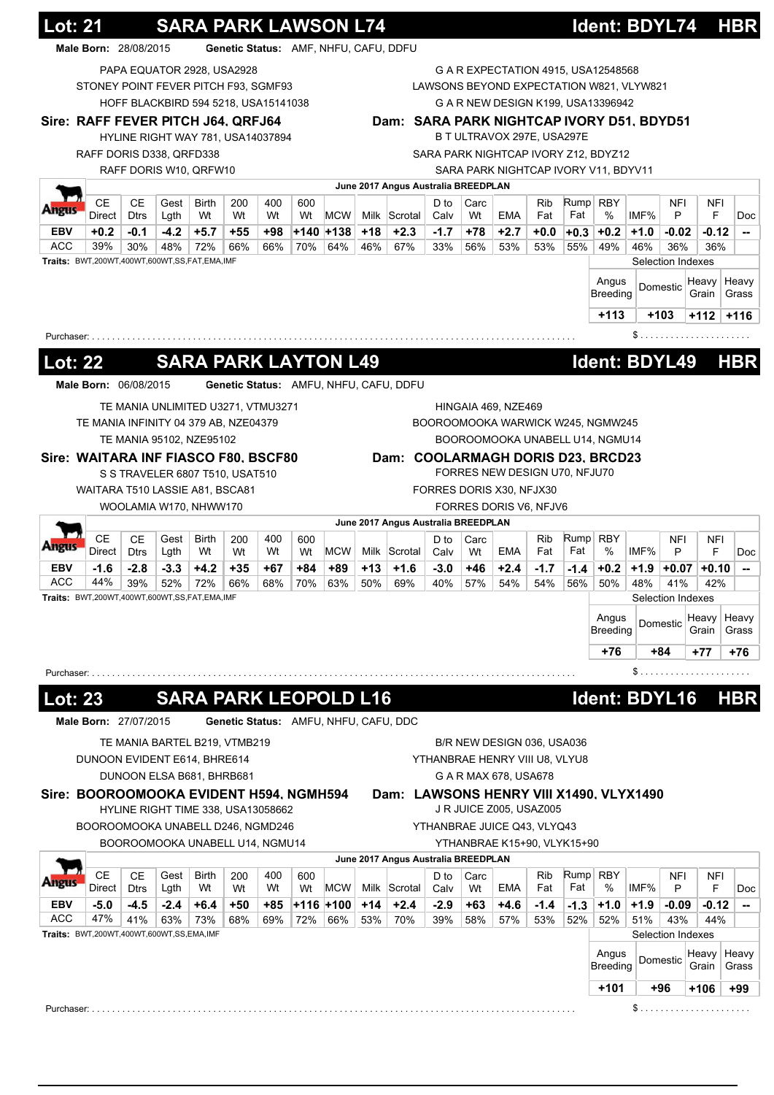|                                                                          |                                                     |                          |              |                                      |                                       | <b>SARA PARK LAWSON L74</b> |           |             |       |                                        |              |            |                                |            |             | Ident: BDYL74                                                                  |                   |                 | <b>HBR</b>      |                                                                                                                           |
|--------------------------------------------------------------------------|-----------------------------------------------------|--------------------------|--------------|--------------------------------------|---------------------------------------|-----------------------------|-----------|-------------|-------|----------------------------------------|--------------|------------|--------------------------------|------------|-------------|--------------------------------------------------------------------------------|-------------------|-----------------|-----------------|---------------------------------------------------------------------------------------------------------------------------|
|                                                                          | Male Born: 28/08/2015                               |                          |              |                                      | Genetic Status: AMF, NHFU, CAFU, DDFU |                             |           |             |       |                                        |              |            |                                |            |             |                                                                                |                   |                 |                 |                                                                                                                           |
|                                                                          |                                                     |                          |              | PAPA EQUATOR 2928, USA2928           |                                       |                             |           |             |       |                                        |              |            |                                |            |             | G A R EXPECTATION 4915, USA12548568                                            |                   |                 |                 |                                                                                                                           |
|                                                                          | STONEY POINT FEVER PITCH F93, SGMF93                |                          |              | HOFF BLACKBIRD 594 5218, USA15141038 |                                       |                             |           |             |       |                                        |              |            |                                |            |             | LAWSONS BEYOND EXPECTATION W821, VLYW821<br>G A R NEW DESIGN K199, USA13396942 |                   |                 |                 |                                                                                                                           |
|                                                                          | Sire: RAFF FEVER PITCH J64, QRFJ64                  |                          |              |                                      |                                       |                             |           |             |       |                                        |              |            |                                |            |             | Dam: SARA PARK NIGHTCAP IVORY D51, BDYD51                                      |                   |                 |                 |                                                                                                                           |
|                                                                          |                                                     |                          |              | HYLINE RIGHT WAY 781, USA14037894    |                                       |                             |           |             |       |                                        |              |            | B T ULTRAVOX 297E, USA297E     |            |             |                                                                                |                   |                 |                 |                                                                                                                           |
|                                                                          | RAFF DORIS D338, QRFD338                            |                          |              |                                      |                                       |                             |           |             |       |                                        |              |            |                                |            |             | SARA PARK NIGHTCAP IVORY Z12, BDYZ12                                           |                   |                 |                 |                                                                                                                           |
|                                                                          |                                                     |                          |              | RAFF DORIS W10, QRFW10               |                                       |                             |           |             |       |                                        |              |            |                                |            |             | SARA PARK NIGHTCAP IVORY V11, BDYV11                                           |                   |                 |                 |                                                                                                                           |
|                                                                          |                                                     |                          |              |                                      |                                       |                             |           |             |       | June 2017 Angus Australia BREEDPLAN    |              |            |                                |            |             |                                                                                |                   |                 |                 |                                                                                                                           |
|                                                                          | <b>CE</b><br>Direct                                 | <b>CE</b><br><b>Dtrs</b> | Gest<br>Lgth | Birth<br>Wt                          | 200<br>Wt                             | 400<br>Wt                   | 600<br>Wt | <b>MCW</b>  |       | Milk Scrotal                           | D to<br>Calv | Carc<br>Wt | EMA                            | Rib<br>Fat | Rump<br>Fat | <b>RBY</b><br>%                                                                | IMF%              | <b>NFI</b><br>P | NFI<br>F        | Doc                                                                                                                       |
| EBV                                                                      | $+0.2$                                              | $-0.1$                   | $-4.2$       | $+5.7$                               | $+55$                                 | $+98$                       |           | +140 +138   | $+18$ | $+2.3$                                 | $-1.7$       | $+78$      | $+2.7$                         | +0.0       | $+0.3$      | $+0.2$                                                                         | $+1.0$            | $-0.02$         | $-0.12$         | $\overline{\phantom{a}}$                                                                                                  |
| <b>ACC</b>                                                               | 39%                                                 | 30%                      | 48%          | 72%                                  | 66%                                   | 66%                         | 70%       | 64%         | 46%   | 67%                                    | 33%          | 56%        | 53%                            | 53%        | 55%         | 49%                                                                            | 46%               | 36%             | 36%             |                                                                                                                           |
|                                                                          | Traits: BWT,200WT,400WT,600WT,SS,FAT,EMA,IMF        |                          |              |                                      |                                       |                             |           |             |       |                                        |              |            |                                |            |             |                                                                                | Selection Indexes |                 |                 |                                                                                                                           |
|                                                                          |                                                     |                          |              |                                      |                                       |                             |           |             |       |                                        |              |            |                                |            |             | Angus<br>Breeding                                                              |                   | Domestic        | Heavy<br>Grain  | Heavy<br>Grass                                                                                                            |
|                                                                          |                                                     |                          |              |                                      |                                       |                             |           |             |       |                                        |              |            |                                |            |             | $+113$                                                                         |                   | $+103$          | $+112$          | $+116$                                                                                                                    |
|                                                                          | Purchaser:                                          |                          |              |                                      |                                       |                             |           |             |       |                                        |              |            |                                |            |             |                                                                                |                   |                 | \$              |                                                                                                                           |
|                                                                          |                                                     |                          |              |                                      |                                       |                             |           |             |       |                                        |              |            |                                |            |             |                                                                                |                   |                 |                 |                                                                                                                           |
| <b>Lot: 22</b>                                                           |                                                     |                          |              | <b>SARA PARK LAYTON L49</b>          |                                       |                             |           |             |       |                                        |              |            |                                |            |             | Ident: BDYL49                                                                  |                   |                 |                 | <b>HBR</b>                                                                                                                |
|                                                                          | Male Born: 06/08/2015                               |                          |              |                                      |                                       |                             |           |             |       | Genetic Status: AMFU, NHFU, CAFU, DDFU |              |            |                                |            |             |                                                                                |                   |                 |                 |                                                                                                                           |
|                                                                          |                                                     |                          |              | TE MANIA UNLIMITED U3271, VTMU3271   |                                       |                             |           |             |       |                                        |              |            | HINGAIA 469, NZE469            |            |             |                                                                                |                   |                 |                 |                                                                                                                           |
|                                                                          | TE MANIA INFINITY 04 379 AB, NZE04379               |                          |              |                                      |                                       |                             |           |             |       |                                        |              |            |                                |            |             | BOOROOMOOKA WARWICK W245, NGMW245                                              |                   |                 |                 |                                                                                                                           |
|                                                                          |                                                     |                          |              | TE MANIA 95102, NZE95102             |                                       |                             |           |             |       |                                        |              |            |                                |            |             | BOOROOMOOKA UNABELL U14, NGMU14                                                |                   |                 |                 |                                                                                                                           |
|                                                                          | Sire: WAITARA INF FIASCO F80, BSCF80                |                          |              |                                      |                                       |                             |           |             |       |                                        |              |            |                                |            |             | Dam: COOLARMAGH DORIS D23, BRCD23                                              |                   |                 |                 |                                                                                                                           |
|                                                                          |                                                     |                          |              | S S TRAVELER 6807 T510, USAT510      |                                       |                             |           |             |       |                                        |              |            | FORRES NEW DESIGN U70, NFJU70  |            |             |                                                                                |                   |                 |                 |                                                                                                                           |
|                                                                          | WAITARA T510 LASSIE A81, BSCA81                     |                          |              |                                      |                                       |                             |           |             |       |                                        |              |            | FORRES DORIS X30, NFJX30       |            |             |                                                                                |                   |                 |                 |                                                                                                                           |
|                                                                          |                                                     |                          |              | WOOLAMIA W170, NHWW170               |                                       |                             |           |             |       |                                        |              |            | FORRES DORIS V6, NFJV6         |            |             |                                                                                |                   |                 |                 |                                                                                                                           |
|                                                                          |                                                     |                          |              |                                      |                                       |                             |           |             |       |                                        |              |            |                                |            |             |                                                                                |                   |                 |                 |                                                                                                                           |
|                                                                          | <b>CE</b>                                           | <b>CE</b>                | Gest         | <b>Birth</b>                         | 200                                   | 400                         | 600       |             |       | June 2017 Angus Australia BREEDPLAN    | D to         | Carc       |                                | <b>Rib</b> | Rump        | <b>RBY</b>                                                                     |                   | <b>NFI</b>      | NFI             |                                                                                                                           |
|                                                                          | Direct                                              | <b>Dtrs</b>              | Lgth         | Wt                                   | Wt                                    | Wt                          | Wt        | MCW         |       | Milk Scrotal                           | Calv         | Wt         | EMA                            | Fat        | Fat         | $\%$                                                                           | IMF%              | P               | F               |                                                                                                                           |
|                                                                          | $-1.6$                                              | $-2.8$                   | $-3.3$       | $+4.2$                               | $+35$                                 | +67                         | +84       | +89         | $+13$ | $+1.6$                                 | $-3.0$       | +46        | $+2.4$                         | $-1.7$     | $-1.4$      | $+0.2$                                                                         | $+1.9$            | $+0.07$         | $+0.10$         |                                                                                                                           |
|                                                                          | 44%<br>Traits: BWT,200WT,400WT,600WT,SS,FAT,EMA,IMF | 39%                      | 52%          | 72%                                  | 66%                                   | 68%                         | 70%       | 63%         | 50%   | 69%                                    | 40%          | 57%        | 54%                            | 54%        | 56%         | 50%                                                                            | 48%               | 41%             | 42%             |                                                                                                                           |
|                                                                          |                                                     |                          |              |                                      |                                       |                             |           |             |       |                                        |              |            |                                |            |             |                                                                                | Selection Indexes |                 |                 |                                                                                                                           |
|                                                                          |                                                     |                          |              |                                      |                                       |                             |           |             |       |                                        |              |            |                                |            |             | Angus<br><b>Breeding</b>                                                       |                   | Domestic        | Heavy<br>Grain  |                                                                                                                           |
|                                                                          |                                                     |                          |              |                                      |                                       |                             |           |             |       |                                        |              |            |                                |            |             | +76                                                                            |                   | +84             | +77             |                                                                                                                           |
|                                                                          | Purchaser: $\ldots \ldots \ldots \ldots$            |                          |              |                                      |                                       |                             |           |             |       |                                        |              |            |                                |            |             |                                                                                |                   |                 | $S$             |                                                                                                                           |
|                                                                          |                                                     |                          |              |                                      |                                       |                             |           |             |       |                                        |              |            |                                |            |             |                                                                                |                   |                 |                 |                                                                                                                           |
|                                                                          |                                                     |                          |              | <b>SARA PARK LEOPOLD L16</b>         |                                       |                             |           |             |       |                                        |              |            |                                |            |             | Ident: BDYL16                                                                  |                   |                 |                 |                                                                                                                           |
|                                                                          | Male Born: 27/07/2015                               |                          |              |                                      |                                       |                             |           |             |       | Genetic Status: AMFU, NHFU, CAFU, DDC  |              |            |                                |            |             |                                                                                |                   |                 |                 |                                                                                                                           |
|                                                                          |                                                     |                          |              | TE MANIA BARTEL B219, VTMB219        |                                       |                             |           |             |       |                                        |              |            | B/R NEW DESIGN 036, USA036     |            |             |                                                                                |                   |                 |                 |                                                                                                                           |
|                                                                          | DUNOON EVIDENT E614, BHRE614                        |                          |              |                                      |                                       |                             |           |             |       |                                        |              |            | YTHANBRAE HENRY VIII U8, VLYU8 |            |             |                                                                                |                   |                 |                 |                                                                                                                           |
|                                                                          |                                                     |                          |              | DUNOON ELSA B681, BHRB681            |                                       |                             |           |             |       |                                        |              |            | G A R MAX 678, USA678          |            |             |                                                                                |                   |                 |                 |                                                                                                                           |
|                                                                          | Sire: BOOROOMOOKA EVIDENT H594, NGMH594             |                          |              |                                      |                                       |                             |           |             |       |                                        |              |            |                                |            |             | Dam: LAWSONS HENRY VIII X1490, VLYX1490                                        |                   |                 |                 |                                                                                                                           |
|                                                                          |                                                     |                          |              | HYLINE RIGHT TIME 338, USA13058662   |                                       |                             |           |             |       |                                        |              |            | J R JUICE Z005, USAZ005        |            |             |                                                                                |                   |                 |                 |                                                                                                                           |
|                                                                          | BOOROOMOOKA UNABELL D246, NGMD246                   |                          |              |                                      |                                       |                             |           |             |       |                                        |              |            | YTHANBRAE JUICE Q43, VLYQ43    |            |             |                                                                                |                   |                 |                 |                                                                                                                           |
|                                                                          |                                                     |                          |              | BOOROOMOOKA UNABELL U14, NGMU14      |                                       |                             |           |             |       |                                        |              |            | YTHANBRAE K15+90, VLYK15+90    |            |             |                                                                                |                   |                 |                 |                                                                                                                           |
|                                                                          |                                                     | <b>CE</b>                |              |                                      |                                       |                             |           |             |       | June 2017 Angus Australia BREEDPLAN    |              |            |                                | <b>Rib</b> | Rump        |                                                                                |                   |                 |                 |                                                                                                                           |
| EBV                                                                      | <b>CE</b><br>Direct                                 | <b>Dtrs</b>              | Gest<br>Lgth | Birth<br>Wt                          | 200<br>Wt                             | 400<br>Wt                   | 600<br>Wt | <b>MCW</b>  |       | Milk Scrotal                           | D to<br>Calv | Carc<br>Wt | EMA                            | Fat        | Fat         | <b>RBY</b><br>$\%$                                                             | IMF%              | <b>NFI</b><br>P | NFI<br>F        |                                                                                                                           |
|                                                                          | $-5.0$                                              | $-4.5$                   | $-2.4$       | $+6.4$                               | $+50$                                 | +85                         |           | $+116$ +100 | $+14$ | $+2.4$                                 | $-2.9$       | +63        | $+4.6$                         | $-1.4$     | $-1.3$      | $+1.0$                                                                         | $+1.9$            | $-0.09$         | $-0.12$         |                                                                                                                           |
|                                                                          | 47%                                                 | 41%                      | 63%          | 73%                                  | 68%                                   | 69%                         | 72%       | 66%         | 53%   | 70%                                    | 39%          | 58%        | 57%                            | 53%        | 52%         | 52%                                                                            | 51%               | 43%             | 44%             |                                                                                                                           |
|                                                                          | Traits: BWT,200WT,400WT,600WT,SS,EMA,IMF            |                          |              |                                      |                                       |                             |           |             |       |                                        |              |            |                                |            |             |                                                                                | Selection Indexes |                 |                 |                                                                                                                           |
|                                                                          |                                                     |                          |              |                                      |                                       |                             |           |             |       |                                        |              |            |                                |            |             | Angus                                                                          |                   | Domestic        | Heavy   Heavy   |                                                                                                                           |
| <b><i><u>Ingus</u></i></b><br>ACC<br><b>Lot: 23</b><br>EBV<br><b>ACC</b> |                                                     |                          |              |                                      |                                       |                             |           |             |       |                                        |              |            |                                |            |             | <b>Breeding</b><br>$+101$                                                      |                   | +96             | Grain<br>$+106$ | Doc<br>$\overline{\phantom{a}}$<br>Heavy<br>Grass<br>+76<br><b>HBR</b><br>Doc<br>$\overline{\phantom{a}}$<br>Grass<br>+99 |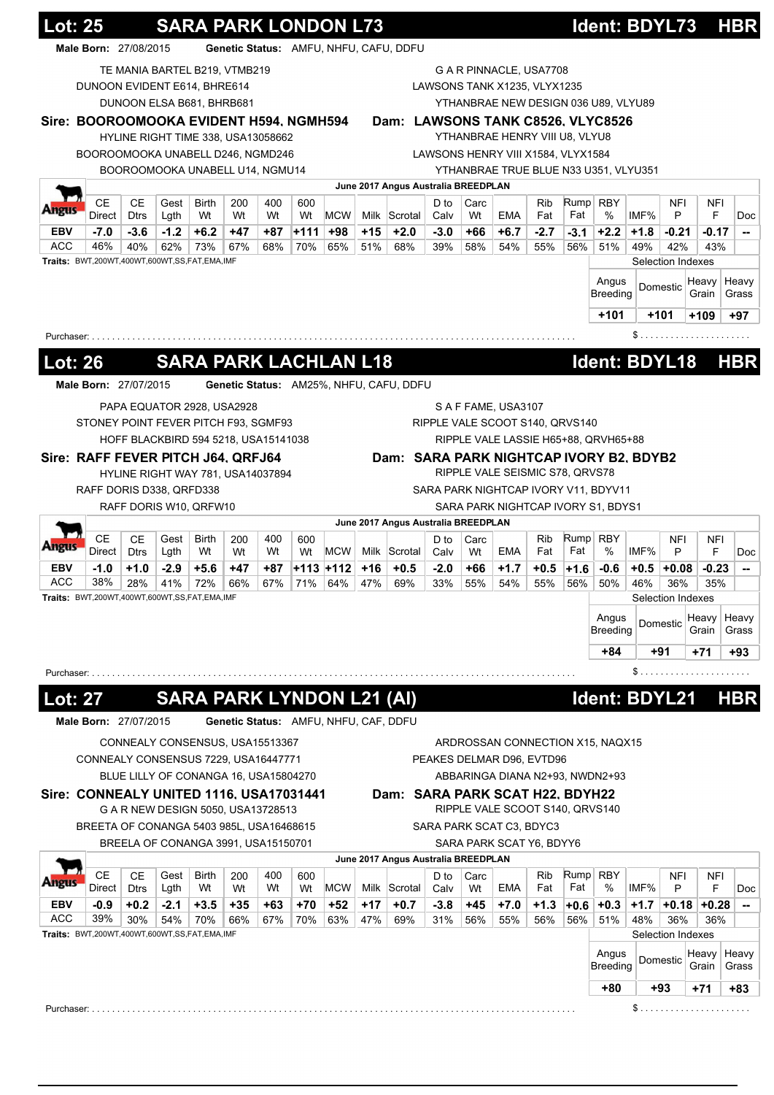|                               | Male Born: 27/08/2015                        |                   |              |                                       |           |           |           | Genetic Status: AMFU, NHFU, CAFU, DDFU |       |                                         |              |            |                                    |            |        |                                         |        |                   |          |                                                  |
|-------------------------------|----------------------------------------------|-------------------|--------------|---------------------------------------|-----------|-----------|-----------|----------------------------------------|-------|-----------------------------------------|--------------|------------|------------------------------------|------------|--------|-----------------------------------------|--------|-------------------|----------|--------------------------------------------------|
|                               |                                              |                   |              | TE MANIA BARTEL B219, VTMB219         |           |           |           |                                        |       |                                         |              |            | G A R PINNACLE, USA7708            |            |        |                                         |        |                   |          |                                                  |
|                               | DUNOON EVIDENT E614, BHRE614                 |                   |              |                                       |           |           |           |                                        |       |                                         |              |            | LAWSONS TANK X1235, VLYX1235       |            |        |                                         |        |                   |          |                                                  |
|                               |                                              |                   |              | DUNOON ELSA B681, BHRB681             |           |           |           |                                        |       |                                         |              |            |                                    |            |        | YTHANBRAE NEW DESIGN 036 U89, VLYU89    |        |                   |          |                                                  |
|                               | Sire: BOOROOMOOKA EVIDENT H594, NGMH594      |                   |              |                                       |           |           |           |                                        |       |                                         |              |            |                                    |            |        | Dam: LAWSONS TANK C8526, VLYC8526       |        |                   |          |                                                  |
|                               |                                              |                   |              | HYLINE RIGHT TIME 338, USA13058662    |           |           |           |                                        |       |                                         |              |            | YTHANBRAE HENRY VIII U8, VLYU8     |            |        |                                         |        |                   |          |                                                  |
|                               | BOOROOMOOKA UNABELL D246, NGMD246            |                   |              |                                       |           |           |           |                                        |       |                                         |              |            | LAWSONS HENRY VIII X1584, VLYX1584 |            |        |                                         |        |                   |          |                                                  |
|                               |                                              |                   |              | BOOROOMOOKA UNABELL U14, NGMU14       |           |           |           |                                        |       |                                         |              |            |                                    |            |        | YTHANBRAE TRUE BLUE N33 U351, VLYU351   |        |                   |          |                                                  |
|                               | <b>CE</b>                                    | <b>CE</b>         | Gest         | Birth                                 | 200       | 400       | 600       |                                        |       | June 2017 Angus Australia BREEDPLAN     | D to         | Carc       |                                    | <b>Rib</b> | Rump   | <b>RBY</b>                              |        | <b>NFI</b>        | NFI      |                                                  |
| ww                            | Direct                                       | <b>Dtrs</b>       | Lgth         | Wt                                    | Wt        | Wt        | Wt        | <b>MCW</b>                             |       | Milk Scrotal                            | Calv         | Wt         | <b>EMA</b>                         | Fat        | Fat    | $\%$                                    | IMF%   | P                 | F        | Doc                                              |
| <b>EBV</b>                    | $-7.0$                                       | $-3.6$            | $-1.2$       | $+6.2$                                | $+47$     | +87       | +111      | +98                                    | $+15$ | $+2.0$                                  | $-3.0$       | +66        | $+6.7$                             | $-2.7$     | $-3.1$ | $+2.2$                                  | $+1.8$ | $-0.21$           | $-0.17$  | --                                               |
| <b>ACC</b>                    | 46%                                          | 40%               | 62%          | 73%                                   | 67%       | 68%       | 70%       | 65%                                    | 51%   | 68%                                     | 39%          | 58%        | 54%                                | 55%        | 56%    | 51%                                     | 49%    | 42%               | 43%      |                                                  |
|                               | Traits: BWT,200WT,400WT,600WT,SS,FAT,EMA,IMF |                   |              |                                       |           |           |           |                                        |       |                                         |              |            |                                    |            |        |                                         |        | Selection Indexes |          |                                                  |
|                               |                                              |                   |              |                                       |           |           |           |                                        |       |                                         |              |            |                                    |            |        | Angus                                   |        | Domestic          | Heavy    | Heavy                                            |
|                               |                                              |                   |              |                                       |           |           |           |                                        |       |                                         |              |            |                                    |            |        | <b>Breeding</b>                         |        |                   | Grain    | Grass                                            |
|                               |                                              |                   |              |                                       |           |           |           |                                        |       |                                         |              |            |                                    |            |        | $+101$                                  |        | $+101$            | $+109$   | $+97$                                            |
| Purchaser:                    |                                              |                   |              |                                       |           |           |           |                                        |       |                                         |              |            |                                    |            |        |                                         |        |                   |          |                                                  |
| <b>Lot: 26</b>                |                                              |                   |              | <b>SARA PARK LACHLAN L18</b>          |           |           |           |                                        |       |                                         |              |            |                                    |            |        | Ident: BDYL18                           |        |                   |          | <b>HBR</b>                                       |
|                               |                                              |                   |              |                                       |           |           |           |                                        |       |                                         |              |            |                                    |            |        |                                         |        |                   |          |                                                  |
|                               | Male Born: 27/07/2015                        |                   |              |                                       |           |           |           |                                        |       | Genetic Status: AM25%, NHFU, CAFU, DDFU |              |            |                                    |            |        |                                         |        |                   |          |                                                  |
|                               |                                              |                   |              | PAPA EQUATOR 2928, USA2928            |           |           |           |                                        |       |                                         |              |            | S A F FAME, USA3107                |            |        |                                         |        |                   |          |                                                  |
|                               | STONEY POINT FEVER PITCH F93, SGMF93         |                   |              |                                       |           |           |           |                                        |       |                                         |              |            | RIPPLE VALE SCOOT S140, QRVS140    |            |        |                                         |        |                   |          |                                                  |
|                               |                                              |                   |              | HOFF BLACKBIRD 594 5218, USA15141038  |           |           |           |                                        |       |                                         |              |            |                                    |            |        | RIPPLE VALE LASSIE H65+88, QRVH65+88    |        |                   |          |                                                  |
|                               | Sire: RAFF FEVER PITCH J64, QRFJ64           |                   |              |                                       |           |           |           |                                        |       |                                         |              |            |                                    |            |        | Dam: SARA PARK NIGHTCAP IVORY B2, BDYB2 |        |                   |          |                                                  |
|                               |                                              |                   |              | HYLINE RIGHT WAY 781, USA14037894     |           |           |           |                                        |       |                                         |              |            | RIPPLE VALE SEISMIC S78, QRVS78    |            |        |                                         |        |                   |          |                                                  |
|                               | RAFF DORIS D338, QRFD338                     |                   |              |                                       |           |           |           |                                        |       |                                         |              |            |                                    |            |        | SARA PARK NIGHTCAP IVORY V11, BDYV11    |        |                   |          |                                                  |
|                               |                                              |                   |              | RAFF DORIS W10, QRFW10                |           |           |           |                                        |       |                                         |              |            |                                    |            |        | SARA PARK NIGHTCAP IVORY S1, BDYS1      |        |                   |          |                                                  |
|                               |                                              |                   |              |                                       |           |           |           |                                        |       |                                         |              |            |                                    |            |        |                                         |        |                   |          |                                                  |
|                               |                                              |                   |              |                                       |           |           |           |                                        |       | June 2017 Angus Australia BREEDPLAN     |              |            |                                    |            |        |                                         |        |                   |          |                                                  |
| Angus                         | <b>CE</b><br>Direct                          | CЕ<br><b>Dtrs</b> | Gest<br>Lgth | Birth<br>Wt                           | 200<br>Wt | 400<br>Wt | 600<br>Wt | <b>MCW</b>                             |       | Milk Scrotal                            | D to<br>Calv | Carc<br>Wt | EMA                                | Rib<br>Fat | Fat    | Rump RBY<br>$\%$                        | IMF%   | <b>NFI</b><br>P   | NFI<br>F | <b>Doc</b>                                       |
|                               | $-1.0$                                       | $+1.0$            | $-2.9$       | $+5.6$                                | $+47$     | +87       |           | +113 +112                              | $+16$ | $+0.5$                                  | $-2.0$       | +66        | $+1.7$                             | $+0.5$     | $+1.6$ | $-0.6$                                  | $+0.5$ | $+0.08$           | $-0.23$  |                                                  |
|                               | 38%                                          | 28%               | 41%          | 72%                                   | 66%       | 67%       | 71%       | 64%                                    | 47%   | 69%                                     | 33%          | 55%        | 54%                                | 55%        | 56%    | 50%                                     | 46%    | 36%               | 35%      |                                                  |
| <b>EBV</b><br>ACC             | Traits: BWT,200WT,400WT,600WT,SS,FAT,EMA,IMF |                   |              |                                       |           |           |           |                                        |       |                                         |              |            |                                    |            |        |                                         |        | Selection Indexes |          |                                                  |
|                               |                                              |                   |              |                                       |           |           |           |                                        |       |                                         |              |            |                                    |            |        | Angus                                   |        | Domestic          | Heavy    |                                                  |
|                               |                                              |                   |              |                                       |           |           |           |                                        |       |                                         |              |            |                                    |            |        | <b>Breeding</b>                         |        |                   | Grain    |                                                  |
|                               |                                              |                   |              |                                       |           |           |           |                                        |       |                                         |              |            |                                    |            |        | +84                                     |        | +91               | +71      |                                                  |
|                               |                                              |                   |              |                                       |           |           |           |                                        |       |                                         |              |            |                                    |            |        |                                         |        |                   |          |                                                  |
|                               |                                              |                   |              |                                       |           |           |           |                                        |       |                                         |              |            |                                    |            |        |                                         |        |                   |          |                                                  |
|                               |                                              |                   |              | <b>SARA PARK LYNDON L21 (AI)</b>      |           |           |           |                                        |       |                                         |              |            |                                    |            |        | Ident: BDYL21                           |        |                   |          |                                                  |
|                               | Male Born: 27/07/2015                        |                   |              |                                       |           |           |           | Genetic Status: AMFU, NHFU, CAF, DDFU  |       |                                         |              |            |                                    |            |        |                                         |        |                   |          |                                                  |
|                               |                                              |                   |              | CONNEALY CONSENSUS, USA15513367       |           |           |           |                                        |       |                                         |              |            |                                    |            |        | ARDROSSAN CONNECTION X15, NAQX15        |        |                   |          |                                                  |
|                               | CONNEALY CONSENSUS 7229, USA16447771         |                   |              |                                       |           |           |           |                                        |       |                                         |              |            | PEAKES DELMAR D96, EVTD96          |            |        |                                         |        |                   |          |                                                  |
|                               |                                              |                   |              | BLUE LILLY OF CONANGA 16, USA15804270 |           |           |           |                                        |       |                                         |              |            |                                    |            |        | ABBARINGA DIANA N2+93, NWDN2+93         |        |                   |          |                                                  |
|                               | Sire: CONNEALY UNITED 1116, USA17031441      |                   |              |                                       |           |           |           |                                        |       | Dam: SARA PARK SCAT H22, BDYH22         |              |            |                                    |            |        |                                         |        |                   |          |                                                  |
| Purchaser:<br><u> Lot: 27</u> |                                              |                   |              | G A R NEW DESIGN 5050, USA13728513    |           |           |           |                                        |       |                                         |              |            | RIPPLE VALE SCOOT S140, QRVS140    |            |        |                                         |        |                   |          |                                                  |
|                               | BREETA OF CONANGA 5403 985L, USA16468615     |                   |              |                                       |           |           |           |                                        |       |                                         |              |            | SARA PARK SCAT C3, BDYC3           |            |        |                                         |        |                   |          |                                                  |
|                               |                                              |                   |              | BREELA OF CONANGA 3991, USA15150701   |           |           |           |                                        |       |                                         |              |            | SARA PARK SCAT Y6, BDYY6           |            |        |                                         |        |                   |          |                                                  |
|                               |                                              |                   |              |                                       |           |           |           |                                        |       | June 2017 Angus Australia BREEDPLAN     |              |            |                                    |            |        |                                         |        |                   |          |                                                  |
|                               | <b>CE</b>                                    | <b>CE</b>         | Gest         | <b>Birth</b>                          | 200       | 400       | 600       |                                        |       |                                         | D to         | Carc       |                                    | <b>Rib</b> | Rump   | <b>RBY</b>                              |        | <b>NFI</b>        | NFI      |                                                  |
|                               | Direct                                       | <b>Dtrs</b>       | Lgth         | Wt                                    | Wt        | Wt        | Wt        | <b>MCW</b>                             |       | Milk Scrotal                            | Calv         | Wt         | <b>EMA</b>                         | Fat        | Fat    | %                                       | IMF%   | P                 | F        | --<br>Heavy<br>Grass<br>+93<br><b>HBR</b><br>Doc |
|                               | -0.9                                         | $+0.2$            | $-2.1$       | $+3.5$                                | $+35$     | +63       | +70       | +52                                    | $+17$ | $+0.7$                                  | $-3.8$       | +45        | $+7.0$                             | $+1.3$     | $+0.6$ | $+0.3$                                  | $+1.7$ | $+0.18$           | $+0.28$  | --                                               |
|                               | 39%                                          | 30%               | 54%          | 70%                                   | 66%       | 67%       | 70%       | 63%                                    | 47%   | 69%                                     | 31%          | 56%        | 55%                                | 56%        | 56%    | 51%                                     | 48%    | 36%               | 36%      |                                                  |
| <b>EBV</b><br><b>ACC</b>      | Traits: BWT,200WT,400WT,600WT,SS,FAT,EMA,IMF |                   |              |                                       |           |           |           |                                        |       |                                         |              |            |                                    |            |        |                                         |        | Selection Indexes |          |                                                  |
|                               |                                              |                   |              |                                       |           |           |           |                                        |       |                                         |              |            |                                    |            |        | Angus                                   |        | Domestic          | Heavy    |                                                  |
|                               |                                              |                   |              |                                       |           |           |           |                                        |       |                                         |              |            |                                    |            |        | Breeding                                |        |                   | Grain    | Heavy<br>Grass                                   |
|                               |                                              |                   |              |                                       |           |           |           |                                        |       |                                         |              |            |                                    |            |        | +80                                     |        | +93               | +71      | +83                                              |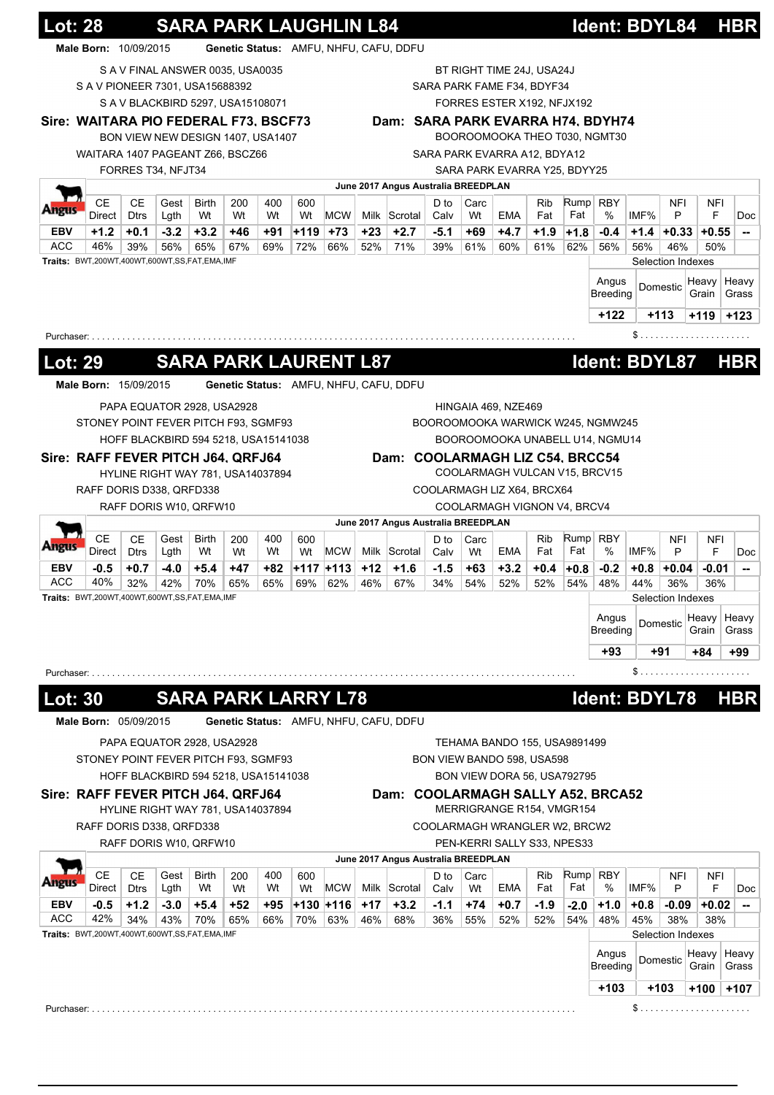| Male Born: 10/09/2015<br>Genetic Status: AMFU, NHFU, CAFU, DDFU<br>S A V FINAL ANSWER 0035, USA0035<br>BT RIGHT TIME 24J, USA24J<br>S A V PIONEER 7301, USA15688392<br>SARA PARK FAME F34, BDYF34<br>S A V BLACKBIRD 5297, USA15108071<br>FORRES ESTER X192, NFJX192<br>Sire: WAITARA PIO FEDERAL F73, BSCF73<br>Dam: SARA PARK EVARRA H74, BDYH74<br>BOOROOMOOKA THEO T030, NGMT30<br>BON VIEW NEW DESIGN 1407, USA1407<br>WAITARA 1407 PAGEANT Z66, BSCZ66<br>SARA PARK EVARRA A12, BDYA12<br>FORRES T34, NFJT34<br>SARA PARK EVARRA Y25, BDYY25<br>June 2017 Angus Australia BREEDPLAN<br><b>CE</b><br><b>CE</b><br>Rump RBY<br>Gest<br>400<br>Carc<br>Rib<br>NFI<br><b>Birth</b><br>200<br>600<br>D to<br><b>NFI</b><br>Fat<br>Wt<br><b>MCW</b><br>Fat<br>%<br>IMF%<br>P<br>F<br>Direct<br><b>Dtrs</b><br>Lgth<br>Wt<br>Wt<br>Milk Scrotal<br>EMA<br>Wt<br>Calv<br>Wt<br>$+1.2$<br>$-3.2$<br>$+3.2$<br>$+119$<br>$+73$<br>$+2.7$<br>$+1.9$<br>$+0.1$<br>+46<br>+91<br>+23<br>-5.1<br>+69<br>+4.7<br>$-0.4$<br>$+1.4$<br>EBV<br>$+1.8$<br>$+0.33$<br>$+0.55$<br>46%<br>56%<br>72%<br>39%<br>39%<br>65%<br>67%<br>69%<br>66%<br>52%<br>71%<br>61%<br>60%<br>61%<br>62%<br>56%<br>56%<br>46%<br>50%<br>Traits: BWT,200WT,400WT,600WT,SS,FAT,EMA,IMF<br>Selection Indexes<br>Angus<br>Heavy<br>Domestic<br>Breeding<br>Grain<br>$+122$<br>$+113$<br>+119<br>Purchaser: .<br><b>SARA PARK LAURENT L87</b><br>Ident: BDYL87<br><b>Lot: 29</b><br><b>HBR</b><br>Genetic Status: AMFU, NHFU, CAFU, DDFU<br>Male Born: 15/09/2015<br>PAPA EQUATOR 2928, USA2928<br>HINGAIA 469, NZE469<br>STONEY POINT FEVER PITCH F93, SGMF93<br>BOOROOMOOKA WARWICK W245, NGMW245<br>HOFF BLACKBIRD 594 5218, USA15141038<br>BOOROOMOOKA UNABELL U14, NGMU14<br>Sire: RAFF FEVER PITCH J64, QRFJ64<br>Dam: COOLARMAGH LIZ C54, BRCC54<br>COOLARMAGH VULCAN V15, BRCV15<br>HYLINE RIGHT WAY 781, USA14037894<br>RAFF DORIS D338, QRFD338<br>COOLARMAGH LIZ X64, BRCX64<br>RAFF DORIS W10, QRFW10<br>COOLARMAGH VIGNON V4, BRCV4<br>June 2017 Angus Australia BREEDPLAN<br><b>CE</b><br><b>CE</b><br>Rump<br><b>Birth</b><br><b>RBY</b><br>NFI<br>Gest<br>400<br>D to<br>Carc<br>Rib<br>200<br>600<br>NFI<br>Fat<br>%<br>IMF%<br>Direct<br><b>Dtrs</b><br>Wt<br>Wt<br><b>MCW</b><br>Milk Scrotal<br>EMA<br>Fat<br>P<br>F<br>Lgth<br>Wt<br>Wt<br>Calv<br>Wt<br>$+12$<br>$-0.5$<br>$+0.7$<br>$-4.0$<br>$+5.4$<br>+47<br>+82<br>+117 +113<br>$+1.6$<br>$-1.5$<br>$+63$<br>$+3.2$<br>$+0.4$<br>$-0.2$<br>$+0.8$<br>$+0.04$<br>$-0.01$<br>$+0.8$<br>40%<br>32%<br>42%<br>70%<br>65%<br>65%<br>69%<br>62%<br>46%<br>67%<br>34%<br>54%<br>52%<br>52%<br>54%<br>48%<br>44%<br>36%<br>36%<br><b>Traits:</b> BWT,200WT,400WT,600WT,SS,FAT,EMA,IMF<br>Selection Indexes<br>Angus<br>Heavy<br>Domestic<br><b>Breeding</b><br>Grain<br>$+93$<br>+91<br>+84<br>\$<br>Purchaser:<br>Ident: BDYL78<br><b>SARA PARK LARRY L78</b><br><b>HBR</b><br><b>Lot: 30</b> |                   | <u> Lot: 28</u>       |  |  | <b>SARA PARK LAUGHLIN L84</b> |  |  |  |  | Ident: BDYL84 |  | <b>HBR</b>                                           |
|-----------------------------------------------------------------------------------------------------------------------------------------------------------------------------------------------------------------------------------------------------------------------------------------------------------------------------------------------------------------------------------------------------------------------------------------------------------------------------------------------------------------------------------------------------------------------------------------------------------------------------------------------------------------------------------------------------------------------------------------------------------------------------------------------------------------------------------------------------------------------------------------------------------------------------------------------------------------------------------------------------------------------------------------------------------------------------------------------------------------------------------------------------------------------------------------------------------------------------------------------------------------------------------------------------------------------------------------------------------------------------------------------------------------------------------------------------------------------------------------------------------------------------------------------------------------------------------------------------------------------------------------------------------------------------------------------------------------------------------------------------------------------------------------------------------------------------------------------------------------------------------------------------------------------------------------------------------------------------------------------------------------------------------------------------------------------------------------------------------------------------------------------------------------------------------------------------------------------------------------------------------------------------------------------------------------------------------------------------------------------------------------------------------------------------------------------------------------------------------------------------------------------------------------------------------------------------------------------------------------------------------------------------------------------------------------------------------------------------------------------------------------------------------------------------------------------------------------------------------------------------------------------------------------------------|-------------------|-----------------------|--|--|-------------------------------|--|--|--|--|---------------|--|------------------------------------------------------|
|                                                                                                                                                                                                                                                                                                                                                                                                                                                                                                                                                                                                                                                                                                                                                                                                                                                                                                                                                                                                                                                                                                                                                                                                                                                                                                                                                                                                                                                                                                                                                                                                                                                                                                                                                                                                                                                                                                                                                                                                                                                                                                                                                                                                                                                                                                                                                                                                                                                                                                                                                                                                                                                                                                                                                                                                                                                                                                                             |                   |                       |  |  |                               |  |  |  |  |               |  |                                                      |
|                                                                                                                                                                                                                                                                                                                                                                                                                                                                                                                                                                                                                                                                                                                                                                                                                                                                                                                                                                                                                                                                                                                                                                                                                                                                                                                                                                                                                                                                                                                                                                                                                                                                                                                                                                                                                                                                                                                                                                                                                                                                                                                                                                                                                                                                                                                                                                                                                                                                                                                                                                                                                                                                                                                                                                                                                                                                                                                             |                   |                       |  |  |                               |  |  |  |  |               |  |                                                      |
|                                                                                                                                                                                                                                                                                                                                                                                                                                                                                                                                                                                                                                                                                                                                                                                                                                                                                                                                                                                                                                                                                                                                                                                                                                                                                                                                                                                                                                                                                                                                                                                                                                                                                                                                                                                                                                                                                                                                                                                                                                                                                                                                                                                                                                                                                                                                                                                                                                                                                                                                                                                                                                                                                                                                                                                                                                                                                                                             |                   |                       |  |  |                               |  |  |  |  |               |  |                                                      |
|                                                                                                                                                                                                                                                                                                                                                                                                                                                                                                                                                                                                                                                                                                                                                                                                                                                                                                                                                                                                                                                                                                                                                                                                                                                                                                                                                                                                                                                                                                                                                                                                                                                                                                                                                                                                                                                                                                                                                                                                                                                                                                                                                                                                                                                                                                                                                                                                                                                                                                                                                                                                                                                                                                                                                                                                                                                                                                                             |                   |                       |  |  |                               |  |  |  |  |               |  |                                                      |
|                                                                                                                                                                                                                                                                                                                                                                                                                                                                                                                                                                                                                                                                                                                                                                                                                                                                                                                                                                                                                                                                                                                                                                                                                                                                                                                                                                                                                                                                                                                                                                                                                                                                                                                                                                                                                                                                                                                                                                                                                                                                                                                                                                                                                                                                                                                                                                                                                                                                                                                                                                                                                                                                                                                                                                                                                                                                                                                             |                   |                       |  |  |                               |  |  |  |  |               |  |                                                      |
|                                                                                                                                                                                                                                                                                                                                                                                                                                                                                                                                                                                                                                                                                                                                                                                                                                                                                                                                                                                                                                                                                                                                                                                                                                                                                                                                                                                                                                                                                                                                                                                                                                                                                                                                                                                                                                                                                                                                                                                                                                                                                                                                                                                                                                                                                                                                                                                                                                                                                                                                                                                                                                                                                                                                                                                                                                                                                                                             |                   |                       |  |  |                               |  |  |  |  |               |  |                                                      |
|                                                                                                                                                                                                                                                                                                                                                                                                                                                                                                                                                                                                                                                                                                                                                                                                                                                                                                                                                                                                                                                                                                                                                                                                                                                                                                                                                                                                                                                                                                                                                                                                                                                                                                                                                                                                                                                                                                                                                                                                                                                                                                                                                                                                                                                                                                                                                                                                                                                                                                                                                                                                                                                                                                                                                                                                                                                                                                                             |                   |                       |  |  |                               |  |  |  |  |               |  |                                                      |
|                                                                                                                                                                                                                                                                                                                                                                                                                                                                                                                                                                                                                                                                                                                                                                                                                                                                                                                                                                                                                                                                                                                                                                                                                                                                                                                                                                                                                                                                                                                                                                                                                                                                                                                                                                                                                                                                                                                                                                                                                                                                                                                                                                                                                                                                                                                                                                                                                                                                                                                                                                                                                                                                                                                                                                                                                                                                                                                             |                   |                       |  |  |                               |  |  |  |  |               |  |                                                      |
|                                                                                                                                                                                                                                                                                                                                                                                                                                                                                                                                                                                                                                                                                                                                                                                                                                                                                                                                                                                                                                                                                                                                                                                                                                                                                                                                                                                                                                                                                                                                                                                                                                                                                                                                                                                                                                                                                                                                                                                                                                                                                                                                                                                                                                                                                                                                                                                                                                                                                                                                                                                                                                                                                                                                                                                                                                                                                                                             |                   |                       |  |  |                               |  |  |  |  |               |  |                                                      |
|                                                                                                                                                                                                                                                                                                                                                                                                                                                                                                                                                                                                                                                                                                                                                                                                                                                                                                                                                                                                                                                                                                                                                                                                                                                                                                                                                                                                                                                                                                                                                                                                                                                                                                                                                                                                                                                                                                                                                                                                                                                                                                                                                                                                                                                                                                                                                                                                                                                                                                                                                                                                                                                                                                                                                                                                                                                                                                                             |                   |                       |  |  |                               |  |  |  |  |               |  | Doc                                                  |
|                                                                                                                                                                                                                                                                                                                                                                                                                                                                                                                                                                                                                                                                                                                                                                                                                                                                                                                                                                                                                                                                                                                                                                                                                                                                                                                                                                                                                                                                                                                                                                                                                                                                                                                                                                                                                                                                                                                                                                                                                                                                                                                                                                                                                                                                                                                                                                                                                                                                                                                                                                                                                                                                                                                                                                                                                                                                                                                             | ACC               |                       |  |  |                               |  |  |  |  |               |  |                                                      |
|                                                                                                                                                                                                                                                                                                                                                                                                                                                                                                                                                                                                                                                                                                                                                                                                                                                                                                                                                                                                                                                                                                                                                                                                                                                                                                                                                                                                                                                                                                                                                                                                                                                                                                                                                                                                                                                                                                                                                                                                                                                                                                                                                                                                                                                                                                                                                                                                                                                                                                                                                                                                                                                                                                                                                                                                                                                                                                                             |                   |                       |  |  |                               |  |  |  |  |               |  |                                                      |
|                                                                                                                                                                                                                                                                                                                                                                                                                                                                                                                                                                                                                                                                                                                                                                                                                                                                                                                                                                                                                                                                                                                                                                                                                                                                                                                                                                                                                                                                                                                                                                                                                                                                                                                                                                                                                                                                                                                                                                                                                                                                                                                                                                                                                                                                                                                                                                                                                                                                                                                                                                                                                                                                                                                                                                                                                                                                                                                             |                   |                       |  |  |                               |  |  |  |  |               |  | Heavy                                                |
|                                                                                                                                                                                                                                                                                                                                                                                                                                                                                                                                                                                                                                                                                                                                                                                                                                                                                                                                                                                                                                                                                                                                                                                                                                                                                                                                                                                                                                                                                                                                                                                                                                                                                                                                                                                                                                                                                                                                                                                                                                                                                                                                                                                                                                                                                                                                                                                                                                                                                                                                                                                                                                                                                                                                                                                                                                                                                                                             |                   |                       |  |  |                               |  |  |  |  |               |  | Grass                                                |
|                                                                                                                                                                                                                                                                                                                                                                                                                                                                                                                                                                                                                                                                                                                                                                                                                                                                                                                                                                                                                                                                                                                                                                                                                                                                                                                                                                                                                                                                                                                                                                                                                                                                                                                                                                                                                                                                                                                                                                                                                                                                                                                                                                                                                                                                                                                                                                                                                                                                                                                                                                                                                                                                                                                                                                                                                                                                                                                             |                   |                       |  |  |                               |  |  |  |  |               |  | $+123$                                               |
|                                                                                                                                                                                                                                                                                                                                                                                                                                                                                                                                                                                                                                                                                                                                                                                                                                                                                                                                                                                                                                                                                                                                                                                                                                                                                                                                                                                                                                                                                                                                                                                                                                                                                                                                                                                                                                                                                                                                                                                                                                                                                                                                                                                                                                                                                                                                                                                                                                                                                                                                                                                                                                                                                                                                                                                                                                                                                                                             |                   |                       |  |  |                               |  |  |  |  |               |  |                                                      |
|                                                                                                                                                                                                                                                                                                                                                                                                                                                                                                                                                                                                                                                                                                                                                                                                                                                                                                                                                                                                                                                                                                                                                                                                                                                                                                                                                                                                                                                                                                                                                                                                                                                                                                                                                                                                                                                                                                                                                                                                                                                                                                                                                                                                                                                                                                                                                                                                                                                                                                                                                                                                                                                                                                                                                                                                                                                                                                                             |                   |                       |  |  |                               |  |  |  |  |               |  |                                                      |
|                                                                                                                                                                                                                                                                                                                                                                                                                                                                                                                                                                                                                                                                                                                                                                                                                                                                                                                                                                                                                                                                                                                                                                                                                                                                                                                                                                                                                                                                                                                                                                                                                                                                                                                                                                                                                                                                                                                                                                                                                                                                                                                                                                                                                                                                                                                                                                                                                                                                                                                                                                                                                                                                                                                                                                                                                                                                                                                             |                   |                       |  |  |                               |  |  |  |  |               |  |                                                      |
|                                                                                                                                                                                                                                                                                                                                                                                                                                                                                                                                                                                                                                                                                                                                                                                                                                                                                                                                                                                                                                                                                                                                                                                                                                                                                                                                                                                                                                                                                                                                                                                                                                                                                                                                                                                                                                                                                                                                                                                                                                                                                                                                                                                                                                                                                                                                                                                                                                                                                                                                                                                                                                                                                                                                                                                                                                                                                                                             |                   |                       |  |  |                               |  |  |  |  |               |  |                                                      |
|                                                                                                                                                                                                                                                                                                                                                                                                                                                                                                                                                                                                                                                                                                                                                                                                                                                                                                                                                                                                                                                                                                                                                                                                                                                                                                                                                                                                                                                                                                                                                                                                                                                                                                                                                                                                                                                                                                                                                                                                                                                                                                                                                                                                                                                                                                                                                                                                                                                                                                                                                                                                                                                                                                                                                                                                                                                                                                                             |                   |                       |  |  |                               |  |  |  |  |               |  |                                                      |
|                                                                                                                                                                                                                                                                                                                                                                                                                                                                                                                                                                                                                                                                                                                                                                                                                                                                                                                                                                                                                                                                                                                                                                                                                                                                                                                                                                                                                                                                                                                                                                                                                                                                                                                                                                                                                                                                                                                                                                                                                                                                                                                                                                                                                                                                                                                                                                                                                                                                                                                                                                                                                                                                                                                                                                                                                                                                                                                             |                   |                       |  |  |                               |  |  |  |  |               |  |                                                      |
|                                                                                                                                                                                                                                                                                                                                                                                                                                                                                                                                                                                                                                                                                                                                                                                                                                                                                                                                                                                                                                                                                                                                                                                                                                                                                                                                                                                                                                                                                                                                                                                                                                                                                                                                                                                                                                                                                                                                                                                                                                                                                                                                                                                                                                                                                                                                                                                                                                                                                                                                                                                                                                                                                                                                                                                                                                                                                                                             |                   |                       |  |  |                               |  |  |  |  |               |  |                                                      |
|                                                                                                                                                                                                                                                                                                                                                                                                                                                                                                                                                                                                                                                                                                                                                                                                                                                                                                                                                                                                                                                                                                                                                                                                                                                                                                                                                                                                                                                                                                                                                                                                                                                                                                                                                                                                                                                                                                                                                                                                                                                                                                                                                                                                                                                                                                                                                                                                                                                                                                                                                                                                                                                                                                                                                                                                                                                                                                                             |                   |                       |  |  |                               |  |  |  |  |               |  |                                                      |
|                                                                                                                                                                                                                                                                                                                                                                                                                                                                                                                                                                                                                                                                                                                                                                                                                                                                                                                                                                                                                                                                                                                                                                                                                                                                                                                                                                                                                                                                                                                                                                                                                                                                                                                                                                                                                                                                                                                                                                                                                                                                                                                                                                                                                                                                                                                                                                                                                                                                                                                                                                                                                                                                                                                                                                                                                                                                                                                             |                   |                       |  |  |                               |  |  |  |  |               |  |                                                      |
|                                                                                                                                                                                                                                                                                                                                                                                                                                                                                                                                                                                                                                                                                                                                                                                                                                                                                                                                                                                                                                                                                                                                                                                                                                                                                                                                                                                                                                                                                                                                                                                                                                                                                                                                                                                                                                                                                                                                                                                                                                                                                                                                                                                                                                                                                                                                                                                                                                                                                                                                                                                                                                                                                                                                                                                                                                                                                                                             |                   |                       |  |  |                               |  |  |  |  |               |  |                                                      |
|                                                                                                                                                                                                                                                                                                                                                                                                                                                                                                                                                                                                                                                                                                                                                                                                                                                                                                                                                                                                                                                                                                                                                                                                                                                                                                                                                                                                                                                                                                                                                                                                                                                                                                                                                                                                                                                                                                                                                                                                                                                                                                                                                                                                                                                                                                                                                                                                                                                                                                                                                                                                                                                                                                                                                                                                                                                                                                                             |                   |                       |  |  |                               |  |  |  |  |               |  |                                                      |
|                                                                                                                                                                                                                                                                                                                                                                                                                                                                                                                                                                                                                                                                                                                                                                                                                                                                                                                                                                                                                                                                                                                                                                                                                                                                                                                                                                                                                                                                                                                                                                                                                                                                                                                                                                                                                                                                                                                                                                                                                                                                                                                                                                                                                                                                                                                                                                                                                                                                                                                                                                                                                                                                                                                                                                                                                                                                                                                             |                   |                       |  |  |                               |  |  |  |  |               |  |                                                      |
|                                                                                                                                                                                                                                                                                                                                                                                                                                                                                                                                                                                                                                                                                                                                                                                                                                                                                                                                                                                                                                                                                                                                                                                                                                                                                                                                                                                                                                                                                                                                                                                                                                                                                                                                                                                                                                                                                                                                                                                                                                                                                                                                                                                                                                                                                                                                                                                                                                                                                                                                                                                                                                                                                                                                                                                                                                                                                                                             |                   |                       |  |  |                               |  |  |  |  |               |  |                                                      |
|                                                                                                                                                                                                                                                                                                                                                                                                                                                                                                                                                                                                                                                                                                                                                                                                                                                                                                                                                                                                                                                                                                                                                                                                                                                                                                                                                                                                                                                                                                                                                                                                                                                                                                                                                                                                                                                                                                                                                                                                                                                                                                                                                                                                                                                                                                                                                                                                                                                                                                                                                                                                                                                                                                                                                                                                                                                                                                                             |                   |                       |  |  |                               |  |  |  |  |               |  |                                                      |
|                                                                                                                                                                                                                                                                                                                                                                                                                                                                                                                                                                                                                                                                                                                                                                                                                                                                                                                                                                                                                                                                                                                                                                                                                                                                                                                                                                                                                                                                                                                                                                                                                                                                                                                                                                                                                                                                                                                                                                                                                                                                                                                                                                                                                                                                                                                                                                                                                                                                                                                                                                                                                                                                                                                                                                                                                                                                                                                             |                   |                       |  |  |                               |  |  |  |  |               |  |                                                      |
|                                                                                                                                                                                                                                                                                                                                                                                                                                                                                                                                                                                                                                                                                                                                                                                                                                                                                                                                                                                                                                                                                                                                                                                                                                                                                                                                                                                                                                                                                                                                                                                                                                                                                                                                                                                                                                                                                                                                                                                                                                                                                                                                                                                                                                                                                                                                                                                                                                                                                                                                                                                                                                                                                                                                                                                                                                                                                                                             |                   |                       |  |  |                               |  |  |  |  |               |  |                                                      |
|                                                                                                                                                                                                                                                                                                                                                                                                                                                                                                                                                                                                                                                                                                                                                                                                                                                                                                                                                                                                                                                                                                                                                                                                                                                                                                                                                                                                                                                                                                                                                                                                                                                                                                                                                                                                                                                                                                                                                                                                                                                                                                                                                                                                                                                                                                                                                                                                                                                                                                                                                                                                                                                                                                                                                                                                                                                                                                                             |                   |                       |  |  |                               |  |  |  |  |               |  |                                                      |
|                                                                                                                                                                                                                                                                                                                                                                                                                                                                                                                                                                                                                                                                                                                                                                                                                                                                                                                                                                                                                                                                                                                                                                                                                                                                                                                                                                                                                                                                                                                                                                                                                                                                                                                                                                                                                                                                                                                                                                                                                                                                                                                                                                                                                                                                                                                                                                                                                                                                                                                                                                                                                                                                                                                                                                                                                                                                                                                             | EBV<br><b>ACC</b> |                       |  |  |                               |  |  |  |  |               |  |                                                      |
|                                                                                                                                                                                                                                                                                                                                                                                                                                                                                                                                                                                                                                                                                                                                                                                                                                                                                                                                                                                                                                                                                                                                                                                                                                                                                                                                                                                                                                                                                                                                                                                                                                                                                                                                                                                                                                                                                                                                                                                                                                                                                                                                                                                                                                                                                                                                                                                                                                                                                                                                                                                                                                                                                                                                                                                                                                                                                                                             |                   |                       |  |  |                               |  |  |  |  |               |  |                                                      |
|                                                                                                                                                                                                                                                                                                                                                                                                                                                                                                                                                                                                                                                                                                                                                                                                                                                                                                                                                                                                                                                                                                                                                                                                                                                                                                                                                                                                                                                                                                                                                                                                                                                                                                                                                                                                                                                                                                                                                                                                                                                                                                                                                                                                                                                                                                                                                                                                                                                                                                                                                                                                                                                                                                                                                                                                                                                                                                                             |                   |                       |  |  |                               |  |  |  |  |               |  |                                                      |
|                                                                                                                                                                                                                                                                                                                                                                                                                                                                                                                                                                                                                                                                                                                                                                                                                                                                                                                                                                                                                                                                                                                                                                                                                                                                                                                                                                                                                                                                                                                                                                                                                                                                                                                                                                                                                                                                                                                                                                                                                                                                                                                                                                                                                                                                                                                                                                                                                                                                                                                                                                                                                                                                                                                                                                                                                                                                                                                             |                   |                       |  |  |                               |  |  |  |  |               |  |                                                      |
|                                                                                                                                                                                                                                                                                                                                                                                                                                                                                                                                                                                                                                                                                                                                                                                                                                                                                                                                                                                                                                                                                                                                                                                                                                                                                                                                                                                                                                                                                                                                                                                                                                                                                                                                                                                                                                                                                                                                                                                                                                                                                                                                                                                                                                                                                                                                                                                                                                                                                                                                                                                                                                                                                                                                                                                                                                                                                                                             |                   |                       |  |  |                               |  |  |  |  |               |  |                                                      |
|                                                                                                                                                                                                                                                                                                                                                                                                                                                                                                                                                                                                                                                                                                                                                                                                                                                                                                                                                                                                                                                                                                                                                                                                                                                                                                                                                                                                                                                                                                                                                                                                                                                                                                                                                                                                                                                                                                                                                                                                                                                                                                                                                                                                                                                                                                                                                                                                                                                                                                                                                                                                                                                                                                                                                                                                                                                                                                                             |                   |                       |  |  |                               |  |  |  |  |               |  |                                                      |
| Genetic Status: AMFU, NHFU, CAFU, DDFU                                                                                                                                                                                                                                                                                                                                                                                                                                                                                                                                                                                                                                                                                                                                                                                                                                                                                                                                                                                                                                                                                                                                                                                                                                                                                                                                                                                                                                                                                                                                                                                                                                                                                                                                                                                                                                                                                                                                                                                                                                                                                                                                                                                                                                                                                                                                                                                                                                                                                                                                                                                                                                                                                                                                                                                                                                                                                      |                   | Male Born: 05/09/2015 |  |  |                               |  |  |  |  |               |  |                                                      |
| PAPA EQUATOR 2928, USA2928<br>TEHAMA BANDO 155, USA9891499                                                                                                                                                                                                                                                                                                                                                                                                                                                                                                                                                                                                                                                                                                                                                                                                                                                                                                                                                                                                                                                                                                                                                                                                                                                                                                                                                                                                                                                                                                                                                                                                                                                                                                                                                                                                                                                                                                                                                                                                                                                                                                                                                                                                                                                                                                                                                                                                                                                                                                                                                                                                                                                                                                                                                                                                                                                                  |                   |                       |  |  |                               |  |  |  |  |               |  |                                                      |
| STONEY POINT FEVER PITCH F93, SGMF93<br>BON VIEW BANDO 598, USA598                                                                                                                                                                                                                                                                                                                                                                                                                                                                                                                                                                                                                                                                                                                                                                                                                                                                                                                                                                                                                                                                                                                                                                                                                                                                                                                                                                                                                                                                                                                                                                                                                                                                                                                                                                                                                                                                                                                                                                                                                                                                                                                                                                                                                                                                                                                                                                                                                                                                                                                                                                                                                                                                                                                                                                                                                                                          |                   |                       |  |  |                               |  |  |  |  |               |  |                                                      |
| HOFF BLACKBIRD 594 5218, USA15141038<br>BON VIEW DORA 56, USA792795                                                                                                                                                                                                                                                                                                                                                                                                                                                                                                                                                                                                                                                                                                                                                                                                                                                                                                                                                                                                                                                                                                                                                                                                                                                                                                                                                                                                                                                                                                                                                                                                                                                                                                                                                                                                                                                                                                                                                                                                                                                                                                                                                                                                                                                                                                                                                                                                                                                                                                                                                                                                                                                                                                                                                                                                                                                         |                   |                       |  |  |                               |  |  |  |  |               |  |                                                      |
| Sire: RAFF FEVER PITCH J64, QRFJ64<br>Dam: COOLARMAGH SALLY A52, BRCA52                                                                                                                                                                                                                                                                                                                                                                                                                                                                                                                                                                                                                                                                                                                                                                                                                                                                                                                                                                                                                                                                                                                                                                                                                                                                                                                                                                                                                                                                                                                                                                                                                                                                                                                                                                                                                                                                                                                                                                                                                                                                                                                                                                                                                                                                                                                                                                                                                                                                                                                                                                                                                                                                                                                                                                                                                                                     |                   |                       |  |  |                               |  |  |  |  |               |  |                                                      |
| MERRIGRANGE R154, VMGR154<br>HYLINE RIGHT WAY 781, USA14037894                                                                                                                                                                                                                                                                                                                                                                                                                                                                                                                                                                                                                                                                                                                                                                                                                                                                                                                                                                                                                                                                                                                                                                                                                                                                                                                                                                                                                                                                                                                                                                                                                                                                                                                                                                                                                                                                                                                                                                                                                                                                                                                                                                                                                                                                                                                                                                                                                                                                                                                                                                                                                                                                                                                                                                                                                                                              |                   |                       |  |  |                               |  |  |  |  |               |  |                                                      |
| RAFF DORIS D338, QRFD338<br>COOLARMAGH WRANGLER W2, BRCW2                                                                                                                                                                                                                                                                                                                                                                                                                                                                                                                                                                                                                                                                                                                                                                                                                                                                                                                                                                                                                                                                                                                                                                                                                                                                                                                                                                                                                                                                                                                                                                                                                                                                                                                                                                                                                                                                                                                                                                                                                                                                                                                                                                                                                                                                                                                                                                                                                                                                                                                                                                                                                                                                                                                                                                                                                                                                   |                   |                       |  |  |                               |  |  |  |  |               |  |                                                      |
| RAFF DORIS W10, QRFW10<br>PEN-KERRI SALLY S33, NPES33                                                                                                                                                                                                                                                                                                                                                                                                                                                                                                                                                                                                                                                                                                                                                                                                                                                                                                                                                                                                                                                                                                                                                                                                                                                                                                                                                                                                                                                                                                                                                                                                                                                                                                                                                                                                                                                                                                                                                                                                                                                                                                                                                                                                                                                                                                                                                                                                                                                                                                                                                                                                                                                                                                                                                                                                                                                                       |                   |                       |  |  |                               |  |  |  |  |               |  |                                                      |
| June 2017 Angus Australia BREEDPLAN                                                                                                                                                                                                                                                                                                                                                                                                                                                                                                                                                                                                                                                                                                                                                                                                                                                                                                                                                                                                                                                                                                                                                                                                                                                                                                                                                                                                                                                                                                                                                                                                                                                                                                                                                                                                                                                                                                                                                                                                                                                                                                                                                                                                                                                                                                                                                                                                                                                                                                                                                                                                                                                                                                                                                                                                                                                                                         |                   |                       |  |  |                               |  |  |  |  |               |  |                                                      |
| <b>CE</b><br><b>CE</b><br>Rump<br><b>RBY</b><br>NFI<br>Gest<br>Birth<br>200<br>400<br>600<br>D to<br>Carc<br>Rib<br><b>NFI</b><br>Direct<br><b>MCW</b><br>Fat<br>%<br>IMF%<br>F<br><b>Dtrs</b><br>Wt<br>Wt<br>Wt<br>Milk Scrotal<br>EMA<br>Fat<br>P<br>Lgth<br>Wt<br>Calv<br>Wt                                                                                                                                                                                                                                                                                                                                                                                                                                                                                                                                                                                                                                                                                                                                                                                                                                                                                                                                                                                                                                                                                                                                                                                                                                                                                                                                                                                                                                                                                                                                                                                                                                                                                                                                                                                                                                                                                                                                                                                                                                                                                                                                                                                                                                                                                                                                                                                                                                                                                                                                                                                                                                             |                   |                       |  |  |                               |  |  |  |  |               |  |                                                      |
| $+1.2$<br>+130 +116<br>$+17$<br>$+3.2$<br>$-0.5$<br>$-3.0$<br>$+5.4$<br>+52<br>+95<br>$-1.1$<br>$+74$<br>$+0.7$<br>$-1.9$<br>$+1.0$<br>$+0.8$<br>$-2.0$<br>$-0.09$<br>$+0.02$                                                                                                                                                                                                                                                                                                                                                                                                                                                                                                                                                                                                                                                                                                                                                                                                                                                                                                                                                                                                                                                                                                                                                                                                                                                                                                                                                                                                                                                                                                                                                                                                                                                                                                                                                                                                                                                                                                                                                                                                                                                                                                                                                                                                                                                                                                                                                                                                                                                                                                                                                                                                                                                                                                                                               |                   |                       |  |  |                               |  |  |  |  |               |  |                                                      |
| 42%<br>34%<br>63%<br>46%<br>52%<br>52%<br>45%<br>43%<br>70%<br>65%<br>66%<br>70%<br>68%<br>36%<br>55%<br>54%<br>48%<br>38%<br>38%                                                                                                                                                                                                                                                                                                                                                                                                                                                                                                                                                                                                                                                                                                                                                                                                                                                                                                                                                                                                                                                                                                                                                                                                                                                                                                                                                                                                                                                                                                                                                                                                                                                                                                                                                                                                                                                                                                                                                                                                                                                                                                                                                                                                                                                                                                                                                                                                                                                                                                                                                                                                                                                                                                                                                                                           |                   |                       |  |  |                               |  |  |  |  |               |  |                                                      |
| Traits: BWT,200WT,400WT,600WT,SS,FAT,EMA,IMF<br>Selection Indexes                                                                                                                                                                                                                                                                                                                                                                                                                                                                                                                                                                                                                                                                                                                                                                                                                                                                                                                                                                                                                                                                                                                                                                                                                                                                                                                                                                                                                                                                                                                                                                                                                                                                                                                                                                                                                                                                                                                                                                                                                                                                                                                                                                                                                                                                                                                                                                                                                                                                                                                                                                                                                                                                                                                                                                                                                                                           | EBV<br>ACC        |                       |  |  |                               |  |  |  |  |               |  |                                                      |
| Heavy   Heavy<br>Angus                                                                                                                                                                                                                                                                                                                                                                                                                                                                                                                                                                                                                                                                                                                                                                                                                                                                                                                                                                                                                                                                                                                                                                                                                                                                                                                                                                                                                                                                                                                                                                                                                                                                                                                                                                                                                                                                                                                                                                                                                                                                                                                                                                                                                                                                                                                                                                                                                                                                                                                                                                                                                                                                                                                                                                                                                                                                                                      |                   |                       |  |  |                               |  |  |  |  |               |  |                                                      |
| Domestic<br><b>Breeding</b><br>Grain                                                                                                                                                                                                                                                                                                                                                                                                                                                                                                                                                                                                                                                                                                                                                                                                                                                                                                                                                                                                                                                                                                                                                                                                                                                                                                                                                                                                                                                                                                                                                                                                                                                                                                                                                                                                                                                                                                                                                                                                                                                                                                                                                                                                                                                                                                                                                                                                                                                                                                                                                                                                                                                                                                                                                                                                                                                                                        |                   |                       |  |  |                               |  |  |  |  |               |  |                                                      |
| +103<br>$+103$<br>+100 ∣                                                                                                                                                                                                                                                                                                                                                                                                                                                                                                                                                                                                                                                                                                                                                                                                                                                                                                                                                                                                                                                                                                                                                                                                                                                                                                                                                                                                                                                                                                                                                                                                                                                                                                                                                                                                                                                                                                                                                                                                                                                                                                                                                                                                                                                                                                                                                                                                                                                                                                                                                                                                                                                                                                                                                                                                                                                                                                    |                   |                       |  |  |                               |  |  |  |  |               |  | Doc<br>Heavy<br>Grass<br>+99<br>Doc<br>Grass<br>+107 |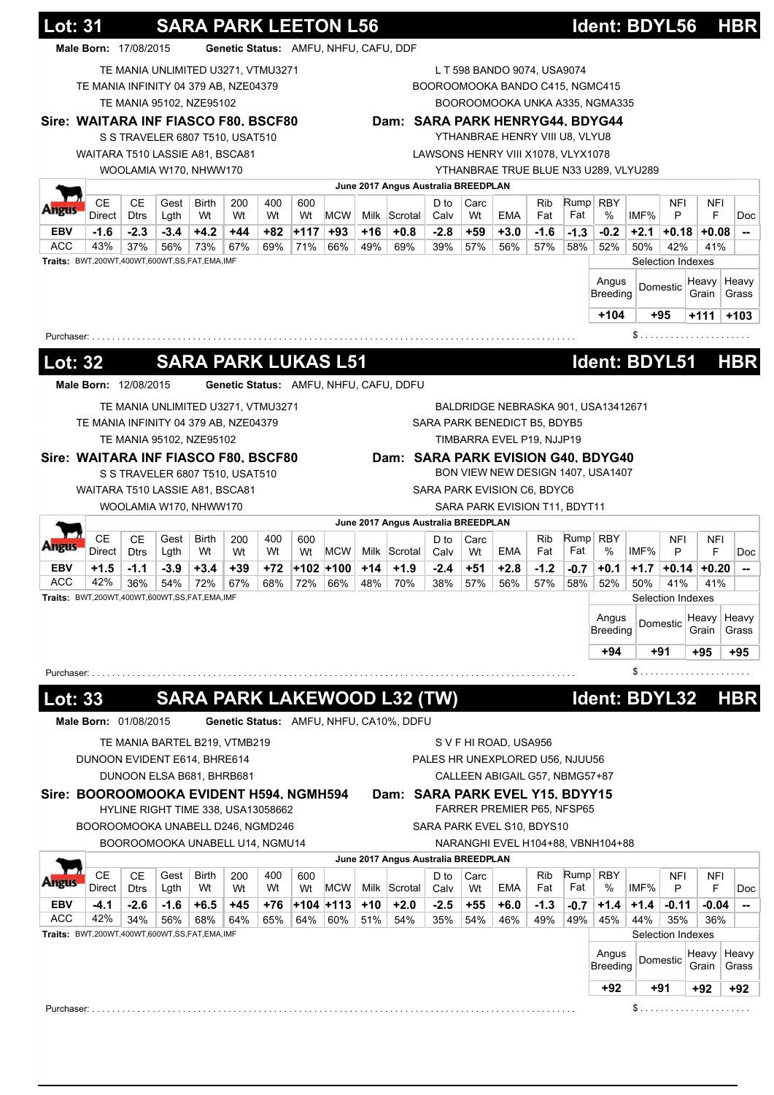|                                                            | <b>Lot: 31</b><br>Male Born: 17/08/2015             |               |               |                                    | Genetic Status: AMFU, NHFU, CAFU, DDF |            | <b>SARA PARK LEETON L56</b> |                  |              |                                         |               |              |                                                                |               |             | Ident: BDYL56                         |               |                   |                | <b>HBR</b>                                                   |
|------------------------------------------------------------|-----------------------------------------------------|---------------|---------------|------------------------------------|---------------------------------------|------------|-----------------------------|------------------|--------------|-----------------------------------------|---------------|--------------|----------------------------------------------------------------|---------------|-------------|---------------------------------------|---------------|-------------------|----------------|--------------------------------------------------------------|
|                                                            |                                                     |               |               |                                    |                                       |            |                             |                  |              |                                         |               |              |                                                                |               |             |                                       |               |                   |                |                                                              |
|                                                            | TE MANIA INFINITY 04 379 AB, NZE04379               |               |               | TE MANIA UNLIMITED U3271, VTMU3271 |                                       |            |                             |                  |              |                                         |               |              | L T 598 BANDO 9074, USA9074<br>BOOROOMOOKA BANDO C415, NGMC415 |               |             |                                       |               |                   |                |                                                              |
|                                                            |                                                     |               |               | TE MANIA 95102, NZE95102           |                                       |            |                             |                  |              |                                         |               |              |                                                                |               |             | BOOROOMOOKA UNKA A335, NGMA335        |               |                   |                |                                                              |
|                                                            | Sire: WAITARA INF FIASCO F80, BSCF80                |               |               |                                    |                                       |            |                             |                  |              | Dam: SARA PARK HENRYG44, BDYG44         |               |              |                                                                |               |             |                                       |               |                   |                |                                                              |
|                                                            |                                                     |               |               | S S TRAVELER 6807 T510, USAT510    |                                       |            |                             |                  |              |                                         |               |              | YTHANBRAE HENRY VIII U8, VLYU8                                 |               |             |                                       |               |                   |                |                                                              |
|                                                            | WAITARA T510 LASSIE A81, BSCA81                     |               |               |                                    |                                       |            |                             |                  |              |                                         |               |              | LAWSONS HENRY VIII X1078, VLYX1078                             |               |             |                                       |               |                   |                |                                                              |
|                                                            |                                                     |               |               | WOOLAMIA W170, NHWW170             |                                       |            |                             |                  |              |                                         |               |              |                                                                |               |             | YTHANBRAE TRUE BLUE N33 U289, VLYU289 |               |                   |                |                                                              |
|                                                            |                                                     |               |               |                                    |                                       |            |                             |                  |              | June 2017 Angus Australia BREEDPLAN     |               |              |                                                                |               |             |                                       |               |                   |                |                                                              |
|                                                            | <b>CE</b>                                           | <b>CE</b>     | Gest          | <b>Birth</b>                       | 200                                   | 400        | 600                         |                  |              |                                         | D to          | Carc         |                                                                | <b>Rib</b>    |             | $Rump$ RBY                            |               | <b>NFI</b>        | <b>NFI</b>     |                                                              |
| meus                                                       | Direct                                              | <b>Dtrs</b>   | Lgth          | Wt                                 | Wt                                    | Wt         | Wt                          | <b>MCW</b>       |              | Milk Scrotal                            | Calv          | Wt           | <b>EMA</b>                                                     | Fat           | Fat         | %                                     | IMF%          | P                 | F              |                                                              |
| <b>EBV</b>                                                 | $-1.6$                                              | $-2.3$        | $-3.4$        | $+4.2$                             | $+44$                                 | $+82$      | $+117$                      | +93              | +16          | $+0.8$                                  | $-2.8$        | +59          | $+3.0$                                                         | $-1.6$        | $-1.3$      | $-0.2$                                | $+2.1$        | +0.18             | $+0.08$        |                                                              |
| <b>ACC</b>                                                 | 43%                                                 | 37%           | 56%           | 73%                                | 67%                                   | 69%        | 71%                         | 66%              | 49%          | 69%                                     | 39%           | 57%          | 56%                                                            | 57%           | 58%         | 52%                                   | 50%           | 42%               | 41%            |                                                              |
|                                                            | Traits: BWT,200WT,400WT,600WT,SS,FAT,EMA,IMF        |               |               |                                    |                                       |            |                             |                  |              |                                         |               |              |                                                                |               |             |                                       |               | Selection Indexes |                |                                                              |
|                                                            |                                                     |               |               |                                    |                                       |            |                             |                  |              |                                         |               |              |                                                                |               |             | Angus<br><b>Breeding</b>              |               | Domestic          | Heavy          | Heavy                                                        |
|                                                            |                                                     |               |               |                                    |                                       |            |                             |                  |              |                                         |               |              |                                                                |               |             |                                       |               |                   | Grain          | Grass                                                        |
|                                                            |                                                     |               |               |                                    |                                       |            |                             |                  |              |                                         |               |              |                                                                |               |             | $+104$                                |               | +95               | +111           | $+103$                                                       |
| Purchaser: .                                               |                                                     |               |               |                                    |                                       |            |                             |                  |              |                                         |               |              |                                                                |               |             |                                       | \$            |                   |                |                                                              |
|                                                            |                                                     |               |               |                                    |                                       |            |                             |                  |              |                                         |               |              |                                                                |               |             |                                       |               |                   |                |                                                              |
| Lot: 32                                                    |                                                     |               |               | <b>SARA PARK LUKAS L51</b>         |                                       |            |                             |                  |              |                                         |               |              |                                                                |               |             | Ident: BDYL51                         |               |                   |                | <b>HBR</b>                                                   |
|                                                            | Male Born: 12/08/2015                               |               |               |                                    |                                       |            |                             |                  |              | Genetic Status: AMFU, NHFU, CAFU, DDFU  |               |              |                                                                |               |             |                                       |               |                   |                |                                                              |
|                                                            |                                                     |               |               | TE MANIA UNLIMITED U3271, VTMU3271 |                                       |            |                             |                  |              |                                         |               |              |                                                                |               |             | BALDRIDGE NEBRASKA 901, USA13412671   |               |                   |                |                                                              |
|                                                            | TE MANIA INFINITY 04 379 AB, NZE04379               |               |               |                                    |                                       |            |                             |                  |              |                                         |               |              | SARA PARK BENEDICT B5, BDYB5                                   |               |             |                                       |               |                   |                |                                                              |
|                                                            |                                                     |               |               | TE MANIA 95102, NZE95102           |                                       |            |                             |                  |              |                                         |               |              | TIMBARRA EVEL P19, NJJP19                                      |               |             |                                       |               |                   |                |                                                              |
|                                                            | Sire: WAITARA INF FIASCO F80, BSCF80                |               |               |                                    |                                       |            |                             |                  |              |                                         |               |              |                                                                |               |             | Dam: SARA PARK EVISION G40, BDYG40    |               |                   |                |                                                              |
|                                                            |                                                     |               |               | S S TRAVELER 6807 T510, USAT510    |                                       |            |                             |                  |              |                                         |               |              |                                                                |               |             | BON VIEW NEW DESIGN 1407, USA1407     |               |                   |                |                                                              |
|                                                            | WAITARA T510 LASSIE A81, BSCA81                     |               |               |                                    |                                       |            |                             |                  |              |                                         |               |              | SARA PARK EVISION C6, BDYC6                                    |               |             |                                       |               |                   |                |                                                              |
|                                                            |                                                     |               |               | WOOLAMIA W170, NHWW170             |                                       |            |                             |                  |              |                                         |               |              | SARA PARK EVISION T11, BDYT11                                  |               |             |                                       |               |                   |                |                                                              |
|                                                            |                                                     |               |               |                                    |                                       |            |                             |                  |              | June 2017 Angus Australia BREEDPLAN     |               |              |                                                                |               |             |                                       |               |                   |                |                                                              |
|                                                            | <b>CE</b>                                           | <b>CE</b>     | Gest          | <b>Birth</b>                       | 200                                   | 400        | 600                         |                  |              |                                         | D to          | Carc         |                                                                | Rib           | Rump        | <b>RBY</b>                            |               | <b>NFI</b>        | NFI            |                                                              |
|                                                            | Direct                                              | <b>Dtrs</b>   | Lgth          | Wt                                 | Wt                                    | Wt         | Wt                          | <b>MCW</b>       |              | Milk Scrotal                            | Calv          | Wt           | <b>EMA</b>                                                     | Fat           | Fat         | %                                     | IMF%          | P                 | F              |                                                              |
|                                                            |                                                     |               | $-3.9$        | $+3.4$                             | +39                                   | +72        |                             | +102 +100        | $+14$        | $+1.9$                                  | -2.4          | $+51$        | $+2.8$                                                         | $-1.2$        | $-0.7$      | $+0.1$                                | $+1.7$        | +0.14             | $+0.20$        |                                                              |
|                                                            | $+1.5$                                              | $-1.1$        |               |                                    |                                       |            | 72%                         | 66%              | 48%          | 70%                                     | 38%           | 57%          | 56%                                                            | 57%           | 58%         | 52%                                   | 50%           | 41%               | 41%            |                                                              |
|                                                            | 42%                                                 | 36%           | 54%           | 72%                                | 67%                                   | 68%        |                             |                  |              |                                         |               |              |                                                                |               |             |                                       |               |                   |                |                                                              |
|                                                            | <b>Traits:</b> BWT,200WT,400WT,600WT,SS,FAT,EMA,IMF |               |               |                                    |                                       |            |                             |                  |              |                                         |               |              |                                                                |               |             |                                       |               | Selection Indexes |                |                                                              |
|                                                            |                                                     |               |               |                                    |                                       |            |                             |                  |              |                                         |               |              |                                                                |               |             | Angus                                 |               |                   | Heavy          |                                                              |
|                                                            |                                                     |               |               |                                    |                                       |            |                             |                  |              |                                         |               |              |                                                                |               |             | <b>Breeding</b>                       |               | Domestic          | Grain          |                                                              |
|                                                            |                                                     |               |               |                                    |                                       |            |                             |                  |              |                                         |               |              |                                                                |               |             | +94                                   |               | +91               | +95            |                                                              |
|                                                            |                                                     |               |               |                                    |                                       |            |                             |                  |              |                                         |               |              |                                                                |               |             |                                       | \$            |                   |                |                                                              |
|                                                            |                                                     |               |               |                                    |                                       |            |                             |                  |              |                                         |               |              |                                                                |               |             |                                       |               |                   |                |                                                              |
|                                                            |                                                     |               |               |                                    |                                       |            |                             |                  |              | <b>SARA PARK LAKEWOOD L32 (TW)</b>      |               |              |                                                                |               |             | Ident: BDYL32                         |               |                   |                |                                                              |
|                                                            | Male Born: 01/08/2015                               |               |               |                                    |                                       |            |                             |                  |              | Genetic Status: AMFU, NHFU, CA10%, DDFU |               |              |                                                                |               |             |                                       |               |                   |                |                                                              |
|                                                            |                                                     |               |               |                                    |                                       |            |                             |                  |              |                                         |               |              |                                                                |               |             |                                       |               |                   |                |                                                              |
|                                                            |                                                     |               |               | TE MANIA BARTEL B219, VTMB219      |                                       |            |                             |                  |              |                                         |               |              | S V F HI ROAD, USA956                                          |               |             |                                       |               |                   |                |                                                              |
|                                                            | DUNOON EVIDENT E614, BHRE614                        |               |               |                                    |                                       |            |                             |                  |              |                                         |               |              | PALES HR UNEXPLORED U56, NJUU56                                |               |             |                                       |               |                   |                |                                                              |
|                                                            |                                                     |               |               | DUNOON ELSA B681, BHRB681          |                                       |            |                             |                  |              |                                         |               |              | CALLEEN ABIGAIL G57, NBMG57+87                                 |               |             |                                       |               |                   |                |                                                              |
|                                                            | Sire: BOOROOMOOKA EVIDENT H594, NGMH594             |               |               |                                    |                                       |            |                             |                  |              | Dam: SARA PARK EVEL Y15, BDYY15         |               |              |                                                                |               |             |                                       |               |                   |                |                                                              |
|                                                            |                                                     |               |               | HYLINE RIGHT TIME 338, USA13058662 |                                       |            |                             |                  |              |                                         |               |              | FARRER PREMIER P65, NFSP65                                     |               |             |                                       |               |                   |                |                                                              |
|                                                            | BOOROOMOOKA UNABELL D246, NGMD246                   |               |               |                                    |                                       |            |                             |                  |              |                                         |               |              | SARA PARK EVEL S10, BDYS10                                     |               |             |                                       |               |                   |                |                                                              |
|                                                            |                                                     |               |               | BOOROOMOOKA UNABELL U14, NGMU14    |                                       |            |                             |                  |              |                                         |               |              |                                                                |               |             | NARANGHI EVEL H104+88, VBNH104+88     |               |                   |                |                                                              |
|                                                            |                                                     |               |               |                                    |                                       |            |                             |                  |              | June 2017 Angus Australia BREEDPLAN     |               |              |                                                                |               |             |                                       |               |                   |                |                                                              |
|                                                            | <b>CE</b>                                           | <b>CE</b>     | Gest          | Birth                              | 200                                   | 400        | 600                         |                  |              |                                         | D to          | Carc         |                                                                | Rib           |             | Rump RBY                              |               | <b>NFI</b>        | NFI            |                                                              |
|                                                            | Direct                                              | <b>Dtrs</b>   | Lgth          | Wt                                 | Wt                                    | Wt         | Wt                          | <b>MCW</b>       |              | Milk Scrotal                            | Calv          | Wt           | EMA                                                            | Fat           | Fat         | %                                     | IMF%          | P                 | F              |                                                              |
|                                                            | $-4.1$<br>42%                                       | $-2.6$<br>34% | $-1.6$<br>56% | $+6.5$<br>68%                      | +45<br>64%                            | +76<br>65% | 64%                         | +104 +113<br>60% | $+10$<br>51% | $+2.0$<br>54%                           | $-2.5$<br>35% | $+55$<br>54% | $+6.0$<br>46%                                                  | $-1.3$<br>49% | -0.7<br>49% | $+1.4$<br>45%                         | $+1.4$<br>44% | -0.11<br>35%      | $-0.04$<br>36% |                                                              |
|                                                            | Traits: BWT,200WT,400WT,600WT,SS,FAT,EMA,IMF        |               |               |                                    |                                       |            |                             |                  |              |                                         |               |              |                                                                |               |             |                                       |               | Selection Indexes |                |                                                              |
| EBV<br>ACC<br>Purchaser: .<br><b>Lot: 33</b><br>EBV<br>ACC |                                                     |               |               |                                    |                                       |            |                             |                  |              |                                         |               |              |                                                                |               |             |                                       |               |                   |                |                                                              |
|                                                            |                                                     |               |               |                                    |                                       |            |                             |                  |              |                                         |               |              |                                                                |               |             | Angus<br>Breeding                     |               | Domestic          | Heavy<br>Grain |                                                              |
|                                                            |                                                     |               |               |                                    |                                       |            |                             |                  |              |                                         |               |              |                                                                |               |             | +92                                   |               | +91               | +92            | Heavy<br>Grass<br>+95<br><b>HBR</b><br>Heavy<br>Grass<br>+92 |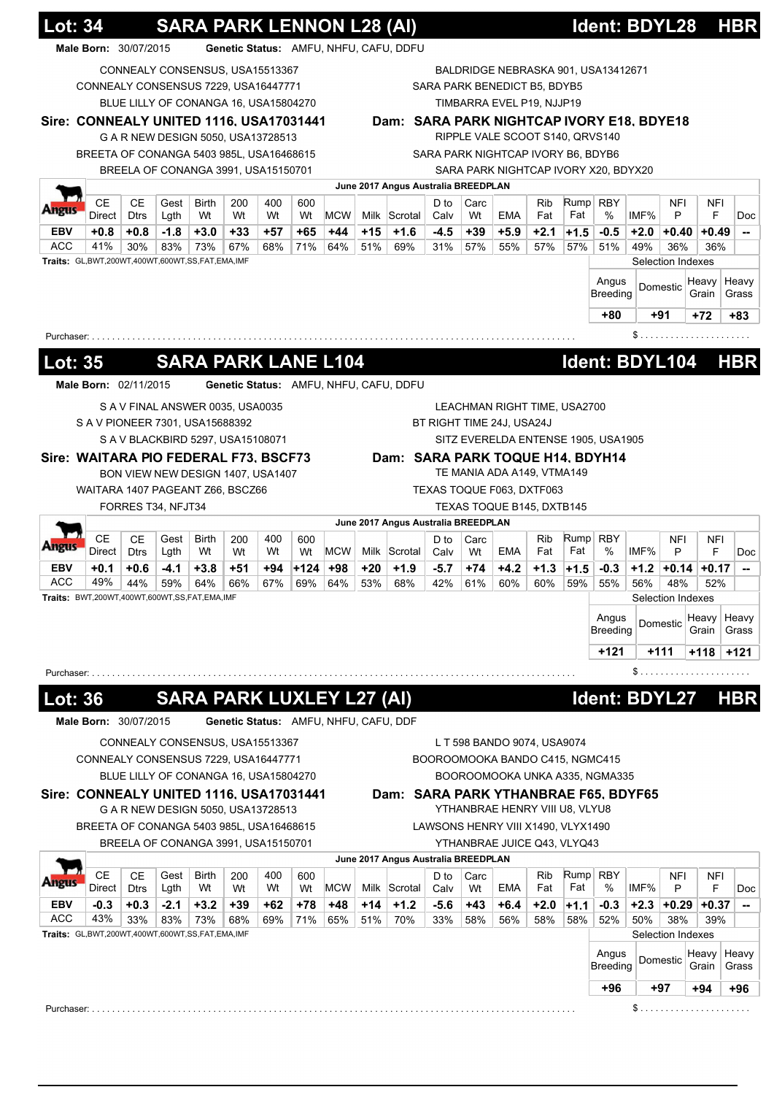|                                            | <b>Lot: 34</b>                                  |                          |               |                                       |              |              | <b>SARA PARK LENNON L28 (AI)</b> |                                       |            |                                           |               |              |                                    |               |               | Ident: BDYL28                        |               |                          |                 | <b>HBR</b>                          |
|--------------------------------------------|-------------------------------------------------|--------------------------|---------------|---------------------------------------|--------------|--------------|----------------------------------|---------------------------------------|------------|-------------------------------------------|---------------|--------------|------------------------------------|---------------|---------------|--------------------------------------|---------------|--------------------------|-----------------|-------------------------------------|
|                                            | Male Born: 30/07/2015                           |                          |               |                                       |              |              |                                  |                                       |            | Genetic Status: AMFU, NHFU, CAFU, DDFU    |               |              |                                    |               |               |                                      |               |                          |                 |                                     |
|                                            |                                                 |                          |               | CONNEALY CONSENSUS, USA15513367       |              |              |                                  |                                       |            |                                           |               |              |                                    |               |               | BALDRIDGE NEBRASKA 901, USA13412671  |               |                          |                 |                                     |
|                                            | CONNEALY CONSENSUS 7229, USA16447771            |                          |               |                                       |              |              |                                  |                                       |            |                                           |               |              | SARA PARK BENEDICT B5, BDYB5       |               |               |                                      |               |                          |                 |                                     |
|                                            |                                                 |                          |               | BLUE LILLY OF CONANGA 16, USA15804270 |              |              |                                  |                                       |            |                                           |               |              | TIMBARRA EVEL P19, NJJP19          |               |               |                                      |               |                          |                 |                                     |
|                                            | Sire: CONNEALY UNITED 1116, USA17031441         |                          |               |                                       |              |              |                                  |                                       |            | Dam: SARA PARK NIGHTCAP IVORY E18, BDYE18 |               |              |                                    |               |               |                                      |               |                          |                 |                                     |
|                                            |                                                 |                          |               | G A R NEW DESIGN 5050, USA13728513    |              |              |                                  |                                       |            |                                           |               |              | RIPPLE VALE SCOOT S140, QRVS140    |               |               |                                      |               |                          |                 |                                     |
|                                            | BREETA OF CONANGA 5403 985L, USA16468615        |                          |               |                                       |              |              |                                  |                                       |            |                                           |               |              | SARA PARK NIGHTCAP IVORY B6, BDYB6 |               |               |                                      |               |                          |                 |                                     |
|                                            |                                                 |                          |               | BREELA OF CONANGA 3991, USA15150701   |              |              |                                  |                                       |            |                                           |               |              |                                    |               |               | SARA PARK NIGHTCAP IVORY X20, BDYX20 |               |                          |                 |                                     |
|                                            |                                                 |                          |               |                                       |              |              |                                  |                                       |            | June 2017 Angus Australia BREEDPLAN       |               |              |                                    |               |               |                                      |               |                          |                 |                                     |
|                                            | <b>CE</b>                                       | <b>CE</b>                | Gest          | Birth                                 | 200          | 400          | 600                              |                                       |            |                                           | D to          | Carc         |                                    | Rib           |               | $Rump$ RBY                           |               | NFI                      | <b>NFI</b>      | Doc                                 |
|                                            | Direct                                          | <b>Dtrs</b>              | Lgth          | Wt                                    | Wt           | Wt           | Wt                               | <b>MCW</b>                            |            | Milk Scrotal                              | Calv          | Wt           | <b>EMA</b>                         | Fat           | Fat           | %                                    | IMF%          | P                        | F               |                                     |
| <b>EBV</b><br><b>ACC</b>                   | $+0.8$<br>41%                                   | $+0.8$<br>30%            | $-1.8$<br>83% | $+3.0$<br>73%                         | $+33$<br>67% | $+57$<br>68% | +65<br>71%                       | +44<br>64%                            | +15<br>51% | $+1.6$<br>69%                             | $-4.5$<br>31% | $+39$<br>57% | $+5.9$<br>55%                      | $+2.1$<br>57% | $+1.5$<br>57% | $-0.5$                               | $+2.0$<br>49% | $+0.40$                  | $+0.49$         |                                     |
|                                            | Traits: GL,BWT,200WT,400WT,600WT,SS,FAT,EMA,IMF |                          |               |                                       |              |              |                                  |                                       |            |                                           |               |              |                                    |               |               | 51%                                  |               | 36%<br>Selection Indexes | 36%             |                                     |
|                                            |                                                 |                          |               |                                       |              |              |                                  |                                       |            |                                           |               |              |                                    |               |               |                                      |               |                          |                 |                                     |
|                                            |                                                 |                          |               |                                       |              |              |                                  |                                       |            |                                           |               |              |                                    |               |               | Angus<br>Breeding                    |               | Domestic                 | Heavy<br>Grain  | Heavy<br>Grass                      |
|                                            |                                                 |                          |               |                                       |              |              |                                  |                                       |            |                                           |               |              |                                    |               |               |                                      |               |                          |                 |                                     |
|                                            |                                                 |                          |               |                                       |              |              |                                  |                                       |            |                                           |               |              |                                    |               |               | +80                                  |               | +91                      | +72             | +83                                 |
|                                            | Purchaser:                                      |                          |               |                                       |              |              |                                  |                                       |            |                                           |               |              |                                    |               |               |                                      |               |                          |                 |                                     |
| <b>Lot: 35</b>                             |                                                 |                          |               |                                       |              |              |                                  | <b>SARA PARK LANE L104</b>            |            |                                           |               |              |                                    |               |               | Ident: BDYL104                       |               |                          |                 | <b>HBR</b>                          |
|                                            |                                                 |                          |               |                                       |              |              |                                  |                                       |            |                                           |               |              |                                    |               |               |                                      |               |                          |                 |                                     |
|                                            | Male Born: 02/11/2015                           |                          |               |                                       |              |              |                                  |                                       |            | Genetic Status: AMFU, NHFU, CAFU, DDFU    |               |              |                                    |               |               |                                      |               |                          |                 |                                     |
|                                            |                                                 |                          |               | S A V FINAL ANSWER 0035, USA0035      |              |              |                                  |                                       |            |                                           |               |              | LEACHMAN RIGHT TIME, USA2700       |               |               |                                      |               |                          |                 |                                     |
|                                            | S A V PIONEER 7301, USA15688392                 |                          |               |                                       |              |              |                                  |                                       |            |                                           |               |              | BT RIGHT TIME 24J, USA24J          |               |               |                                      |               |                          |                 |                                     |
|                                            |                                                 |                          |               | S A V BLACKBIRD 5297, USA15108071     |              |              |                                  |                                       |            |                                           |               |              |                                    |               |               | SITZ EVERELDA ENTENSE 1905, USA1905  |               |                          |                 |                                     |
|                                            | Sire: WAITARA PIO FEDERAL F73, BSCF73           |                          |               |                                       |              |              |                                  |                                       |            | Dam: SARA PARK TOQUE H14, BDYH14          |               |              |                                    |               |               |                                      |               |                          |                 |                                     |
|                                            |                                                 |                          |               | BON VIEW NEW DESIGN 1407, USA1407     |              |              |                                  |                                       |            |                                           |               |              | TE MANIA ADA A149, VTMA149         |               |               |                                      |               |                          |                 |                                     |
|                                            | WAITARA 1407 PAGEANT Z66, BSCZ66                |                          |               |                                       |              |              |                                  |                                       |            |                                           |               |              | TEXAS TOQUE F063, DXTF063          |               |               |                                      |               |                          |                 |                                     |
|                                            |                                                 | FORRES T34, NFJT34       |               |                                       |              |              |                                  |                                       |            |                                           |               |              | TEXAS TOQUE B145, DXTB145          |               |               |                                      |               |                          |                 |                                     |
|                                            |                                                 |                          |               |                                       |              |              |                                  |                                       |            | June 2017 Angus Australia BREEDPLAN       |               |              |                                    |               |               |                                      |               |                          |                 |                                     |
|                                            | CЕ<br>Direct                                    | CЕ<br><b>Dtrs</b>        | Gest<br>Lgth  | Birth<br>Wt                           | 200<br>Wt    | 400<br>Wt    | 600<br>Wt                        | MCW                                   |            | Milk Scrotal                              | D to<br>Calv  | Carc<br>Wt   | EMA                                | Rib<br>Fat    | Fat           | Rump RBY<br>%                        | IMF%          | NFI<br>P                 | <b>NFI</b><br>F |                                     |
| <b>EBV</b>                                 | $+0.1$                                          | $+0.6$                   | $-4.1$        | $+3.8$                                | +51          | +94          | $+124$                           | $+98$                                 | +20        | $+1.9$                                    | $-5.7$        | $+74$        | $+4.2$                             | $+1.3$        | $+1.5$        | $-0.3$                               | $+1.2$        |                          | $+0.14$ +0.17   |                                     |
| <b>ACC</b>                                 | 49%                                             | 44%                      | 59%           | 64%                                   | 66%          | 67%          | 69%                              | 64%                                   | 53%        | 68%                                       | 42%           | 61%          | 60%                                | 60%           | 59%           | 55%                                  | 56%           | 48%                      | 52%             |                                     |
|                                            | Traits: BWT,200WT,400WT,600WT,SS,FAT,EMA,IMF    |                          |               |                                       |              |              |                                  |                                       |            |                                           |               |              |                                    |               |               |                                      |               | Selection Indexes        |                 |                                     |
|                                            |                                                 |                          |               |                                       |              |              |                                  |                                       |            |                                           |               |              |                                    |               |               | Angus                                |               |                          | Heavy           | Heavy                               |
|                                            |                                                 |                          |               |                                       |              |              |                                  |                                       |            |                                           |               |              |                                    |               |               | <b>Breeding</b>                      |               | Domestic                 | Grain           | Grass                               |
|                                            |                                                 |                          |               |                                       |              |              |                                  |                                       |            |                                           |               |              |                                    |               |               | +121                                 |               | $+111$                   | +118            | $+121$                              |
|                                            |                                                 |                          |               |                                       |              |              |                                  |                                       |            |                                           |               |              |                                    |               |               |                                      |               | \$                       |                 |                                     |
|                                            |                                                 |                          |               |                                       |              |              |                                  |                                       |            |                                           |               |              |                                    |               |               |                                      |               |                          |                 |                                     |
|                                            | Purchaser: $\ldots \ldots \ldots \ldots$        |                          |               |                                       |              |              |                                  |                                       |            |                                           |               |              |                                    |               |               |                                      |               |                          |                 |                                     |
|                                            |                                                 |                          |               |                                       |              |              |                                  | <b>SARA PARK LUXLEY L27 (AI)</b>      |            |                                           |               |              |                                    |               |               | Ident: BDYL27                        |               |                          |                 |                                     |
|                                            |                                                 |                          |               |                                       |              |              |                                  |                                       |            |                                           |               |              |                                    |               |               |                                      |               |                          |                 |                                     |
|                                            | Male Born: 30/07/2015                           |                          |               |                                       |              |              |                                  | Genetic Status: AMFU, NHFU, CAFU, DDF |            |                                           |               |              |                                    |               |               |                                      |               |                          |                 |                                     |
|                                            |                                                 |                          |               | CONNEALY CONSENSUS, USA15513367       |              |              |                                  |                                       |            |                                           |               |              | L T 598 BANDO 9074, USA9074        |               |               |                                      |               |                          |                 |                                     |
|                                            | CONNEALY CONSENSUS 7229, USA16447771            |                          |               |                                       |              |              |                                  |                                       |            |                                           |               |              | BOOROOMOOKA BANDO C415, NGMC415    |               |               |                                      |               |                          |                 |                                     |
|                                            |                                                 |                          |               | BLUE LILLY OF CONANGA 16, USA15804270 |              |              |                                  |                                       |            |                                           |               |              |                                    |               |               | BOOROOMOOKA UNKA A335, NGMA335       |               |                          |                 |                                     |
|                                            | Sire: CONNEALY UNITED 1116, USA17031441         |                          |               |                                       |              |              |                                  |                                       |            | Dam: SARA PARK YTHANBRAE F65, BDYF65      |               |              |                                    |               |               |                                      |               |                          |                 |                                     |
|                                            |                                                 |                          |               | G A R NEW DESIGN 5050, USA13728513    |              |              |                                  |                                       |            |                                           |               |              | YTHANBRAE HENRY VIII U8, VLYU8     |               |               |                                      |               |                          |                 |                                     |
|                                            | BREETA OF CONANGA 5403 985L, USA16468615        |                          |               |                                       |              |              |                                  |                                       |            |                                           |               |              | LAWSONS HENRY VIII X1490, VLYX1490 |               |               |                                      |               |                          |                 |                                     |
|                                            |                                                 |                          |               | BREELA OF CONANGA 3991, USA15150701   |              |              |                                  |                                       |            |                                           |               |              | YTHANBRAE JUICE Q43, VLYQ43        |               |               |                                      |               |                          |                 |                                     |
|                                            |                                                 |                          |               |                                       |              |              |                                  |                                       |            | June 2017 Angus Australia BREEDPLAN       |               |              |                                    |               |               |                                      |               |                          |                 |                                     |
|                                            | <b>CE</b><br>Direct                             | <b>CE</b><br><b>Dtrs</b> | Gest<br>Lgth  | <b>Birth</b><br>Wt                    | 200<br>Wt    | 400<br>Wt    | 600<br>Wt                        | <b>MCW</b>                            |            | Milk Scrotal                              | D to<br>Calv  | Carc<br>Wt   | EMA                                | Rib<br>Fat    | Rump<br>Fat   | <b>RBY</b><br>%                      | IMF%          | <b>NFI</b><br>P          | <b>NFI</b><br>F |                                     |
|                                            | $-0.3$                                          | $+0.3$                   | $-2.1$        | $+3.2$                                | $+39$        | +62          | +78                              | +48                                   | $+14$      | $+1.2$                                    | $-5.6$        | $+43$        | $+6.4$                             | $+2.0$        | $+1.1$        | $-0.3$                               | $+2.3$        | $+0.29$                  | $+0.37$         |                                     |
|                                            | 43%                                             | 33%                      | 83%           | 73%                                   | 68%          | 69%          | 71%                              | 65%                                   | 51%        | 70%                                       | 33%           | 58%          | 56%                                | 58%           | 58%           | 52%                                  | 50%           | 38%                      | 39%             |                                     |
|                                            | Traits: GL,BWT,200WT,400WT,600WT,SS,FAT,EMA,IMF |                          |               |                                       |              |              |                                  |                                       |            |                                           |               |              |                                    |               |               |                                      |               | Selection Indexes        |                 |                                     |
|                                            |                                                 |                          |               |                                       |              |              |                                  |                                       |            |                                           |               |              |                                    |               |               | Angus                                |               |                          | Heavy           |                                     |
|                                            |                                                 |                          |               |                                       |              |              |                                  |                                       |            |                                           |               |              |                                    |               |               | Breeding                             |               | Domestic                 | Grain           |                                     |
| <b>Lot: 36</b><br><b>EBV</b><br><b>ACC</b> |                                                 |                          |               |                                       |              |              |                                  |                                       |            |                                           |               |              |                                    |               |               | +96                                  |               | +97                      | $+94$           | <b>HBR</b><br>Heavy<br>Grass<br>+96 |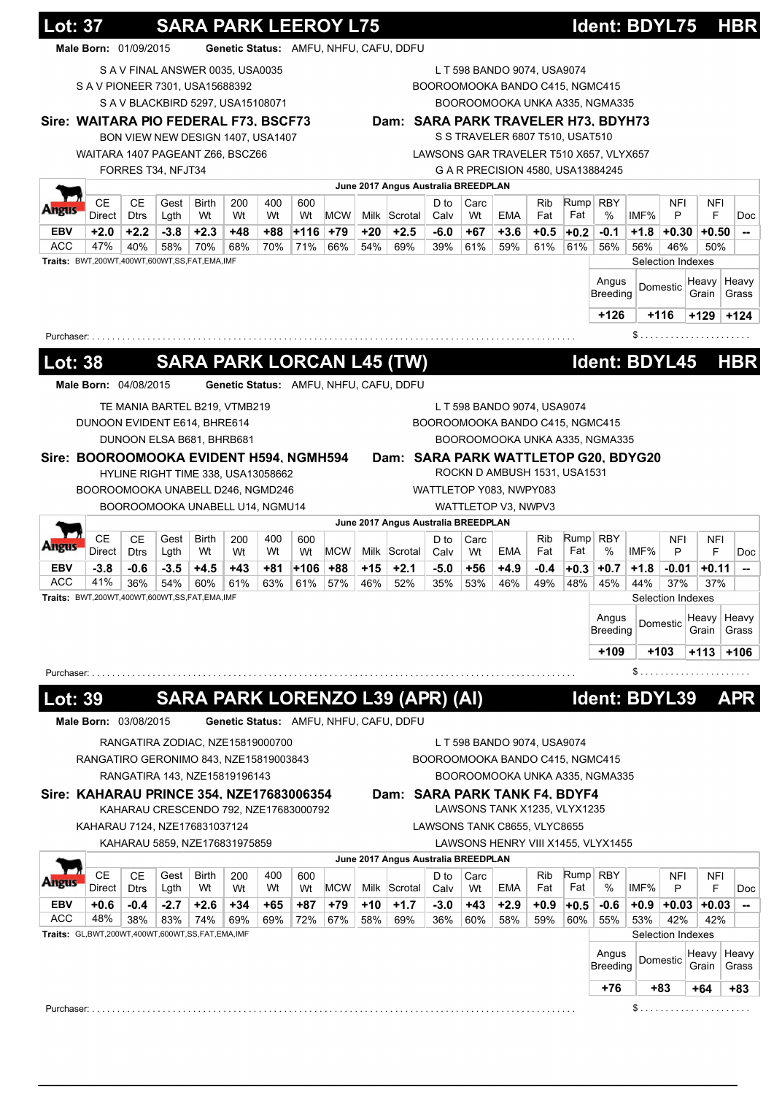| Genetic Status: AMFU, NHFU, CAFU, DDFU<br>Male Born: 01/09/2015<br>S A V FINAL ANSWER 0035, USA0035<br>L T 598 BANDO 9074, USA9074<br>S A V PIONEER 7301, USA15688392<br>BOOROOMOOKA BANDO C415, NGMC415<br>S A V BLACKBIRD 5297, USA15108071<br>BOOROOMOOKA UNKA A335, NGMA335<br>Sire: WAITARA PIO FEDERAL F73, BSCF73<br>Dam: SARA PARK TRAVELER H73, BDYH73<br>S S TRAVELER 6807 T510, USAT510<br>BON VIEW NEW DESIGN 1407, USA1407<br>WAITARA 1407 PAGEANT Z66, BSCZ66<br>LAWSONS GAR TRAVELER T510 X657, VLYX657<br>FORRES T34, NFJT34<br>G A R PRECISION 4580, USA13884245<br>June 2017 Angus Australia BREEDPLAN<br><b>CE</b><br>Rump RBY<br>CЕ<br><b>Birth</b><br>200<br>400<br>Gest<br>600<br>D to<br>Carc<br>Rib<br>NFI<br>NFI<br>полк<br>IMF%<br>Direct<br>Wt<br><b>MCW</b><br>Milk Scrotal<br>EMA<br>Fat<br>Fat<br>%<br>F<br><b>Dtrs</b><br>Lgth<br>Wt<br>Wt<br>P<br>Wt<br>Calv<br>Wt<br><b>EBV</b><br>$+2.0$<br>$+2.2$<br>$-3.8$<br>$+2.3$<br>$+48$<br>+88<br>1116⊧<br>+79<br>+20<br>$+2.5$<br>-6.0<br>$+3.6$<br>$+0.5$<br>-0.1<br>$+1.8$ +0.30<br>$+0.50$<br>+67<br>$+0.2$<br>ACC<br>47%<br>40%<br>54%<br>61%<br>58%<br>70%<br>68%<br>70%<br>71%<br>66%<br>69%<br>39%<br>61%<br>59%<br>61%<br>56%<br>56%<br>46%<br>50%<br>Traits: BWT,200WT,400WT,600WT,SS,FAT,EMA,IMF<br>Selection Indexes<br>Angus<br>Heavy<br>Heavy<br>Domestic<br><b>Breeding</b><br>Grain<br>$+126$<br>$+116$<br>$+129$<br>$+124$<br>Purchaser:<br>Ident: BDYL45<br><b>SARA PARK LORCAN L45 (TW)</b><br><b>HBR</b><br><b>Lot: 38</b><br>Male Born: 04/08/2015<br>Genetic Status: AMFU, NHFU, CAFU, DDFU<br>TE MANIA BARTEL B219, VTMB219<br>L T 598 BANDO 9074, USA9074<br>DUNOON EVIDENT E614, BHRE614<br>BOOROOMOOKA BANDO C415, NGMC415<br>DUNOON ELSA B681, BHRB681<br>BOOROOMOOKA UNKA A335, NGMA335<br>Dam: SARA PARK WATTLETOP G20, BDYG20<br>Sire: BOOROOMOOKA EVIDENT H594, NGMH594<br>ROCKN D AMBUSH 1531, USA1531<br>HYLINE RIGHT TIME 338, USA13058662<br>BOOROOMOOKA UNABELL D246, NGMD246<br>WATTLETOP Y083, NWPY083<br>BOOROOMOOKA UNABELL U14, NGMU14<br>WATTLETOP V3, NWPV3<br>June 2017 Angus Australia BREEDPLAN<br>Rump<br>CЕ<br>CЕ<br><b>RBY</b><br>Gest<br>Birth<br>200<br>400<br>600<br>D to<br>Carc<br>Rib<br><b>NFI</b><br>NFI<br>ungus<br>Fat<br>$\%$<br>IMF%<br>P<br>F<br>Direct<br><b>Dtrs</b><br>Lgth<br>Wt<br>Wt<br>Wt<br>Wt<br>MCW<br>Milk Scrotal<br>EMA<br>Fat<br>Calv<br>Wt<br>EBV<br>$-3.8$<br>-0.6<br>$-3.5$<br>$+4.5$<br>$+43$<br>+81<br>$+106$<br>+88<br>+15<br>$+2.1$<br>$-5.0$<br>$+4.9$<br>$+0.7$<br>$+1.8$<br>+56<br>-0.4<br>$+0.3$<br>$-0.01$<br>$+0.11$<br>ACC<br>41%<br>54%<br>61%<br>36%<br>60%<br>63%<br>61%<br>57%<br>46%<br>52%<br>35%<br>53%<br>46%<br>49%<br>48%<br>45%<br>44%<br>37%<br>37%<br>Traits: BWT,200WT,400WT,600WT,SS,FAT,EMA,IMF<br>Selection Indexes<br>Angus<br>Heavy<br>Domestic<br>Breeding<br>Grain<br>$+109$<br>+103<br>$+113$<br>+106<br>\$<br>Purchaser:<br>SARA PARK LORENZO L39 (APR) (AI)<br>Ident: BDYL39<br><u> Lot: 39</u><br>APR<br>Male Born: 03/08/2015<br>Genetic Status: AMFU, NHFU, CAFU, DDFU<br>RANGATIRA ZODIAC, NZE15819000700<br>L T 598 BANDO 9074, USA9074<br>RANGATIRO GERONIMO 843, NZE15819003843<br>BOOROOMOOKA BANDO C415, NGMC415<br>RANGATIRA 143, NZE15819196143<br>BOOROOMOOKA UNKA A335, NGMA335<br>Sire: KAHARAU PRINCE 354, NZE17683006354<br>Dam: SARA PARK TANK F4, BDYF4<br>LAWSONS TANK X1235, VLYX1235<br>KAHARAU CRESCENDO 792, NZE17683000792<br>KAHARAU 7124, NZE176831037124<br>LAWSONS TANK C8655, VLYC8655<br>LAWSONS HENRY VIII X1455, VLYX1455<br>KAHARAU 5859, NZE176831975859<br>June 2017 Angus Australia BREEDPLAN<br><b>CE</b><br><b>CE</b><br>Rump<br>Gest<br><b>Birth</b><br>400<br>Carc<br><b>RBY</b><br>NFI<br>200<br>D to<br>Rib<br>NFI<br>600<br><b>MCW</b><br>%<br>IMF%<br>F<br>Direct<br><b>Dtrs</b><br>Wt<br>Milk Scrotal<br>EMA<br>Fat<br>Fat<br>P<br>Lgth<br>Wt<br>Wt<br>Wt<br>Calv<br>Wt<br>+0.6<br>-0.4<br>$-2.7$<br>$+2.6$<br>$+34$<br>+87<br>+79<br>+10<br>$+1.7$<br>$+2.9$<br>$+0.9$<br>EBV<br>+65<br>$-3.0$<br>+43<br>-0.6<br>$+0.9$ +0.03 +0.03<br>$+0.5$<br>ACC<br>48%<br>38%<br>36%<br>60%<br>53%<br>83%<br>74%<br>69%<br>69%<br>72%<br>67%<br>58%<br>69%<br>60%<br>58%<br>59%<br>55%<br>42%<br>42%<br>Traits: GL,BWT,200WT,400WT,600WT,SS,FAT,EMA,IMF<br>Selection Indexes<br>Angus<br>Heavy<br>Domestic<br><b>Breeding</b><br>Grain<br>+76<br>+83<br>$+64$<br>$+83$ | <b>Lot: 37</b> |  |  |  | <b>SARA PARK LEEROY L75</b> |  |  |  | <b>Ident: BDYL75</b> |  | <b>HBR</b>                         |
|-------------------------------------------------------------------------------------------------------------------------------------------------------------------------------------------------------------------------------------------------------------------------------------------------------------------------------------------------------------------------------------------------------------------------------------------------------------------------------------------------------------------------------------------------------------------------------------------------------------------------------------------------------------------------------------------------------------------------------------------------------------------------------------------------------------------------------------------------------------------------------------------------------------------------------------------------------------------------------------------------------------------------------------------------------------------------------------------------------------------------------------------------------------------------------------------------------------------------------------------------------------------------------------------------------------------------------------------------------------------------------------------------------------------------------------------------------------------------------------------------------------------------------------------------------------------------------------------------------------------------------------------------------------------------------------------------------------------------------------------------------------------------------------------------------------------------------------------------------------------------------------------------------------------------------------------------------------------------------------------------------------------------------------------------------------------------------------------------------------------------------------------------------------------------------------------------------------------------------------------------------------------------------------------------------------------------------------------------------------------------------------------------------------------------------------------------------------------------------------------------------------------------------------------------------------------------------------------------------------------------------------------------------------------------------------------------------------------------------------------------------------------------------------------------------------------------------------------------------------------------------------------------------------------------------------------------------------------------------------------------------------------------------------------------------------------------------------------------------------------------------------------------------------------------------------------------------------------------------------------------------------------------------------------------------------------------------------------------------------------------------------------------------------------------------------------------------------------------------------------------------------------------------------------------------------------------------------------------------------------------------------------------------------------------------------------------------------------------------------------------------------------------------------------------------------------------------------------------------------------------------------------------------------------------------------------------------------------------------------------------------------------------------------------------------------------------------------------------------------------------------------------------------------------------------------------------------------------------------------------------------------------------------------------------------------------------------------------------------------------------------------------------------|----------------|--|--|--|-----------------------------|--|--|--|----------------------|--|------------------------------------|
|                                                                                                                                                                                                                                                                                                                                                                                                                                                                                                                                                                                                                                                                                                                                                                                                                                                                                                                                                                                                                                                                                                                                                                                                                                                                                                                                                                                                                                                                                                                                                                                                                                                                                                                                                                                                                                                                                                                                                                                                                                                                                                                                                                                                                                                                                                                                                                                                                                                                                                                                                                                                                                                                                                                                                                                                                                                                                                                                                                                                                                                                                                                                                                                                                                                                                                                                                                                                                                                                                                                                                                                                                                                                                                                                                                                                                                                                                                                                                                                                                                                                                                                                                                                                                                                                                                                                                                                                       |                |  |  |  |                             |  |  |  |                      |  |                                    |
|                                                                                                                                                                                                                                                                                                                                                                                                                                                                                                                                                                                                                                                                                                                                                                                                                                                                                                                                                                                                                                                                                                                                                                                                                                                                                                                                                                                                                                                                                                                                                                                                                                                                                                                                                                                                                                                                                                                                                                                                                                                                                                                                                                                                                                                                                                                                                                                                                                                                                                                                                                                                                                                                                                                                                                                                                                                                                                                                                                                                                                                                                                                                                                                                                                                                                                                                                                                                                                                                                                                                                                                                                                                                                                                                                                                                                                                                                                                                                                                                                                                                                                                                                                                                                                                                                                                                                                                                       |                |  |  |  |                             |  |  |  |                      |  |                                    |
|                                                                                                                                                                                                                                                                                                                                                                                                                                                                                                                                                                                                                                                                                                                                                                                                                                                                                                                                                                                                                                                                                                                                                                                                                                                                                                                                                                                                                                                                                                                                                                                                                                                                                                                                                                                                                                                                                                                                                                                                                                                                                                                                                                                                                                                                                                                                                                                                                                                                                                                                                                                                                                                                                                                                                                                                                                                                                                                                                                                                                                                                                                                                                                                                                                                                                                                                                                                                                                                                                                                                                                                                                                                                                                                                                                                                                                                                                                                                                                                                                                                                                                                                                                                                                                                                                                                                                                                                       |                |  |  |  |                             |  |  |  |                      |  |                                    |
|                                                                                                                                                                                                                                                                                                                                                                                                                                                                                                                                                                                                                                                                                                                                                                                                                                                                                                                                                                                                                                                                                                                                                                                                                                                                                                                                                                                                                                                                                                                                                                                                                                                                                                                                                                                                                                                                                                                                                                                                                                                                                                                                                                                                                                                                                                                                                                                                                                                                                                                                                                                                                                                                                                                                                                                                                                                                                                                                                                                                                                                                                                                                                                                                                                                                                                                                                                                                                                                                                                                                                                                                                                                                                                                                                                                                                                                                                                                                                                                                                                                                                                                                                                                                                                                                                                                                                                                                       |                |  |  |  |                             |  |  |  |                      |  |                                    |
|                                                                                                                                                                                                                                                                                                                                                                                                                                                                                                                                                                                                                                                                                                                                                                                                                                                                                                                                                                                                                                                                                                                                                                                                                                                                                                                                                                                                                                                                                                                                                                                                                                                                                                                                                                                                                                                                                                                                                                                                                                                                                                                                                                                                                                                                                                                                                                                                                                                                                                                                                                                                                                                                                                                                                                                                                                                                                                                                                                                                                                                                                                                                                                                                                                                                                                                                                                                                                                                                                                                                                                                                                                                                                                                                                                                                                                                                                                                                                                                                                                                                                                                                                                                                                                                                                                                                                                                                       |                |  |  |  |                             |  |  |  |                      |  |                                    |
|                                                                                                                                                                                                                                                                                                                                                                                                                                                                                                                                                                                                                                                                                                                                                                                                                                                                                                                                                                                                                                                                                                                                                                                                                                                                                                                                                                                                                                                                                                                                                                                                                                                                                                                                                                                                                                                                                                                                                                                                                                                                                                                                                                                                                                                                                                                                                                                                                                                                                                                                                                                                                                                                                                                                                                                                                                                                                                                                                                                                                                                                                                                                                                                                                                                                                                                                                                                                                                                                                                                                                                                                                                                                                                                                                                                                                                                                                                                                                                                                                                                                                                                                                                                                                                                                                                                                                                                                       |                |  |  |  |                             |  |  |  |                      |  |                                    |
|                                                                                                                                                                                                                                                                                                                                                                                                                                                                                                                                                                                                                                                                                                                                                                                                                                                                                                                                                                                                                                                                                                                                                                                                                                                                                                                                                                                                                                                                                                                                                                                                                                                                                                                                                                                                                                                                                                                                                                                                                                                                                                                                                                                                                                                                                                                                                                                                                                                                                                                                                                                                                                                                                                                                                                                                                                                                                                                                                                                                                                                                                                                                                                                                                                                                                                                                                                                                                                                                                                                                                                                                                                                                                                                                                                                                                                                                                                                                                                                                                                                                                                                                                                                                                                                                                                                                                                                                       |                |  |  |  |                             |  |  |  |                      |  |                                    |
|                                                                                                                                                                                                                                                                                                                                                                                                                                                                                                                                                                                                                                                                                                                                                                                                                                                                                                                                                                                                                                                                                                                                                                                                                                                                                                                                                                                                                                                                                                                                                                                                                                                                                                                                                                                                                                                                                                                                                                                                                                                                                                                                                                                                                                                                                                                                                                                                                                                                                                                                                                                                                                                                                                                                                                                                                                                                                                                                                                                                                                                                                                                                                                                                                                                                                                                                                                                                                                                                                                                                                                                                                                                                                                                                                                                                                                                                                                                                                                                                                                                                                                                                                                                                                                                                                                                                                                                                       |                |  |  |  |                             |  |  |  |                      |  |                                    |
|                                                                                                                                                                                                                                                                                                                                                                                                                                                                                                                                                                                                                                                                                                                                                                                                                                                                                                                                                                                                                                                                                                                                                                                                                                                                                                                                                                                                                                                                                                                                                                                                                                                                                                                                                                                                                                                                                                                                                                                                                                                                                                                                                                                                                                                                                                                                                                                                                                                                                                                                                                                                                                                                                                                                                                                                                                                                                                                                                                                                                                                                                                                                                                                                                                                                                                                                                                                                                                                                                                                                                                                                                                                                                                                                                                                                                                                                                                                                                                                                                                                                                                                                                                                                                                                                                                                                                                                                       |                |  |  |  |                             |  |  |  |                      |  |                                    |
|                                                                                                                                                                                                                                                                                                                                                                                                                                                                                                                                                                                                                                                                                                                                                                                                                                                                                                                                                                                                                                                                                                                                                                                                                                                                                                                                                                                                                                                                                                                                                                                                                                                                                                                                                                                                                                                                                                                                                                                                                                                                                                                                                                                                                                                                                                                                                                                                                                                                                                                                                                                                                                                                                                                                                                                                                                                                                                                                                                                                                                                                                                                                                                                                                                                                                                                                                                                                                                                                                                                                                                                                                                                                                                                                                                                                                                                                                                                                                                                                                                                                                                                                                                                                                                                                                                                                                                                                       |                |  |  |  |                             |  |  |  |                      |  | <b>Doc</b>                         |
|                                                                                                                                                                                                                                                                                                                                                                                                                                                                                                                                                                                                                                                                                                                                                                                                                                                                                                                                                                                                                                                                                                                                                                                                                                                                                                                                                                                                                                                                                                                                                                                                                                                                                                                                                                                                                                                                                                                                                                                                                                                                                                                                                                                                                                                                                                                                                                                                                                                                                                                                                                                                                                                                                                                                                                                                                                                                                                                                                                                                                                                                                                                                                                                                                                                                                                                                                                                                                                                                                                                                                                                                                                                                                                                                                                                                                                                                                                                                                                                                                                                                                                                                                                                                                                                                                                                                                                                                       |                |  |  |  |                             |  |  |  |                      |  | --                                 |
|                                                                                                                                                                                                                                                                                                                                                                                                                                                                                                                                                                                                                                                                                                                                                                                                                                                                                                                                                                                                                                                                                                                                                                                                                                                                                                                                                                                                                                                                                                                                                                                                                                                                                                                                                                                                                                                                                                                                                                                                                                                                                                                                                                                                                                                                                                                                                                                                                                                                                                                                                                                                                                                                                                                                                                                                                                                                                                                                                                                                                                                                                                                                                                                                                                                                                                                                                                                                                                                                                                                                                                                                                                                                                                                                                                                                                                                                                                                                                                                                                                                                                                                                                                                                                                                                                                                                                                                                       |                |  |  |  |                             |  |  |  |                      |  |                                    |
|                                                                                                                                                                                                                                                                                                                                                                                                                                                                                                                                                                                                                                                                                                                                                                                                                                                                                                                                                                                                                                                                                                                                                                                                                                                                                                                                                                                                                                                                                                                                                                                                                                                                                                                                                                                                                                                                                                                                                                                                                                                                                                                                                                                                                                                                                                                                                                                                                                                                                                                                                                                                                                                                                                                                                                                                                                                                                                                                                                                                                                                                                                                                                                                                                                                                                                                                                                                                                                                                                                                                                                                                                                                                                                                                                                                                                                                                                                                                                                                                                                                                                                                                                                                                                                                                                                                                                                                                       |                |  |  |  |                             |  |  |  |                      |  |                                    |
|                                                                                                                                                                                                                                                                                                                                                                                                                                                                                                                                                                                                                                                                                                                                                                                                                                                                                                                                                                                                                                                                                                                                                                                                                                                                                                                                                                                                                                                                                                                                                                                                                                                                                                                                                                                                                                                                                                                                                                                                                                                                                                                                                                                                                                                                                                                                                                                                                                                                                                                                                                                                                                                                                                                                                                                                                                                                                                                                                                                                                                                                                                                                                                                                                                                                                                                                                                                                                                                                                                                                                                                                                                                                                                                                                                                                                                                                                                                                                                                                                                                                                                                                                                                                                                                                                                                                                                                                       |                |  |  |  |                             |  |  |  |                      |  |                                    |
|                                                                                                                                                                                                                                                                                                                                                                                                                                                                                                                                                                                                                                                                                                                                                                                                                                                                                                                                                                                                                                                                                                                                                                                                                                                                                                                                                                                                                                                                                                                                                                                                                                                                                                                                                                                                                                                                                                                                                                                                                                                                                                                                                                                                                                                                                                                                                                                                                                                                                                                                                                                                                                                                                                                                                                                                                                                                                                                                                                                                                                                                                                                                                                                                                                                                                                                                                                                                                                                                                                                                                                                                                                                                                                                                                                                                                                                                                                                                                                                                                                                                                                                                                                                                                                                                                                                                                                                                       |                |  |  |  |                             |  |  |  |                      |  | Grass                              |
|                                                                                                                                                                                                                                                                                                                                                                                                                                                                                                                                                                                                                                                                                                                                                                                                                                                                                                                                                                                                                                                                                                                                                                                                                                                                                                                                                                                                                                                                                                                                                                                                                                                                                                                                                                                                                                                                                                                                                                                                                                                                                                                                                                                                                                                                                                                                                                                                                                                                                                                                                                                                                                                                                                                                                                                                                                                                                                                                                                                                                                                                                                                                                                                                                                                                                                                                                                                                                                                                                                                                                                                                                                                                                                                                                                                                                                                                                                                                                                                                                                                                                                                                                                                                                                                                                                                                                                                                       |                |  |  |  |                             |  |  |  |                      |  |                                    |
|                                                                                                                                                                                                                                                                                                                                                                                                                                                                                                                                                                                                                                                                                                                                                                                                                                                                                                                                                                                                                                                                                                                                                                                                                                                                                                                                                                                                                                                                                                                                                                                                                                                                                                                                                                                                                                                                                                                                                                                                                                                                                                                                                                                                                                                                                                                                                                                                                                                                                                                                                                                                                                                                                                                                                                                                                                                                                                                                                                                                                                                                                                                                                                                                                                                                                                                                                                                                                                                                                                                                                                                                                                                                                                                                                                                                                                                                                                                                                                                                                                                                                                                                                                                                                                                                                                                                                                                                       |                |  |  |  |                             |  |  |  |                      |  |                                    |
|                                                                                                                                                                                                                                                                                                                                                                                                                                                                                                                                                                                                                                                                                                                                                                                                                                                                                                                                                                                                                                                                                                                                                                                                                                                                                                                                                                                                                                                                                                                                                                                                                                                                                                                                                                                                                                                                                                                                                                                                                                                                                                                                                                                                                                                                                                                                                                                                                                                                                                                                                                                                                                                                                                                                                                                                                                                                                                                                                                                                                                                                                                                                                                                                                                                                                                                                                                                                                                                                                                                                                                                                                                                                                                                                                                                                                                                                                                                                                                                                                                                                                                                                                                                                                                                                                                                                                                                                       |                |  |  |  |                             |  |  |  |                      |  |                                    |
|                                                                                                                                                                                                                                                                                                                                                                                                                                                                                                                                                                                                                                                                                                                                                                                                                                                                                                                                                                                                                                                                                                                                                                                                                                                                                                                                                                                                                                                                                                                                                                                                                                                                                                                                                                                                                                                                                                                                                                                                                                                                                                                                                                                                                                                                                                                                                                                                                                                                                                                                                                                                                                                                                                                                                                                                                                                                                                                                                                                                                                                                                                                                                                                                                                                                                                                                                                                                                                                                                                                                                                                                                                                                                                                                                                                                                                                                                                                                                                                                                                                                                                                                                                                                                                                                                                                                                                                                       |                |  |  |  |                             |  |  |  |                      |  |                                    |
|                                                                                                                                                                                                                                                                                                                                                                                                                                                                                                                                                                                                                                                                                                                                                                                                                                                                                                                                                                                                                                                                                                                                                                                                                                                                                                                                                                                                                                                                                                                                                                                                                                                                                                                                                                                                                                                                                                                                                                                                                                                                                                                                                                                                                                                                                                                                                                                                                                                                                                                                                                                                                                                                                                                                                                                                                                                                                                                                                                                                                                                                                                                                                                                                                                                                                                                                                                                                                                                                                                                                                                                                                                                                                                                                                                                                                                                                                                                                                                                                                                                                                                                                                                                                                                                                                                                                                                                                       |                |  |  |  |                             |  |  |  |                      |  |                                    |
|                                                                                                                                                                                                                                                                                                                                                                                                                                                                                                                                                                                                                                                                                                                                                                                                                                                                                                                                                                                                                                                                                                                                                                                                                                                                                                                                                                                                                                                                                                                                                                                                                                                                                                                                                                                                                                                                                                                                                                                                                                                                                                                                                                                                                                                                                                                                                                                                                                                                                                                                                                                                                                                                                                                                                                                                                                                                                                                                                                                                                                                                                                                                                                                                                                                                                                                                                                                                                                                                                                                                                                                                                                                                                                                                                                                                                                                                                                                                                                                                                                                                                                                                                                                                                                                                                                                                                                                                       |                |  |  |  |                             |  |  |  |                      |  |                                    |
|                                                                                                                                                                                                                                                                                                                                                                                                                                                                                                                                                                                                                                                                                                                                                                                                                                                                                                                                                                                                                                                                                                                                                                                                                                                                                                                                                                                                                                                                                                                                                                                                                                                                                                                                                                                                                                                                                                                                                                                                                                                                                                                                                                                                                                                                                                                                                                                                                                                                                                                                                                                                                                                                                                                                                                                                                                                                                                                                                                                                                                                                                                                                                                                                                                                                                                                                                                                                                                                                                                                                                                                                                                                                                                                                                                                                                                                                                                                                                                                                                                                                                                                                                                                                                                                                                                                                                                                                       |                |  |  |  |                             |  |  |  |                      |  |                                    |
|                                                                                                                                                                                                                                                                                                                                                                                                                                                                                                                                                                                                                                                                                                                                                                                                                                                                                                                                                                                                                                                                                                                                                                                                                                                                                                                                                                                                                                                                                                                                                                                                                                                                                                                                                                                                                                                                                                                                                                                                                                                                                                                                                                                                                                                                                                                                                                                                                                                                                                                                                                                                                                                                                                                                                                                                                                                                                                                                                                                                                                                                                                                                                                                                                                                                                                                                                                                                                                                                                                                                                                                                                                                                                                                                                                                                                                                                                                                                                                                                                                                                                                                                                                                                                                                                                                                                                                                                       |                |  |  |  |                             |  |  |  |                      |  |                                    |
|                                                                                                                                                                                                                                                                                                                                                                                                                                                                                                                                                                                                                                                                                                                                                                                                                                                                                                                                                                                                                                                                                                                                                                                                                                                                                                                                                                                                                                                                                                                                                                                                                                                                                                                                                                                                                                                                                                                                                                                                                                                                                                                                                                                                                                                                                                                                                                                                                                                                                                                                                                                                                                                                                                                                                                                                                                                                                                                                                                                                                                                                                                                                                                                                                                                                                                                                                                                                                                                                                                                                                                                                                                                                                                                                                                                                                                                                                                                                                                                                                                                                                                                                                                                                                                                                                                                                                                                                       |                |  |  |  |                             |  |  |  |                      |  |                                    |
|                                                                                                                                                                                                                                                                                                                                                                                                                                                                                                                                                                                                                                                                                                                                                                                                                                                                                                                                                                                                                                                                                                                                                                                                                                                                                                                                                                                                                                                                                                                                                                                                                                                                                                                                                                                                                                                                                                                                                                                                                                                                                                                                                                                                                                                                                                                                                                                                                                                                                                                                                                                                                                                                                                                                                                                                                                                                                                                                                                                                                                                                                                                                                                                                                                                                                                                                                                                                                                                                                                                                                                                                                                                                                                                                                                                                                                                                                                                                                                                                                                                                                                                                                                                                                                                                                                                                                                                                       |                |  |  |  |                             |  |  |  |                      |  |                                    |
|                                                                                                                                                                                                                                                                                                                                                                                                                                                                                                                                                                                                                                                                                                                                                                                                                                                                                                                                                                                                                                                                                                                                                                                                                                                                                                                                                                                                                                                                                                                                                                                                                                                                                                                                                                                                                                                                                                                                                                                                                                                                                                                                                                                                                                                                                                                                                                                                                                                                                                                                                                                                                                                                                                                                                                                                                                                                                                                                                                                                                                                                                                                                                                                                                                                                                                                                                                                                                                                                                                                                                                                                                                                                                                                                                                                                                                                                                                                                                                                                                                                                                                                                                                                                                                                                                                                                                                                                       |                |  |  |  |                             |  |  |  |                      |  |                                    |
|                                                                                                                                                                                                                                                                                                                                                                                                                                                                                                                                                                                                                                                                                                                                                                                                                                                                                                                                                                                                                                                                                                                                                                                                                                                                                                                                                                                                                                                                                                                                                                                                                                                                                                                                                                                                                                                                                                                                                                                                                                                                                                                                                                                                                                                                                                                                                                                                                                                                                                                                                                                                                                                                                                                                                                                                                                                                                                                                                                                                                                                                                                                                                                                                                                                                                                                                                                                                                                                                                                                                                                                                                                                                                                                                                                                                                                                                                                                                                                                                                                                                                                                                                                                                                                                                                                                                                                                                       |                |  |  |  |                             |  |  |  |                      |  |                                    |
|                                                                                                                                                                                                                                                                                                                                                                                                                                                                                                                                                                                                                                                                                                                                                                                                                                                                                                                                                                                                                                                                                                                                                                                                                                                                                                                                                                                                                                                                                                                                                                                                                                                                                                                                                                                                                                                                                                                                                                                                                                                                                                                                                                                                                                                                                                                                                                                                                                                                                                                                                                                                                                                                                                                                                                                                                                                                                                                                                                                                                                                                                                                                                                                                                                                                                                                                                                                                                                                                                                                                                                                                                                                                                                                                                                                                                                                                                                                                                                                                                                                                                                                                                                                                                                                                                                                                                                                                       |                |  |  |  |                             |  |  |  |                      |  |                                    |
|                                                                                                                                                                                                                                                                                                                                                                                                                                                                                                                                                                                                                                                                                                                                                                                                                                                                                                                                                                                                                                                                                                                                                                                                                                                                                                                                                                                                                                                                                                                                                                                                                                                                                                                                                                                                                                                                                                                                                                                                                                                                                                                                                                                                                                                                                                                                                                                                                                                                                                                                                                                                                                                                                                                                                                                                                                                                                                                                                                                                                                                                                                                                                                                                                                                                                                                                                                                                                                                                                                                                                                                                                                                                                                                                                                                                                                                                                                                                                                                                                                                                                                                                                                                                                                                                                                                                                                                                       |                |  |  |  |                             |  |  |  |                      |  |                                    |
|                                                                                                                                                                                                                                                                                                                                                                                                                                                                                                                                                                                                                                                                                                                                                                                                                                                                                                                                                                                                                                                                                                                                                                                                                                                                                                                                                                                                                                                                                                                                                                                                                                                                                                                                                                                                                                                                                                                                                                                                                                                                                                                                                                                                                                                                                                                                                                                                                                                                                                                                                                                                                                                                                                                                                                                                                                                                                                                                                                                                                                                                                                                                                                                                                                                                                                                                                                                                                                                                                                                                                                                                                                                                                                                                                                                                                                                                                                                                                                                                                                                                                                                                                                                                                                                                                                                                                                                                       |                |  |  |  |                             |  |  |  |                      |  |                                    |
|                                                                                                                                                                                                                                                                                                                                                                                                                                                                                                                                                                                                                                                                                                                                                                                                                                                                                                                                                                                                                                                                                                                                                                                                                                                                                                                                                                                                                                                                                                                                                                                                                                                                                                                                                                                                                                                                                                                                                                                                                                                                                                                                                                                                                                                                                                                                                                                                                                                                                                                                                                                                                                                                                                                                                                                                                                                                                                                                                                                                                                                                                                                                                                                                                                                                                                                                                                                                                                                                                                                                                                                                                                                                                                                                                                                                                                                                                                                                                                                                                                                                                                                                                                                                                                                                                                                                                                                                       |                |  |  |  |                             |  |  |  |                      |  | <b>Doc</b>                         |
|                                                                                                                                                                                                                                                                                                                                                                                                                                                                                                                                                                                                                                                                                                                                                                                                                                                                                                                                                                                                                                                                                                                                                                                                                                                                                                                                                                                                                                                                                                                                                                                                                                                                                                                                                                                                                                                                                                                                                                                                                                                                                                                                                                                                                                                                                                                                                                                                                                                                                                                                                                                                                                                                                                                                                                                                                                                                                                                                                                                                                                                                                                                                                                                                                                                                                                                                                                                                                                                                                                                                                                                                                                                                                                                                                                                                                                                                                                                                                                                                                                                                                                                                                                                                                                                                                                                                                                                                       |                |  |  |  |                             |  |  |  |                      |  |                                    |
|                                                                                                                                                                                                                                                                                                                                                                                                                                                                                                                                                                                                                                                                                                                                                                                                                                                                                                                                                                                                                                                                                                                                                                                                                                                                                                                                                                                                                                                                                                                                                                                                                                                                                                                                                                                                                                                                                                                                                                                                                                                                                                                                                                                                                                                                                                                                                                                                                                                                                                                                                                                                                                                                                                                                                                                                                                                                                                                                                                                                                                                                                                                                                                                                                                                                                                                                                                                                                                                                                                                                                                                                                                                                                                                                                                                                                                                                                                                                                                                                                                                                                                                                                                                                                                                                                                                                                                                                       |                |  |  |  |                             |  |  |  |                      |  |                                    |
|                                                                                                                                                                                                                                                                                                                                                                                                                                                                                                                                                                                                                                                                                                                                                                                                                                                                                                                                                                                                                                                                                                                                                                                                                                                                                                                                                                                                                                                                                                                                                                                                                                                                                                                                                                                                                                                                                                                                                                                                                                                                                                                                                                                                                                                                                                                                                                                                                                                                                                                                                                                                                                                                                                                                                                                                                                                                                                                                                                                                                                                                                                                                                                                                                                                                                                                                                                                                                                                                                                                                                                                                                                                                                                                                                                                                                                                                                                                                                                                                                                                                                                                                                                                                                                                                                                                                                                                                       |                |  |  |  |                             |  |  |  |                      |  |                                    |
|                                                                                                                                                                                                                                                                                                                                                                                                                                                                                                                                                                                                                                                                                                                                                                                                                                                                                                                                                                                                                                                                                                                                                                                                                                                                                                                                                                                                                                                                                                                                                                                                                                                                                                                                                                                                                                                                                                                                                                                                                                                                                                                                                                                                                                                                                                                                                                                                                                                                                                                                                                                                                                                                                                                                                                                                                                                                                                                                                                                                                                                                                                                                                                                                                                                                                                                                                                                                                                                                                                                                                                                                                                                                                                                                                                                                                                                                                                                                                                                                                                                                                                                                                                                                                                                                                                                                                                                                       |                |  |  |  |                             |  |  |  |                      |  | Heavy                              |
|                                                                                                                                                                                                                                                                                                                                                                                                                                                                                                                                                                                                                                                                                                                                                                                                                                                                                                                                                                                                                                                                                                                                                                                                                                                                                                                                                                                                                                                                                                                                                                                                                                                                                                                                                                                                                                                                                                                                                                                                                                                                                                                                                                                                                                                                                                                                                                                                                                                                                                                                                                                                                                                                                                                                                                                                                                                                                                                                                                                                                                                                                                                                                                                                                                                                                                                                                                                                                                                                                                                                                                                                                                                                                                                                                                                                                                                                                                                                                                                                                                                                                                                                                                                                                                                                                                                                                                                                       |                |  |  |  |                             |  |  |  |                      |  | Grass                              |
|                                                                                                                                                                                                                                                                                                                                                                                                                                                                                                                                                                                                                                                                                                                                                                                                                                                                                                                                                                                                                                                                                                                                                                                                                                                                                                                                                                                                                                                                                                                                                                                                                                                                                                                                                                                                                                                                                                                                                                                                                                                                                                                                                                                                                                                                                                                                                                                                                                                                                                                                                                                                                                                                                                                                                                                                                                                                                                                                                                                                                                                                                                                                                                                                                                                                                                                                                                                                                                                                                                                                                                                                                                                                                                                                                                                                                                                                                                                                                                                                                                                                                                                                                                                                                                                                                                                                                                                                       |                |  |  |  |                             |  |  |  |                      |  |                                    |
|                                                                                                                                                                                                                                                                                                                                                                                                                                                                                                                                                                                                                                                                                                                                                                                                                                                                                                                                                                                                                                                                                                                                                                                                                                                                                                                                                                                                                                                                                                                                                                                                                                                                                                                                                                                                                                                                                                                                                                                                                                                                                                                                                                                                                                                                                                                                                                                                                                                                                                                                                                                                                                                                                                                                                                                                                                                                                                                                                                                                                                                                                                                                                                                                                                                                                                                                                                                                                                                                                                                                                                                                                                                                                                                                                                                                                                                                                                                                                                                                                                                                                                                                                                                                                                                                                                                                                                                                       |                |  |  |  |                             |  |  |  |                      |  |                                    |
|                                                                                                                                                                                                                                                                                                                                                                                                                                                                                                                                                                                                                                                                                                                                                                                                                                                                                                                                                                                                                                                                                                                                                                                                                                                                                                                                                                                                                                                                                                                                                                                                                                                                                                                                                                                                                                                                                                                                                                                                                                                                                                                                                                                                                                                                                                                                                                                                                                                                                                                                                                                                                                                                                                                                                                                                                                                                                                                                                                                                                                                                                                                                                                                                                                                                                                                                                                                                                                                                                                                                                                                                                                                                                                                                                                                                                                                                                                                                                                                                                                                                                                                                                                                                                                                                                                                                                                                                       |                |  |  |  |                             |  |  |  |                      |  |                                    |
|                                                                                                                                                                                                                                                                                                                                                                                                                                                                                                                                                                                                                                                                                                                                                                                                                                                                                                                                                                                                                                                                                                                                                                                                                                                                                                                                                                                                                                                                                                                                                                                                                                                                                                                                                                                                                                                                                                                                                                                                                                                                                                                                                                                                                                                                                                                                                                                                                                                                                                                                                                                                                                                                                                                                                                                                                                                                                                                                                                                                                                                                                                                                                                                                                                                                                                                                                                                                                                                                                                                                                                                                                                                                                                                                                                                                                                                                                                                                                                                                                                                                                                                                                                                                                                                                                                                                                                                                       |                |  |  |  |                             |  |  |  |                      |  |                                    |
|                                                                                                                                                                                                                                                                                                                                                                                                                                                                                                                                                                                                                                                                                                                                                                                                                                                                                                                                                                                                                                                                                                                                                                                                                                                                                                                                                                                                                                                                                                                                                                                                                                                                                                                                                                                                                                                                                                                                                                                                                                                                                                                                                                                                                                                                                                                                                                                                                                                                                                                                                                                                                                                                                                                                                                                                                                                                                                                                                                                                                                                                                                                                                                                                                                                                                                                                                                                                                                                                                                                                                                                                                                                                                                                                                                                                                                                                                                                                                                                                                                                                                                                                                                                                                                                                                                                                                                                                       |                |  |  |  |                             |  |  |  |                      |  |                                    |
|                                                                                                                                                                                                                                                                                                                                                                                                                                                                                                                                                                                                                                                                                                                                                                                                                                                                                                                                                                                                                                                                                                                                                                                                                                                                                                                                                                                                                                                                                                                                                                                                                                                                                                                                                                                                                                                                                                                                                                                                                                                                                                                                                                                                                                                                                                                                                                                                                                                                                                                                                                                                                                                                                                                                                                                                                                                                                                                                                                                                                                                                                                                                                                                                                                                                                                                                                                                                                                                                                                                                                                                                                                                                                                                                                                                                                                                                                                                                                                                                                                                                                                                                                                                                                                                                                                                                                                                                       |                |  |  |  |                             |  |  |  |                      |  |                                    |
|                                                                                                                                                                                                                                                                                                                                                                                                                                                                                                                                                                                                                                                                                                                                                                                                                                                                                                                                                                                                                                                                                                                                                                                                                                                                                                                                                                                                                                                                                                                                                                                                                                                                                                                                                                                                                                                                                                                                                                                                                                                                                                                                                                                                                                                                                                                                                                                                                                                                                                                                                                                                                                                                                                                                                                                                                                                                                                                                                                                                                                                                                                                                                                                                                                                                                                                                                                                                                                                                                                                                                                                                                                                                                                                                                                                                                                                                                                                                                                                                                                                                                                                                                                                                                                                                                                                                                                                                       |                |  |  |  |                             |  |  |  |                      |  |                                    |
|                                                                                                                                                                                                                                                                                                                                                                                                                                                                                                                                                                                                                                                                                                                                                                                                                                                                                                                                                                                                                                                                                                                                                                                                                                                                                                                                                                                                                                                                                                                                                                                                                                                                                                                                                                                                                                                                                                                                                                                                                                                                                                                                                                                                                                                                                                                                                                                                                                                                                                                                                                                                                                                                                                                                                                                                                                                                                                                                                                                                                                                                                                                                                                                                                                                                                                                                                                                                                                                                                                                                                                                                                                                                                                                                                                                                                                                                                                                                                                                                                                                                                                                                                                                                                                                                                                                                                                                                       |                |  |  |  |                             |  |  |  |                      |  |                                    |
|                                                                                                                                                                                                                                                                                                                                                                                                                                                                                                                                                                                                                                                                                                                                                                                                                                                                                                                                                                                                                                                                                                                                                                                                                                                                                                                                                                                                                                                                                                                                                                                                                                                                                                                                                                                                                                                                                                                                                                                                                                                                                                                                                                                                                                                                                                                                                                                                                                                                                                                                                                                                                                                                                                                                                                                                                                                                                                                                                                                                                                                                                                                                                                                                                                                                                                                                                                                                                                                                                                                                                                                                                                                                                                                                                                                                                                                                                                                                                                                                                                                                                                                                                                                                                                                                                                                                                                                                       |                |  |  |  |                             |  |  |  |                      |  |                                    |
|                                                                                                                                                                                                                                                                                                                                                                                                                                                                                                                                                                                                                                                                                                                                                                                                                                                                                                                                                                                                                                                                                                                                                                                                                                                                                                                                                                                                                                                                                                                                                                                                                                                                                                                                                                                                                                                                                                                                                                                                                                                                                                                                                                                                                                                                                                                                                                                                                                                                                                                                                                                                                                                                                                                                                                                                                                                                                                                                                                                                                                                                                                                                                                                                                                                                                                                                                                                                                                                                                                                                                                                                                                                                                                                                                                                                                                                                                                                                                                                                                                                                                                                                                                                                                                                                                                                                                                                                       |                |  |  |  |                             |  |  |  |                      |  |                                    |
|                                                                                                                                                                                                                                                                                                                                                                                                                                                                                                                                                                                                                                                                                                                                                                                                                                                                                                                                                                                                                                                                                                                                                                                                                                                                                                                                                                                                                                                                                                                                                                                                                                                                                                                                                                                                                                                                                                                                                                                                                                                                                                                                                                                                                                                                                                                                                                                                                                                                                                                                                                                                                                                                                                                                                                                                                                                                                                                                                                                                                                                                                                                                                                                                                                                                                                                                                                                                                                                                                                                                                                                                                                                                                                                                                                                                                                                                                                                                                                                                                                                                                                                                                                                                                                                                                                                                                                                                       |                |  |  |  |                             |  |  |  |                      |  |                                    |
|                                                                                                                                                                                                                                                                                                                                                                                                                                                                                                                                                                                                                                                                                                                                                                                                                                                                                                                                                                                                                                                                                                                                                                                                                                                                                                                                                                                                                                                                                                                                                                                                                                                                                                                                                                                                                                                                                                                                                                                                                                                                                                                                                                                                                                                                                                                                                                                                                                                                                                                                                                                                                                                                                                                                                                                                                                                                                                                                                                                                                                                                                                                                                                                                                                                                                                                                                                                                                                                                                                                                                                                                                                                                                                                                                                                                                                                                                                                                                                                                                                                                                                                                                                                                                                                                                                                                                                                                       |                |  |  |  |                             |  |  |  |                      |  |                                    |
|                                                                                                                                                                                                                                                                                                                                                                                                                                                                                                                                                                                                                                                                                                                                                                                                                                                                                                                                                                                                                                                                                                                                                                                                                                                                                                                                                                                                                                                                                                                                                                                                                                                                                                                                                                                                                                                                                                                                                                                                                                                                                                                                                                                                                                                                                                                                                                                                                                                                                                                                                                                                                                                                                                                                                                                                                                                                                                                                                                                                                                                                                                                                                                                                                                                                                                                                                                                                                                                                                                                                                                                                                                                                                                                                                                                                                                                                                                                                                                                                                                                                                                                                                                                                                                                                                                                                                                                                       |                |  |  |  |                             |  |  |  |                      |  |                                    |
|                                                                                                                                                                                                                                                                                                                                                                                                                                                                                                                                                                                                                                                                                                                                                                                                                                                                                                                                                                                                                                                                                                                                                                                                                                                                                                                                                                                                                                                                                                                                                                                                                                                                                                                                                                                                                                                                                                                                                                                                                                                                                                                                                                                                                                                                                                                                                                                                                                                                                                                                                                                                                                                                                                                                                                                                                                                                                                                                                                                                                                                                                                                                                                                                                                                                                                                                                                                                                                                                                                                                                                                                                                                                                                                                                                                                                                                                                                                                                                                                                                                                                                                                                                                                                                                                                                                                                                                                       |                |  |  |  |                             |  |  |  |                      |  |                                    |
|                                                                                                                                                                                                                                                                                                                                                                                                                                                                                                                                                                                                                                                                                                                                                                                                                                                                                                                                                                                                                                                                                                                                                                                                                                                                                                                                                                                                                                                                                                                                                                                                                                                                                                                                                                                                                                                                                                                                                                                                                                                                                                                                                                                                                                                                                                                                                                                                                                                                                                                                                                                                                                                                                                                                                                                                                                                                                                                                                                                                                                                                                                                                                                                                                                                                                                                                                                                                                                                                                                                                                                                                                                                                                                                                                                                                                                                                                                                                                                                                                                                                                                                                                                                                                                                                                                                                                                                                       |                |  |  |  |                             |  |  |  |                      |  |                                    |
|                                                                                                                                                                                                                                                                                                                                                                                                                                                                                                                                                                                                                                                                                                                                                                                                                                                                                                                                                                                                                                                                                                                                                                                                                                                                                                                                                                                                                                                                                                                                                                                                                                                                                                                                                                                                                                                                                                                                                                                                                                                                                                                                                                                                                                                                                                                                                                                                                                                                                                                                                                                                                                                                                                                                                                                                                                                                                                                                                                                                                                                                                                                                                                                                                                                                                                                                                                                                                                                                                                                                                                                                                                                                                                                                                                                                                                                                                                                                                                                                                                                                                                                                                                                                                                                                                                                                                                                                       |                |  |  |  |                             |  |  |  |                      |  |                                    |
|                                                                                                                                                                                                                                                                                                                                                                                                                                                                                                                                                                                                                                                                                                                                                                                                                                                                                                                                                                                                                                                                                                                                                                                                                                                                                                                                                                                                                                                                                                                                                                                                                                                                                                                                                                                                                                                                                                                                                                                                                                                                                                                                                                                                                                                                                                                                                                                                                                                                                                                                                                                                                                                                                                                                                                                                                                                                                                                                                                                                                                                                                                                                                                                                                                                                                                                                                                                                                                                                                                                                                                                                                                                                                                                                                                                                                                                                                                                                                                                                                                                                                                                                                                                                                                                                                                                                                                                                       |                |  |  |  |                             |  |  |  |                      |  |                                    |
|                                                                                                                                                                                                                                                                                                                                                                                                                                                                                                                                                                                                                                                                                                                                                                                                                                                                                                                                                                                                                                                                                                                                                                                                                                                                                                                                                                                                                                                                                                                                                                                                                                                                                                                                                                                                                                                                                                                                                                                                                                                                                                                                                                                                                                                                                                                                                                                                                                                                                                                                                                                                                                                                                                                                                                                                                                                                                                                                                                                                                                                                                                                                                                                                                                                                                                                                                                                                                                                                                                                                                                                                                                                                                                                                                                                                                                                                                                                                                                                                                                                                                                                                                                                                                                                                                                                                                                                                       |                |  |  |  |                             |  |  |  |                      |  |                                    |
|                                                                                                                                                                                                                                                                                                                                                                                                                                                                                                                                                                                                                                                                                                                                                                                                                                                                                                                                                                                                                                                                                                                                                                                                                                                                                                                                                                                                                                                                                                                                                                                                                                                                                                                                                                                                                                                                                                                                                                                                                                                                                                                                                                                                                                                                                                                                                                                                                                                                                                                                                                                                                                                                                                                                                                                                                                                                                                                                                                                                                                                                                                                                                                                                                                                                                                                                                                                                                                                                                                                                                                                                                                                                                                                                                                                                                                                                                                                                                                                                                                                                                                                                                                                                                                                                                                                                                                                                       |                |  |  |  |                             |  |  |  |                      |  |                                    |
|                                                                                                                                                                                                                                                                                                                                                                                                                                                                                                                                                                                                                                                                                                                                                                                                                                                                                                                                                                                                                                                                                                                                                                                                                                                                                                                                                                                                                                                                                                                                                                                                                                                                                                                                                                                                                                                                                                                                                                                                                                                                                                                                                                                                                                                                                                                                                                                                                                                                                                                                                                                                                                                                                                                                                                                                                                                                                                                                                                                                                                                                                                                                                                                                                                                                                                                                                                                                                                                                                                                                                                                                                                                                                                                                                                                                                                                                                                                                                                                                                                                                                                                                                                                                                                                                                                                                                                                                       |                |  |  |  |                             |  |  |  |                      |  |                                    |
|                                                                                                                                                                                                                                                                                                                                                                                                                                                                                                                                                                                                                                                                                                                                                                                                                                                                                                                                                                                                                                                                                                                                                                                                                                                                                                                                                                                                                                                                                                                                                                                                                                                                                                                                                                                                                                                                                                                                                                                                                                                                                                                                                                                                                                                                                                                                                                                                                                                                                                                                                                                                                                                                                                                                                                                                                                                                                                                                                                                                                                                                                                                                                                                                                                                                                                                                                                                                                                                                                                                                                                                                                                                                                                                                                                                                                                                                                                                                                                                                                                                                                                                                                                                                                                                                                                                                                                                                       |                |  |  |  |                             |  |  |  |                      |  |                                    |
|                                                                                                                                                                                                                                                                                                                                                                                                                                                                                                                                                                                                                                                                                                                                                                                                                                                                                                                                                                                                                                                                                                                                                                                                                                                                                                                                                                                                                                                                                                                                                                                                                                                                                                                                                                                                                                                                                                                                                                                                                                                                                                                                                                                                                                                                                                                                                                                                                                                                                                                                                                                                                                                                                                                                                                                                                                                                                                                                                                                                                                                                                                                                                                                                                                                                                                                                                                                                                                                                                                                                                                                                                                                                                                                                                                                                                                                                                                                                                                                                                                                                                                                                                                                                                                                                                                                                                                                                       |                |  |  |  |                             |  |  |  |                      |  |                                    |
|                                                                                                                                                                                                                                                                                                                                                                                                                                                                                                                                                                                                                                                                                                                                                                                                                                                                                                                                                                                                                                                                                                                                                                                                                                                                                                                                                                                                                                                                                                                                                                                                                                                                                                                                                                                                                                                                                                                                                                                                                                                                                                                                                                                                                                                                                                                                                                                                                                                                                                                                                                                                                                                                                                                                                                                                                                                                                                                                                                                                                                                                                                                                                                                                                                                                                                                                                                                                                                                                                                                                                                                                                                                                                                                                                                                                                                                                                                                                                                                                                                                                                                                                                                                                                                                                                                                                                                                                       |                |  |  |  |                             |  |  |  |                      |  | <b>Doc</b><br>--<br>Heavy<br>Grass |